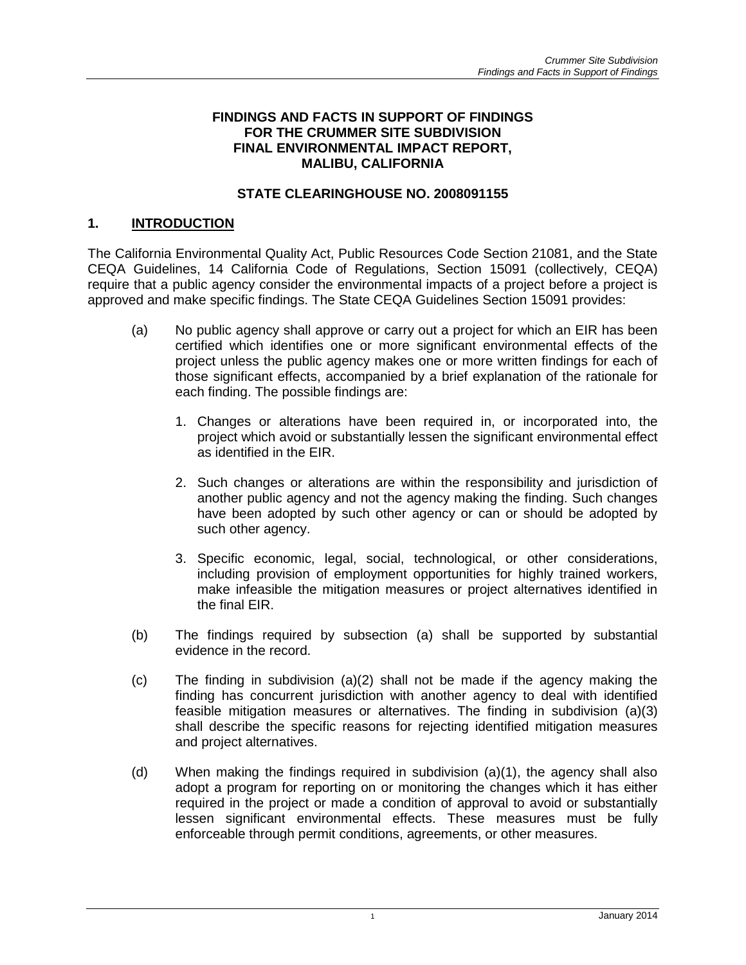#### **FINDINGS AND FACTS IN SUPPORT OF FINDINGS FOR THE CRUMMER SITE SUBDIVISION FINAL ENVIRONMENTAL IMPACT REPORT, MALIBU, CALIFORNIA**

### **STATE CLEARINGHOUSE NO. 2008091155**

### **1. INTRODUCTION**

The California Environmental Quality Act, Public Resources Code Section 21081, and the State CEQA Guidelines, 14 California Code of Regulations, Section 15091 (collectively, CEQA) require that a public agency consider the environmental impacts of a project before a project is approved and make specific findings. The State CEQA Guidelines Section 15091 provides:

- (a) No public agency shall approve or carry out a project for which an EIR has been certified which identifies one or more significant environmental effects of the project unless the public agency makes one or more written findings for each of those significant effects, accompanied by a brief explanation of the rationale for each finding. The possible findings are:
	- 1. Changes or alterations have been required in, or incorporated into, the project which avoid or substantially lessen the significant environmental effect as identified in the EIR.
	- 2. Such changes or alterations are within the responsibility and jurisdiction of another public agency and not the agency making the finding. Such changes have been adopted by such other agency or can or should be adopted by such other agency.
	- 3. Specific economic, legal, social, technological, or other considerations, including provision of employment opportunities for highly trained workers, make infeasible the mitigation measures or project alternatives identified in the final EIR.
- (b) The findings required by subsection (a) shall be supported by substantial evidence in the record.
- (c) The finding in subdivision (a)(2) shall not be made if the agency making the finding has concurrent jurisdiction with another agency to deal with identified feasible mitigation measures or alternatives. The finding in subdivision (a)(3) shall describe the specific reasons for rejecting identified mitigation measures and project alternatives.
- (d) When making the findings required in subdivision (a)(1), the agency shall also adopt a program for reporting on or monitoring the changes which it has either required in the project or made a condition of approval to avoid or substantially lessen significant environmental effects. These measures must be fully enforceable through permit conditions, agreements, or other measures.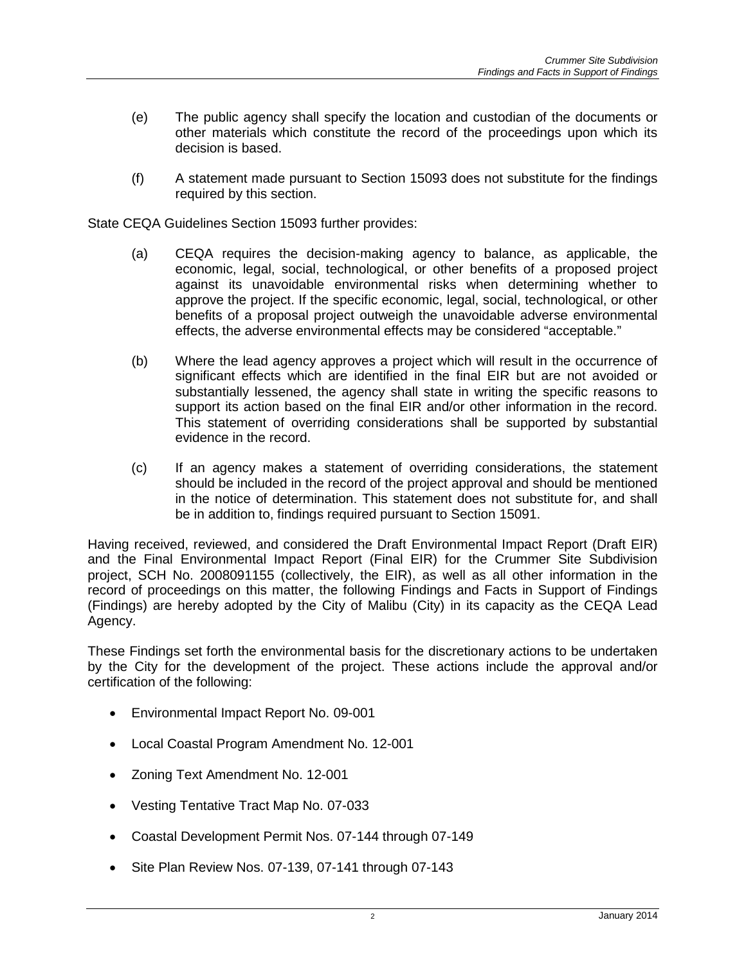- (e) The public agency shall specify the location and custodian of the documents or other materials which constitute the record of the proceedings upon which its decision is based.
- (f) A statement made pursuant to Section 15093 does not substitute for the findings required by this section.

State CEQA Guidelines Section 15093 further provides:

- (a) CEQA requires the decision-making agency to balance, as applicable, the economic, legal, social, technological, or other benefits of a proposed project against its unavoidable environmental risks when determining whether to approve the project. If the specific economic, legal, social, technological, or other benefits of a proposal project outweigh the unavoidable adverse environmental effects, the adverse environmental effects may be considered "acceptable."
- (b) Where the lead agency approves a project which will result in the occurrence of significant effects which are identified in the final EIR but are not avoided or substantially lessened, the agency shall state in writing the specific reasons to support its action based on the final EIR and/or other information in the record. This statement of overriding considerations shall be supported by substantial evidence in the record.
- (c) If an agency makes a statement of overriding considerations, the statement should be included in the record of the project approval and should be mentioned in the notice of determination. This statement does not substitute for, and shall be in addition to, findings required pursuant to Section 15091.

Having received, reviewed, and considered the Draft Environmental Impact Report (Draft EIR) and the Final Environmental Impact Report (Final EIR) for the Crummer Site Subdivision project, SCH No. 2008091155 (collectively, the EIR), as well as all other information in the record of proceedings on this matter, the following Findings and Facts in Support of Findings (Findings) are hereby adopted by the City of Malibu (City) in its capacity as the CEQA Lead Agency.

These Findings set forth the environmental basis for the discretionary actions to be undertaken by the City for the development of the project. These actions include the approval and/or certification of the following:

- Environmental Impact Report No. 09-001
- Local Coastal Program Amendment No. 12-001
- Zoning Text Amendment No. 12-001
- Vesting Tentative Tract Map No. 07-033
- Coastal Development Permit Nos. 07-144 through 07-149
- Site Plan Review Nos. 07-139, 07-141 through 07-143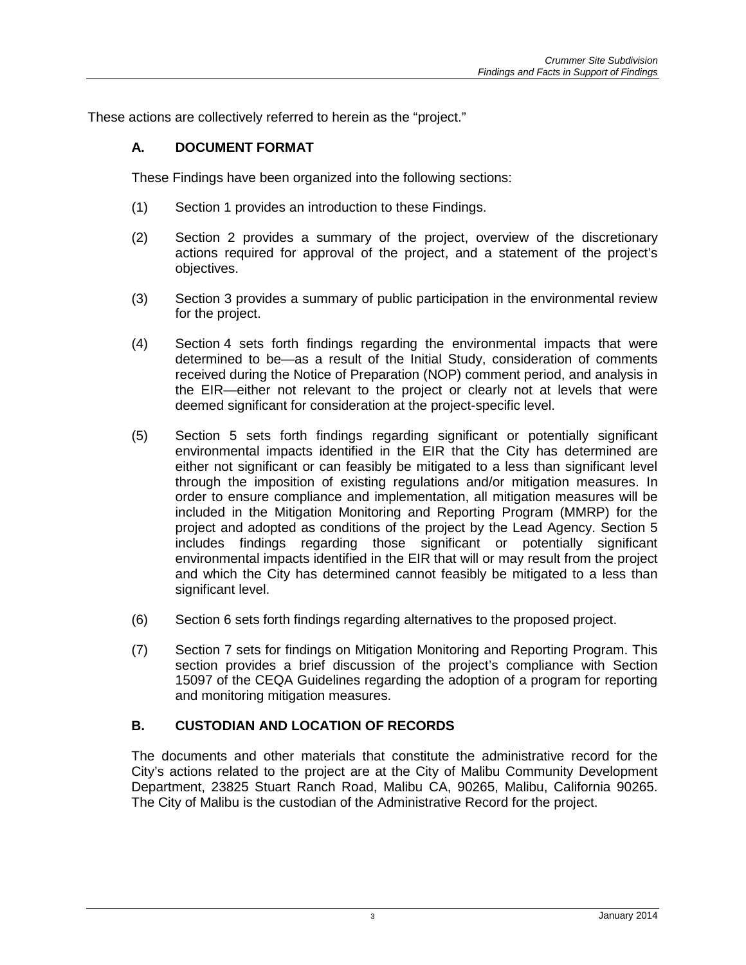These actions are collectively referred to herein as the "project."

# **A. DOCUMENT FORMAT**

These Findings have been organized into the following sections:

- (1) Section 1 provides an introduction to these Findings.
- (2) Section 2 provides a summary of the project, overview of the discretionary actions required for approval of the project, and a statement of the project's objectives.
- (3) Section 3 provides a summary of public participation in the environmental review for the project.
- (4) Section 4 sets forth findings regarding the environmental impacts that were determined to be—as a result of the Initial Study, consideration of comments received during the Notice of Preparation (NOP) comment period, and analysis in the EIR—either not relevant to the project or clearly not at levels that were deemed significant for consideration at the project-specific level.
- (5) Section 5 sets forth findings regarding significant or potentially significant environmental impacts identified in the EIR that the City has determined are either not significant or can feasibly be mitigated to a less than significant level through the imposition of existing regulations and/or mitigation measures. In order to ensure compliance and implementation, all mitigation measures will be included in the Mitigation Monitoring and Reporting Program (MMRP) for the project and adopted as conditions of the project by the Lead Agency. Section 5 includes findings regarding those significant or potentially significant environmental impacts identified in the EIR that will or may result from the project and which the City has determined cannot feasibly be mitigated to a less than significant level.
- (6) Section 6 sets forth findings regarding alternatives to the proposed project.
- (7) Section 7 sets for findings on Mitigation Monitoring and Reporting Program. This section provides a brief discussion of the project's compliance with Section 15097 of the CEQA Guidelines regarding the adoption of a program for reporting and monitoring mitigation measures.

# **B. CUSTODIAN AND LOCATION OF RECORDS**

The documents and other materials that constitute the administrative record for the City's actions related to the project are at the City of Malibu Community Development Department, 23825 Stuart Ranch Road, Malibu CA, 90265, Malibu, California 90265. The City of Malibu is the custodian of the Administrative Record for the project.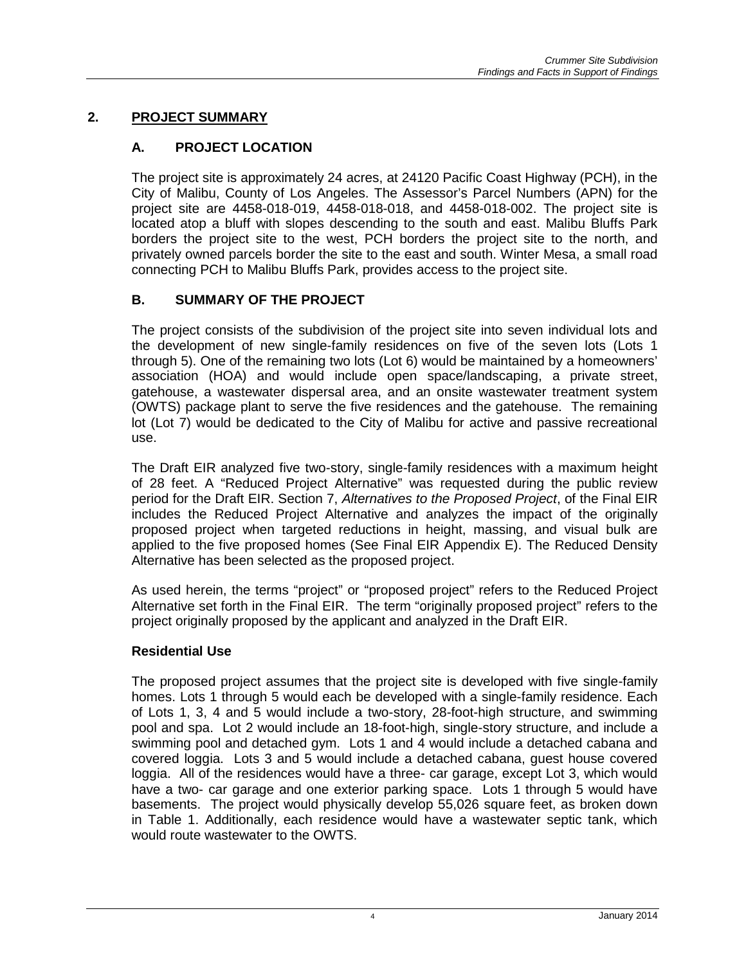# **2. PROJECT SUMMARY**

# **A. PROJECT LOCATION**

The project site is approximately 24 acres, at 24120 Pacific Coast Highway (PCH), in the City of Malibu, County of Los Angeles. The Assessor's Parcel Numbers (APN) for the project site are 4458-018-019, 4458-018-018, and 4458-018-002. The project site is located atop a bluff with slopes descending to the south and east. Malibu Bluffs Park borders the project site to the west, PCH borders the project site to the north, and privately owned parcels border the site to the east and south. Winter Mesa, a small road connecting PCH to Malibu Bluffs Park, provides access to the project site.

# **B. SUMMARY OF THE PROJECT**

The project consists of the subdivision of the project site into seven individual lots and the development of new single-family residences on five of the seven lots (Lots 1 through 5). One of the remaining two lots (Lot 6) would be maintained by a homeowners' association (HOA) and would include open space/landscaping, a private street, gatehouse, a wastewater dispersal area, and an onsite wastewater treatment system (OWTS) package plant to serve the five residences and the gatehouse. The remaining lot (Lot 7) would be dedicated to the City of Malibu for active and passive recreational use.

The Draft EIR analyzed five two-story, single-family residences with a maximum height of 28 feet. A "Reduced Project Alternative" was requested during the public review period for the Draft EIR. Section 7, *Alternatives to the Proposed Project*, of the Final EIR includes the Reduced Project Alternative and analyzes the impact of the originally proposed project when targeted reductions in height, massing, and visual bulk are applied to the five proposed homes (See Final EIR Appendix E). The Reduced Density Alternative has been selected as the proposed project.

As used herein, the terms "project" or "proposed project" refers to the Reduced Project Alternative set forth in the Final EIR. The term "originally proposed project" refers to the project originally proposed by the applicant and analyzed in the Draft EIR.

# **Residential Use**

The proposed project assumes that the project site is developed with five single-family homes. Lots 1 through 5 would each be developed with a single-family residence. Each of Lots 1, 3, 4 and 5 would include a two-story, 28-foot-high structure, and swimming pool and spa. Lot 2 would include an 18-foot-high, single-story structure, and include a swimming pool and detached gym. Lots 1 and 4 would include a detached cabana and covered loggia. Lots 3 and 5 would include a detached cabana, guest house covered loggia. All of the residences would have a three- car garage, except Lot 3, which would have a two- car garage and one exterior parking space. Lots 1 through 5 would have basements. The project would physically develop 55,026 square feet, as broken down in Table 1. Additionally, each residence would have a wastewater septic tank, which would route wastewater to the OWTS.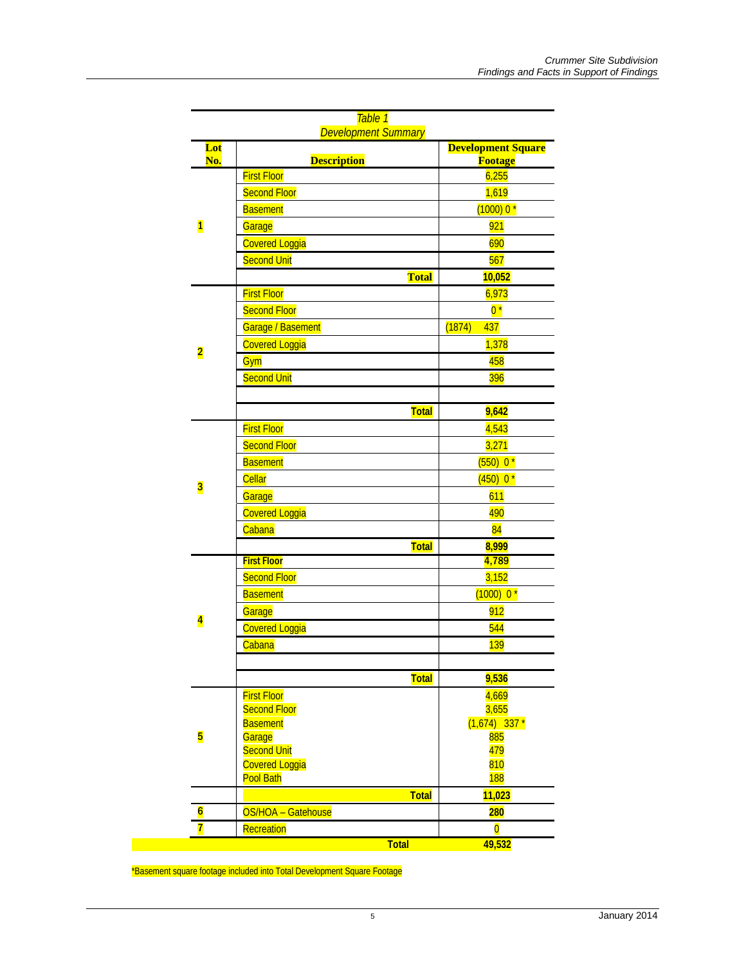|  |                         | Table 1<br><b>Development Summary</b>     |                                             |  |
|--|-------------------------|-------------------------------------------|---------------------------------------------|--|
|  | Lot<br>No.              | <b>Description</b>                        | <b>Development Square</b><br><b>Footage</b> |  |
|  | $\overline{\mathbf{1}}$ | <b>First Floor</b>                        | 6,255                                       |  |
|  |                         | <b>Second Floor</b>                       | 1,619                                       |  |
|  |                         | <b>Basement</b>                           | $(1000)0*$                                  |  |
|  |                         | Garage                                    | 921                                         |  |
|  |                         | <b>Covered Loggia</b>                     | 690                                         |  |
|  |                         | <b>Second Unit</b>                        | 567                                         |  |
|  |                         | <b>Total</b>                              | 10,052                                      |  |
|  |                         | <b>First Floor</b>                        | 6,973                                       |  |
|  | $\overline{\mathbf{2}}$ | <b>Second Floor</b>                       | $0*$                                        |  |
|  |                         | Garage / Basement                         | 437<br>(1874)                               |  |
|  |                         | <b>Covered Loggia</b>                     | 1,378                                       |  |
|  |                         | Gym                                       | 458                                         |  |
|  |                         | <b>Second Unit</b>                        | 396                                         |  |
|  |                         |                                           |                                             |  |
|  |                         | <b>Total</b>                              | 9,642                                       |  |
|  | 3                       | <b>First Floor</b>                        | 4,543                                       |  |
|  |                         | <b>Second Floor</b>                       | 3,271                                       |  |
|  |                         | <b>Basement</b>                           | $(550) 0*$                                  |  |
|  |                         | <b>Cellar</b>                             | $(450) 0*$                                  |  |
|  |                         | Garage                                    | 611                                         |  |
|  |                         | <b>Covered Loggia</b>                     | 490                                         |  |
|  |                         | Cabana                                    | 84                                          |  |
|  |                         | <b>Total</b>                              | 8,999                                       |  |
|  |                         | <b>First Floor</b>                        | 4,789                                       |  |
|  | $\overline{\mathbf{4}}$ | <b>Second Floor</b>                       | 3,152                                       |  |
|  |                         | <b>Basement</b>                           | $(1000)$ 0 <sup>*</sup>                     |  |
|  |                         | Garage                                    | 912                                         |  |
|  |                         | <b>Covered Loggia</b>                     | 544                                         |  |
|  |                         | Cabana                                    | <b>139</b>                                  |  |
|  |                         |                                           |                                             |  |
|  |                         | Total                                     | 9,536                                       |  |
|  | 5                       | <b>First Floor</b>                        | 4,669                                       |  |
|  |                         | <b>Second Floor</b>                       | 3,655                                       |  |
|  |                         | <b>Basement</b>                           | $(1,674)$ 337 *                             |  |
|  |                         | Garage                                    | 885                                         |  |
|  |                         | <b>Second Unit</b>                        | 479                                         |  |
|  |                         | <b>Covered Loggia</b><br><b>Pool Bath</b> | 810<br><b>188</b>                           |  |
|  |                         | <b>Total</b>                              | 11,023                                      |  |
|  | $6\overline{6}$         |                                           |                                             |  |
|  | 7                       | OS/HOA - Gatehouse                        | <b>280</b>                                  |  |
|  |                         | Recreation<br><b>Total</b>                | $\overline{\mathbf{0}}$<br>49,532           |  |
|  |                         |                                           |                                             |  |

\*Basement square footage included into Total Development Square Footage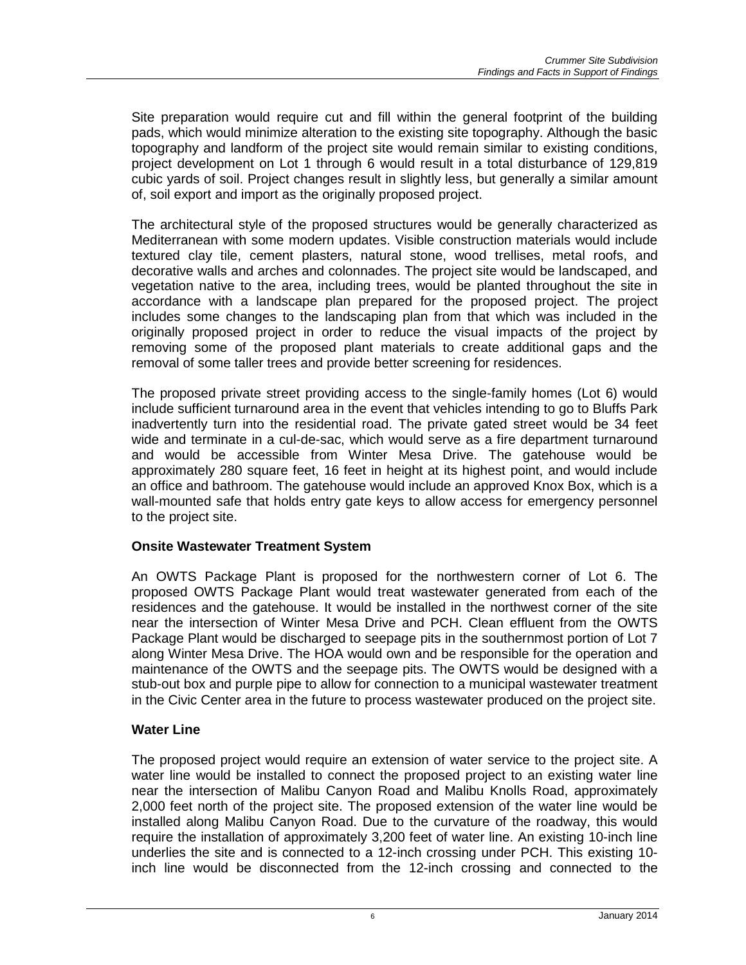Site preparation would require cut and fill within the general footprint of the building pads, which would minimize alteration to the existing site topography. Although the basic topography and landform of the project site would remain similar to existing conditions, project development on Lot 1 through 6 would result in a total disturbance of 129,819 cubic yards of soil. Project changes result in slightly less, but generally a similar amount of, soil export and import as the originally proposed project.

The architectural style of the proposed structures would be generally characterized as Mediterranean with some modern updates. Visible construction materials would include textured clay tile, cement plasters, natural stone, wood trellises, metal roofs, and decorative walls and arches and colonnades. The project site would be landscaped, and vegetation native to the area, including trees, would be planted throughout the site in accordance with a landscape plan prepared for the proposed project. The project includes some changes to the landscaping plan from that which was included in the originally proposed project in order to reduce the visual impacts of the project by removing some of the proposed plant materials to create additional gaps and the removal of some taller trees and provide better screening for residences.

The proposed private street providing access to the single-family homes (Lot 6) would include sufficient turnaround area in the event that vehicles intending to go to Bluffs Park inadvertently turn into the residential road. The private gated street would be 34 feet wide and terminate in a cul-de-sac, which would serve as a fire department turnaround and would be accessible from Winter Mesa Drive. The gatehouse would be approximately 280 square feet, 16 feet in height at its highest point, and would include an office and bathroom. The gatehouse would include an approved Knox Box, which is a wall-mounted safe that holds entry gate keys to allow access for emergency personnel to the project site.

# **Onsite Wastewater Treatment System**

An OWTS Package Plant is proposed for the northwestern corner of Lot 6. The proposed OWTS Package Plant would treat wastewater generated from each of the residences and the gatehouse. It would be installed in the northwest corner of the site near the intersection of Winter Mesa Drive and PCH. Clean effluent from the OWTS Package Plant would be discharged to seepage pits in the southernmost portion of Lot 7 along Winter Mesa Drive. The HOA would own and be responsible for the operation and maintenance of the OWTS and the seepage pits. The OWTS would be designed with a stub-out box and purple pipe to allow for connection to a municipal wastewater treatment in the Civic Center area in the future to process wastewater produced on the project site.

#### **Water Line**

The proposed project would require an extension of water service to the project site. A water line would be installed to connect the proposed project to an existing water line near the intersection of Malibu Canyon Road and Malibu Knolls Road, approximately 2,000 feet north of the project site. The proposed extension of the water line would be installed along Malibu Canyon Road. Due to the curvature of the roadway, this would require the installation of approximately 3,200 feet of water line. An existing 10-inch line underlies the site and is connected to a 12-inch crossing under PCH. This existing 10 inch line would be disconnected from the 12-inch crossing and connected to the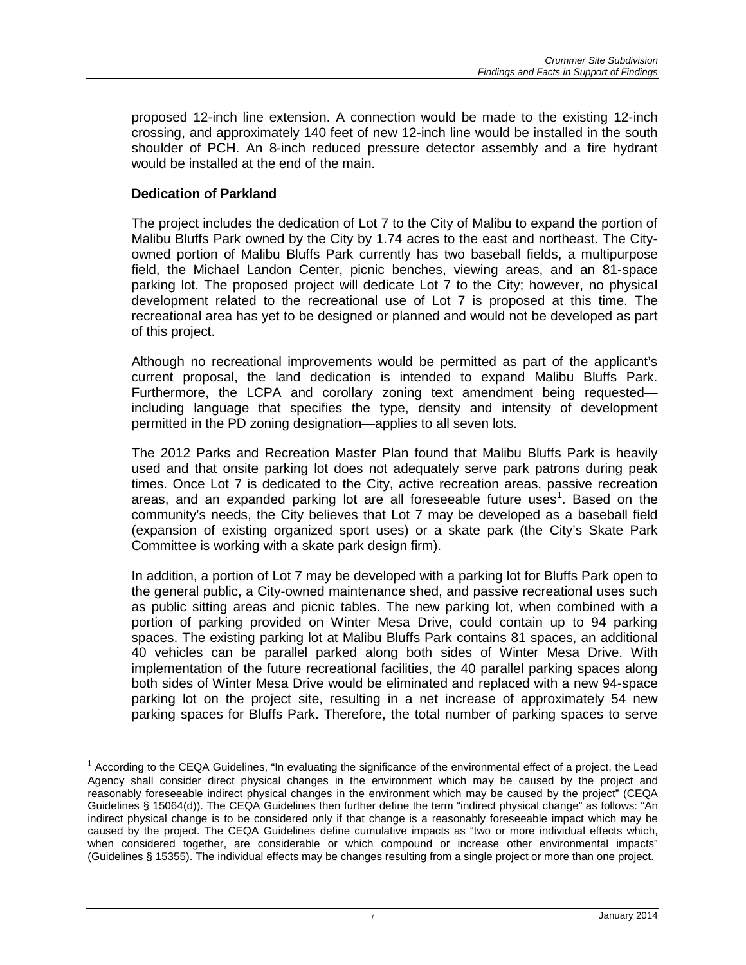proposed 12-inch line extension. A connection would be made to the existing 12-inch crossing, and approximately 140 feet of new 12-inch line would be installed in the south shoulder of PCH. An 8-inch reduced pressure detector assembly and a fire hydrant would be installed at the end of the main.

### **Dedication of Parkland**

 $\overline{a}$ 

The project includes the dedication of Lot 7 to the City of Malibu to expand the portion of Malibu Bluffs Park owned by the City by 1.74 acres to the east and northeast. The Cityowned portion of Malibu Bluffs Park currently has two baseball fields, a multipurpose field, the Michael Landon Center, picnic benches, viewing areas, and an 81-space parking lot. The proposed project will dedicate Lot 7 to the City; however, no physical development related to the recreational use of Lot 7 is proposed at this time. The recreational area has yet to be designed or planned and would not be developed as part of this project.

Although no recreational improvements would be permitted as part of the applicant's current proposal, the land dedication is intended to expand Malibu Bluffs Park. Furthermore, the LCPA and corollary zoning text amendment being requested including language that specifies the type, density and intensity of development permitted in the PD zoning designation—applies to all seven lots.

The 2012 Parks and Recreation Master Plan found that Malibu Bluffs Park is heavily used and that onsite parking lot does not adequately serve park patrons during peak times. Once Lot 7 is dedicated to the City, active recreation areas, passive recreation areas, and an expanded parking lot are all foreseeable future uses<sup>[1](#page-6-0)</sup>. Based on the community's needs, the City believes that Lot 7 may be developed as a baseball field (expansion of existing organized sport uses) or a skate park (the City's Skate Park Committee is working with a skate park design firm).

In addition, a portion of Lot 7 may be developed with a parking lot for Bluffs Park open to the general public, a City-owned maintenance shed, and passive recreational uses such as public sitting areas and picnic tables. The new parking lot, when combined with a portion of parking provided on Winter Mesa Drive, could contain up to 94 parking spaces. The existing parking lot at Malibu Bluffs Park contains 81 spaces, an additional 40 vehicles can be parallel parked along both sides of Winter Mesa Drive. With implementation of the future recreational facilities, the 40 parallel parking spaces along both sides of Winter Mesa Drive would be eliminated and replaced with a new 94-space parking lot on the project site, resulting in a net increase of approximately 54 new parking spaces for Bluffs Park. Therefore, the total number of parking spaces to serve

<span id="page-6-0"></span> $<sup>1</sup>$  According to the CEQA Guidelines, "In evaluating the significance of the environmental effect of a project, the Lead</sup> Agency shall consider direct physical changes in the environment which may be caused by the project and reasonably foreseeable indirect physical changes in the environment which may be caused by the project" (CEQA Guidelines § 15064(d)). The CEQA Guidelines then further define the term "indirect physical change" as follows: "An indirect physical change is to be considered only if that change is a reasonably foreseeable impact which may be caused by the project. The CEQA Guidelines define cumulative impacts as "two or more individual effects which, when considered together, are considerable or which compound or increase other environmental impacts" (Guidelines § 15355). The individual effects may be changes resulting from a single project or more than one project.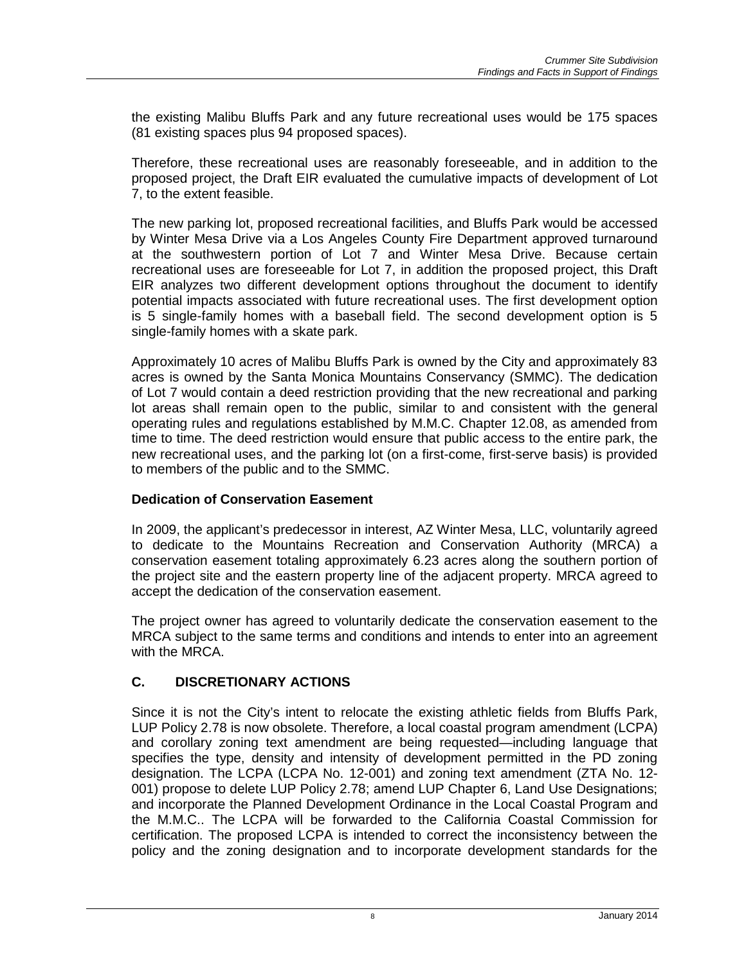the existing Malibu Bluffs Park and any future recreational uses would be 175 spaces (81 existing spaces plus 94 proposed spaces).

Therefore, these recreational uses are reasonably foreseeable, and in addition to the proposed project, the Draft EIR evaluated the cumulative impacts of development of Lot 7, to the extent feasible.

The new parking lot, proposed recreational facilities, and Bluffs Park would be accessed by Winter Mesa Drive via a Los Angeles County Fire Department approved turnaround at the southwestern portion of Lot 7 and Winter Mesa Drive. Because certain recreational uses are foreseeable for Lot 7, in addition the proposed project, this Draft EIR analyzes two different development options throughout the document to identify potential impacts associated with future recreational uses. The first development option is 5 single-family homes with a baseball field. The second development option is 5 single-family homes with a skate park.

Approximately 10 acres of Malibu Bluffs Park is owned by the City and approximately 83 acres is owned by the Santa Monica Mountains Conservancy (SMMC). The dedication of Lot 7 would contain a deed restriction providing that the new recreational and parking lot areas shall remain open to the public, similar to and consistent with the general operating rules and regulations established by M.M.C. Chapter 12.08, as amended from time to time. The deed restriction would ensure that public access to the entire park, the new recreational uses, and the parking lot (on a first-come, first-serve basis) is provided to members of the public and to the SMMC.

# **Dedication of Conservation Easement**

In 2009, the applicant's predecessor in interest, AZ Winter Mesa, LLC, voluntarily agreed to dedicate to the Mountains Recreation and Conservation Authority (MRCA) a conservation easement totaling approximately 6.23 acres along the southern portion of the project site and the eastern property line of the adjacent property. MRCA agreed to accept the dedication of the conservation easement.

The project owner has agreed to voluntarily dedicate the conservation easement to the MRCA subject to the same terms and conditions and intends to enter into an agreement with the MRCA.

# **C. DISCRETIONARY ACTIONS**

Since it is not the City's intent to relocate the existing athletic fields from Bluffs Park, LUP Policy 2.78 is now obsolete. Therefore, a local coastal program amendment (LCPA) and corollary zoning text amendment are being requested—including language that specifies the type, density and intensity of development permitted in the PD zoning designation. The LCPA (LCPA No. 12-001) and zoning text amendment (ZTA No. 12- 001) propose to delete LUP Policy 2.78; amend LUP Chapter 6, Land Use Designations; and incorporate the Planned Development Ordinance in the Local Coastal Program and the M.M.C.. The LCPA will be forwarded to the California Coastal Commission for certification. The proposed LCPA is intended to correct the inconsistency between the policy and the zoning designation and to incorporate development standards for the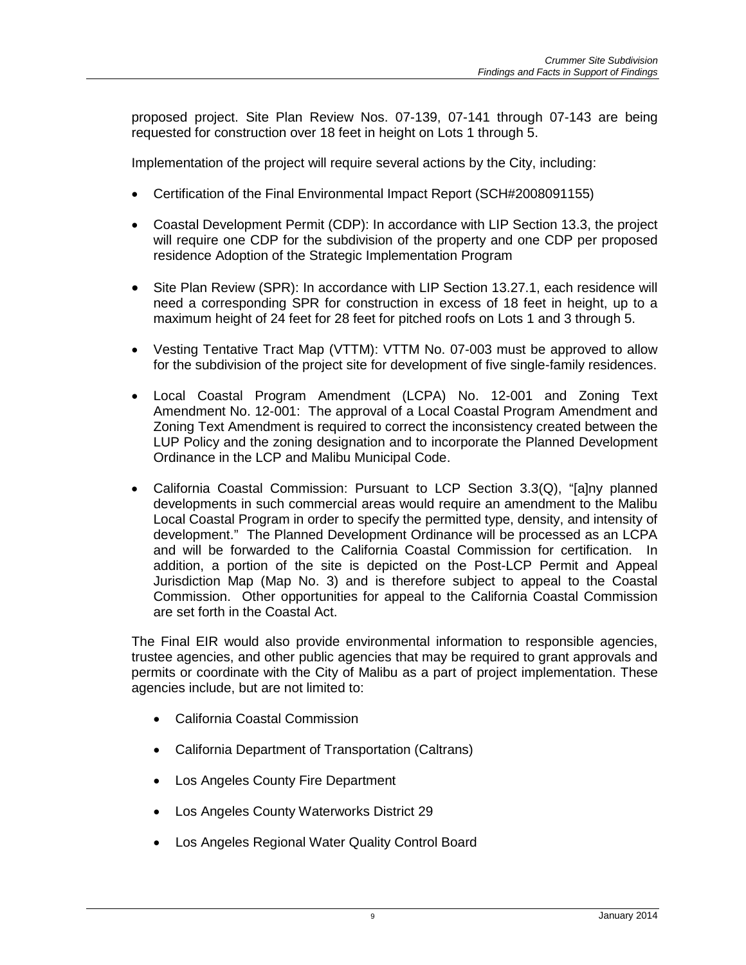proposed project. Site Plan Review Nos. 07-139, 07-141 through 07-143 are being requested for construction over 18 feet in height on Lots 1 through 5.

Implementation of the project will require several actions by the City, including:

- Certification of the Final Environmental Impact Report (SCH#2008091155)
- Coastal Development Permit (CDP): In accordance with LIP Section 13.3, the project will require one CDP for the subdivision of the property and one CDP per proposed residence Adoption of the Strategic Implementation Program
- Site Plan Review (SPR): In accordance with LIP Section 13.27.1, each residence will need a corresponding SPR for construction in excess of 18 feet in height, up to a maximum height of 24 feet for 28 feet for pitched roofs on Lots 1 and 3 through 5.
- Vesting Tentative Tract Map (VTTM): VTTM No. 07-003 must be approved to allow for the subdivision of the project site for development of five single-family residences.
- Local Coastal Program Amendment (LCPA) No. 12-001 and Zoning Text Amendment No. 12-001: The approval of a Local Coastal Program Amendment and Zoning Text Amendment is required to correct the inconsistency created between the LUP Policy and the zoning designation and to incorporate the Planned Development Ordinance in the LCP and Malibu Municipal Code.
- California Coastal Commission: Pursuant to LCP Section 3.3(Q), "[a]ny planned developments in such commercial areas would require an amendment to the Malibu Local Coastal Program in order to specify the permitted type, density, and intensity of development." The Planned Development Ordinance will be processed as an LCPA and will be forwarded to the California Coastal Commission for certification. In addition, a portion of the site is depicted on the Post-LCP Permit and Appeal Jurisdiction Map (Map No. 3) and is therefore subject to appeal to the Coastal Commission. Other opportunities for appeal to the California Coastal Commission are set forth in the Coastal Act.

The Final EIR would also provide environmental information to responsible agencies, trustee agencies, and other public agencies that may be required to grant approvals and permits or coordinate with the City of Malibu as a part of project implementation. These agencies include, but are not limited to:

- California Coastal Commission
- California Department of Transportation (Caltrans)
- Los Angeles County Fire Department
- Los Angeles County Waterworks District 29
- Los Angeles Regional Water Quality Control Board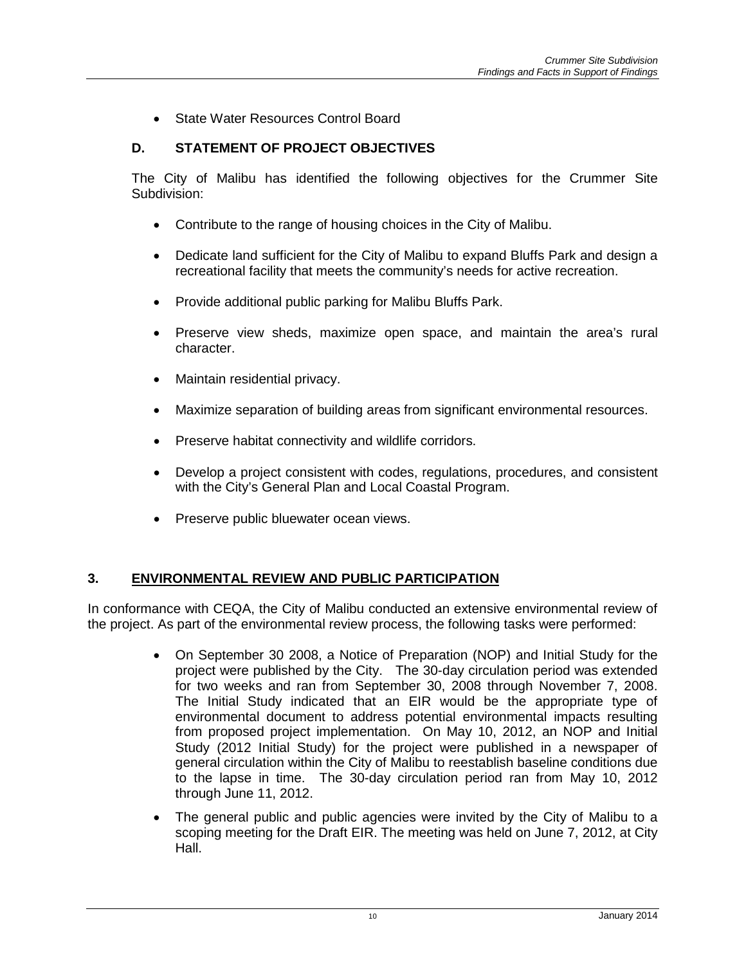State Water Resources Control Board

### **D. STATEMENT OF PROJECT OBJECTIVES**

The City of Malibu has identified the following objectives for the Crummer Site Subdivision:

- Contribute to the range of housing choices in the City of Malibu.
- Dedicate land sufficient for the City of Malibu to expand Bluffs Park and design a recreational facility that meets the community's needs for active recreation.
- Provide additional public parking for Malibu Bluffs Park.
- Preserve view sheds, maximize open space, and maintain the area's rural character.
- Maintain residential privacy.
- Maximize separation of building areas from significant environmental resources.
- Preserve habitat connectivity and wildlife corridors.
- Develop a project consistent with codes, regulations, procedures, and consistent with the City's General Plan and Local Coastal Program.
- Preserve public bluewater ocean views.

# **3. ENVIRONMENTAL REVIEW AND PUBLIC PARTICIPATION**

In conformance with CEQA, the City of Malibu conducted an extensive environmental review of the project. As part of the environmental review process, the following tasks were performed:

- On September 30 2008, a Notice of Preparation (NOP) and Initial Study for the project were published by the City. The 30-day circulation period was extended for two weeks and ran from September 30, 2008 through November 7, 2008. The Initial Study indicated that an EIR would be the appropriate type of environmental document to address potential environmental impacts resulting from proposed project implementation. On May 10, 2012, an NOP and Initial Study (2012 Initial Study) for the project were published in a newspaper of general circulation within the City of Malibu to reestablish baseline conditions due to the lapse in time. The 30-day circulation period ran from May 10, 2012 through June 11, 2012.
- The general public and public agencies were invited by the City of Malibu to a scoping meeting for the Draft EIR. The meeting was held on June 7, 2012, at City Hall.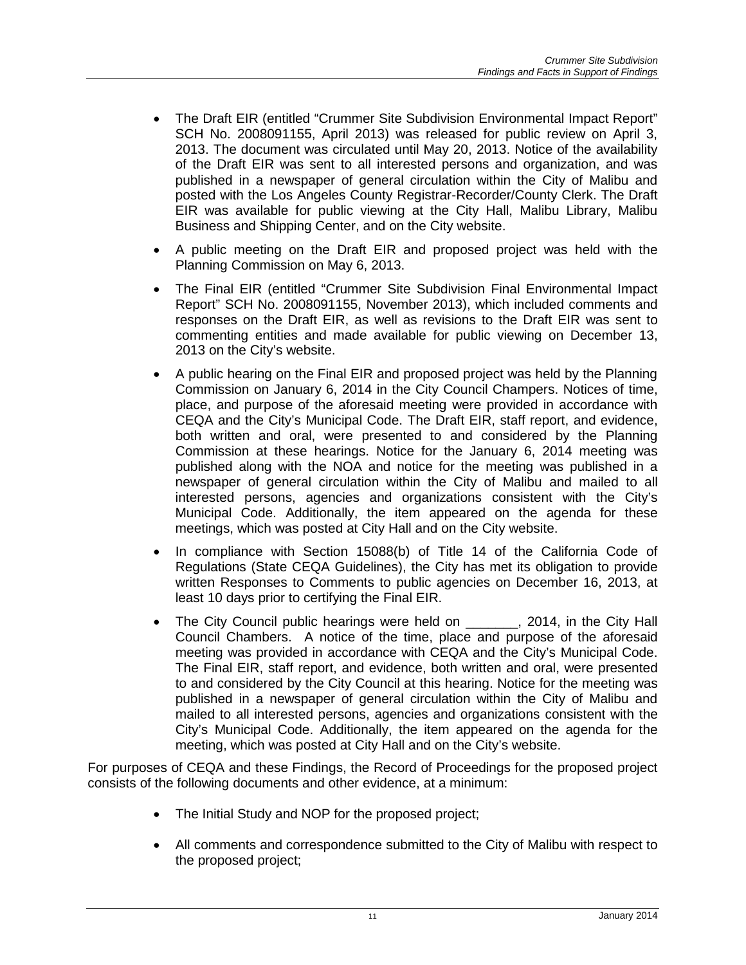- The Draft EIR (entitled "Crummer Site Subdivision Environmental Impact Report" SCH No. 2008091155, April 2013) was released for public review on April 3, 2013. The document was circulated until May 20, 2013. Notice of the availability of the Draft EIR was sent to all interested persons and organization, and was published in a newspaper of general circulation within the City of Malibu and posted with the Los Angeles County Registrar-Recorder/County Clerk. The Draft EIR was available for public viewing at the City Hall, Malibu Library, Malibu Business and Shipping Center, and on the City website.
- A public meeting on the Draft EIR and proposed project was held with the Planning Commission on May 6, 2013.
- The Final EIR (entitled "Crummer Site Subdivision Final Environmental Impact Report" SCH No. 2008091155, November 2013), which included comments and responses on the Draft EIR, as well as revisions to the Draft EIR was sent to commenting entities and made available for public viewing on December 13, 2013 on the City's website.
- A public hearing on the Final EIR and proposed project was held by the Planning Commission on January 6, 2014 in the City Council Champers. Notices of time, place, and purpose of the aforesaid meeting were provided in accordance with CEQA and the City's Municipal Code. The Draft EIR, staff report, and evidence, both written and oral, were presented to and considered by the Planning Commission at these hearings. Notice for the January 6, 2014 meeting was published along with the NOA and notice for the meeting was published in a newspaper of general circulation within the City of Malibu and mailed to all interested persons, agencies and organizations consistent with the City's Municipal Code. Additionally, the item appeared on the agenda for these meetings, which was posted at City Hall and on the City website.
- In compliance with Section 15088(b) of Title 14 of the California Code of Regulations (State CEQA Guidelines), the City has met its obligation to provide written Responses to Comments to public agencies on December 16, 2013, at least 10 days prior to certifying the Final EIR.
- The City Council public hearings were held on \_\_\_\_\_\_, 2014, in the City Hall Council Chambers. A notice of the time, place and purpose of the aforesaid meeting was provided in accordance with CEQA and the City's Municipal Code. The Final EIR, staff report, and evidence, both written and oral, were presented to and considered by the City Council at this hearing. Notice for the meeting was published in a newspaper of general circulation within the City of Malibu and mailed to all interested persons, agencies and organizations consistent with the City's Municipal Code. Additionally, the item appeared on the agenda for the meeting, which was posted at City Hall and on the City's website.

For purposes of CEQA and these Findings, the Record of Proceedings for the proposed project consists of the following documents and other evidence, at a minimum:

- The Initial Study and NOP for the proposed project;
- All comments and correspondence submitted to the City of Malibu with respect to the proposed project;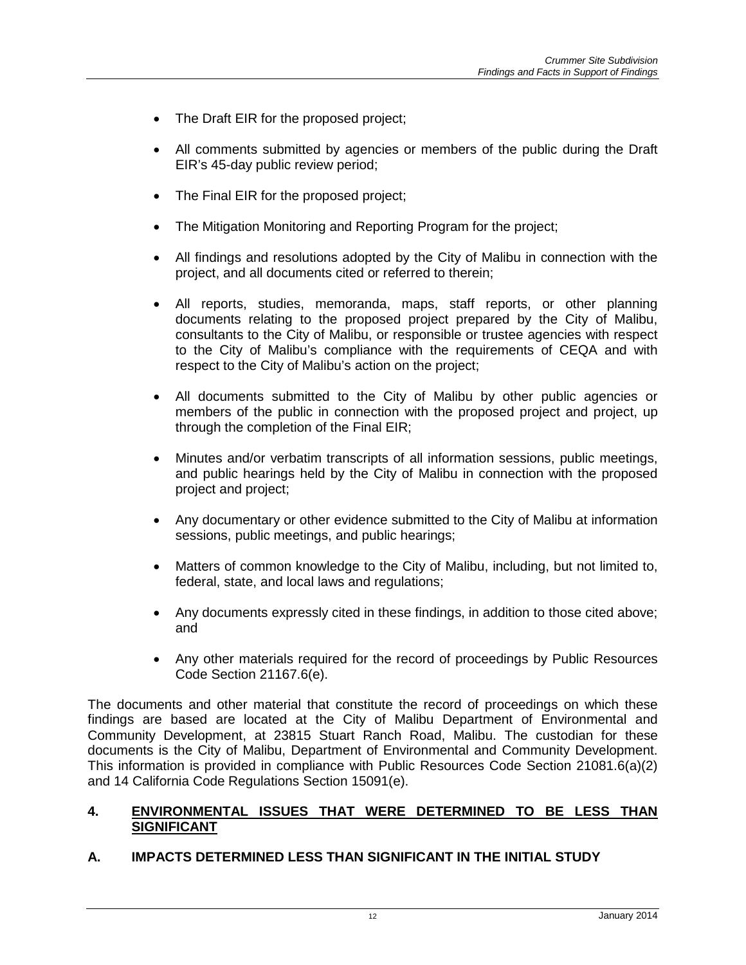- The Draft EIR for the proposed project;
- All comments submitted by agencies or members of the public during the Draft EIR's 45-day public review period;
- The Final EIR for the proposed project;
- The Mitigation Monitoring and Reporting Program for the project;
- All findings and resolutions adopted by the City of Malibu in connection with the project, and all documents cited or referred to therein;
- All reports, studies, memoranda, maps, staff reports, or other planning documents relating to the proposed project prepared by the City of Malibu, consultants to the City of Malibu, or responsible or trustee agencies with respect to the City of Malibu's compliance with the requirements of CEQA and with respect to the City of Malibu's action on the project;
- All documents submitted to the City of Malibu by other public agencies or members of the public in connection with the proposed project and project, up through the completion of the Final EIR;
- Minutes and/or verbatim transcripts of all information sessions, public meetings, and public hearings held by the City of Malibu in connection with the proposed project and project;
- Any documentary or other evidence submitted to the City of Malibu at information sessions, public meetings, and public hearings;
- Matters of common knowledge to the City of Malibu, including, but not limited to, federal, state, and local laws and regulations;
- Any documents expressly cited in these findings, in addition to those cited above; and
- Any other materials required for the record of proceedings by Public Resources Code Section 21167.6(e).

The documents and other material that constitute the record of proceedings on which these findings are based are located at the City of Malibu Department of Environmental and Community Development, at 23815 Stuart Ranch Road, Malibu. The custodian for these documents is the City of Malibu, Department of Environmental and Community Development. This information is provided in compliance with Public Resources Code Section 21081.6(a)(2) and 14 California Code Regulations Section 15091(e).

### **4. ENVIRONMENTAL ISSUES THAT WERE DETERMINED TO BE LESS THAN SIGNIFICANT**

# **A. IMPACTS DETERMINED LESS THAN SIGNIFICANT IN THE INITIAL STUDY**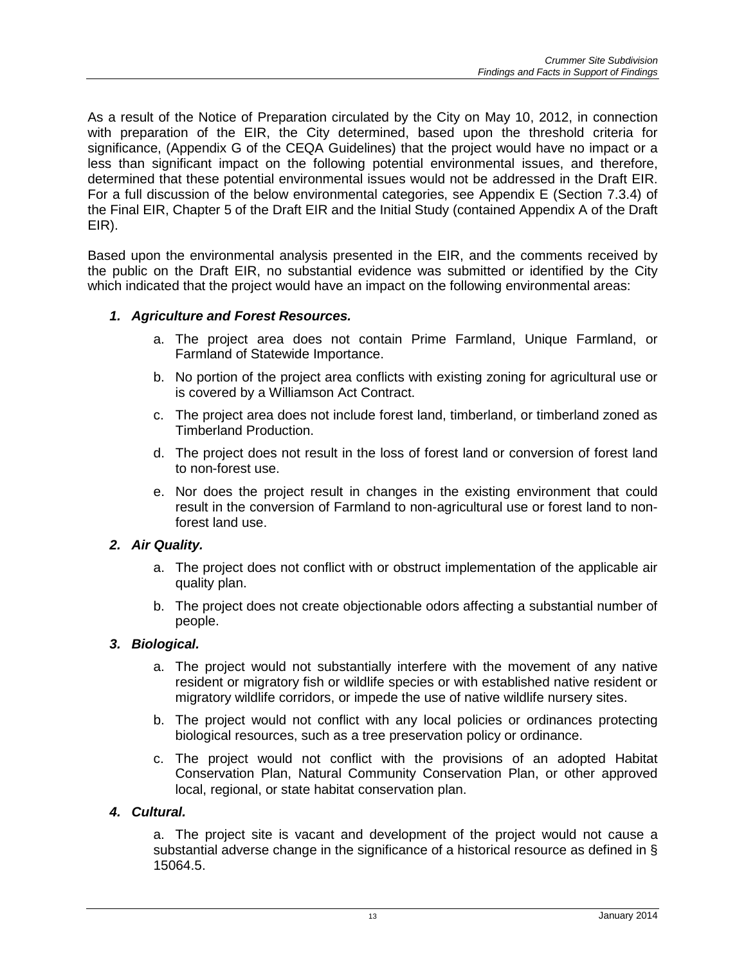As a result of the Notice of Preparation circulated by the City on May 10, 2012, in connection with preparation of the EIR, the City determined, based upon the threshold criteria for significance, (Appendix G of the CEQA Guidelines) that the project would have no impact or a less than significant impact on the following potential environmental issues, and therefore, determined that these potential environmental issues would not be addressed in the Draft EIR. For a full discussion of the below environmental categories, see Appendix E (Section 7.3.4) of the Final EIR, Chapter 5 of the Draft EIR and the Initial Study (contained Appendix A of the Draft EIR).

Based upon the environmental analysis presented in the EIR, and the comments received by the public on the Draft EIR, no substantial evidence was submitted or identified by the City which indicated that the project would have an impact on the following environmental areas:

# *1. Agriculture and Forest Resources.*

- a. The project area does not contain Prime Farmland, Unique Farmland, or Farmland of Statewide Importance.
- b. No portion of the project area conflicts with existing zoning for agricultural use or is covered by a Williamson Act Contract.
- c. The project area does not include forest land, timberland, or timberland zoned as Timberland Production.
- d. The project does not result in the loss of forest land or conversion of forest land to non-forest use.
- e. Nor does the project result in changes in the existing environment that could result in the conversion of Farmland to non-agricultural use or forest land to nonforest land use.

#### *2. Air Quality.*

- a. The project does not conflict with or obstruct implementation of the applicable air quality plan.
- b. The project does not create objectionable odors affecting a substantial number of people.

#### *3. Biological.*

- a. The project would not substantially interfere with the movement of any native resident or migratory fish or wildlife species or with established native resident or migratory wildlife corridors, or impede the use of native wildlife nursery sites.
- b. The project would not conflict with any local policies or ordinances protecting biological resources, such as a tree preservation policy or ordinance.
- c. The project would not conflict with the provisions of an adopted Habitat Conservation Plan, Natural Community Conservation Plan, or other approved local, regional, or state habitat conservation plan.

#### *4. Cultural.*

a. The project site is vacant and development of the project would not cause a substantial adverse change in the significance of a historical resource as defined in § 15064.5.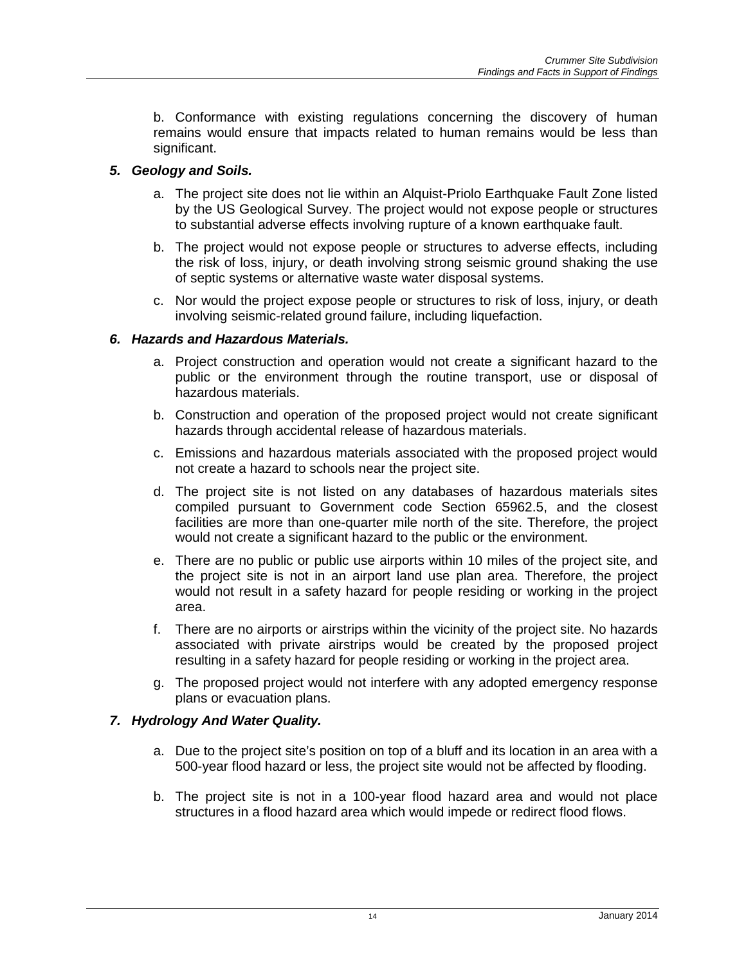b. Conformance with existing regulations concerning the discovery of human remains would ensure that impacts related to human remains would be less than significant.

### *5. Geology and Soils.*

- a. The project site does not lie within an Alquist-Priolo Earthquake Fault Zone listed by the US Geological Survey. The project would not expose people or structures to substantial adverse effects involving rupture of a known earthquake fault.
- b. The project would not expose people or structures to adverse effects, including the risk of loss, injury, or death involving strong seismic ground shaking the use of septic systems or alternative waste water disposal systems.
- c. Nor would the project expose people or structures to risk of loss, injury, or death involving seismic-related ground failure, including liquefaction.

### *6. Hazards and Hazardous Materials.*

- a. Project construction and operation would not create a significant hazard to the public or the environment through the routine transport, use or disposal of hazardous materials.
- b. Construction and operation of the proposed project would not create significant hazards through accidental release of hazardous materials.
- c. Emissions and hazardous materials associated with the proposed project would not create a hazard to schools near the project site.
- d. The project site is not listed on any databases of hazardous materials sites compiled pursuant to Government code Section 65962.5, and the closest facilities are more than one-quarter mile north of the site. Therefore, the project would not create a significant hazard to the public or the environment.
- e. There are no public or public use airports within 10 miles of the project site, and the project site is not in an airport land use plan area. Therefore, the project would not result in a safety hazard for people residing or working in the project area.
- f. There are no airports or airstrips within the vicinity of the project site. No hazards associated with private airstrips would be created by the proposed project resulting in a safety hazard for people residing or working in the project area.
- g. The proposed project would not interfere with any adopted emergency response plans or evacuation plans.

# *7. Hydrology And Water Quality.*

- a. Due to the project site's position on top of a bluff and its location in an area with a 500-year flood hazard or less, the project site would not be affected by flooding.
- b. The project site is not in a 100-year flood hazard area and would not place structures in a flood hazard area which would impede or redirect flood flows.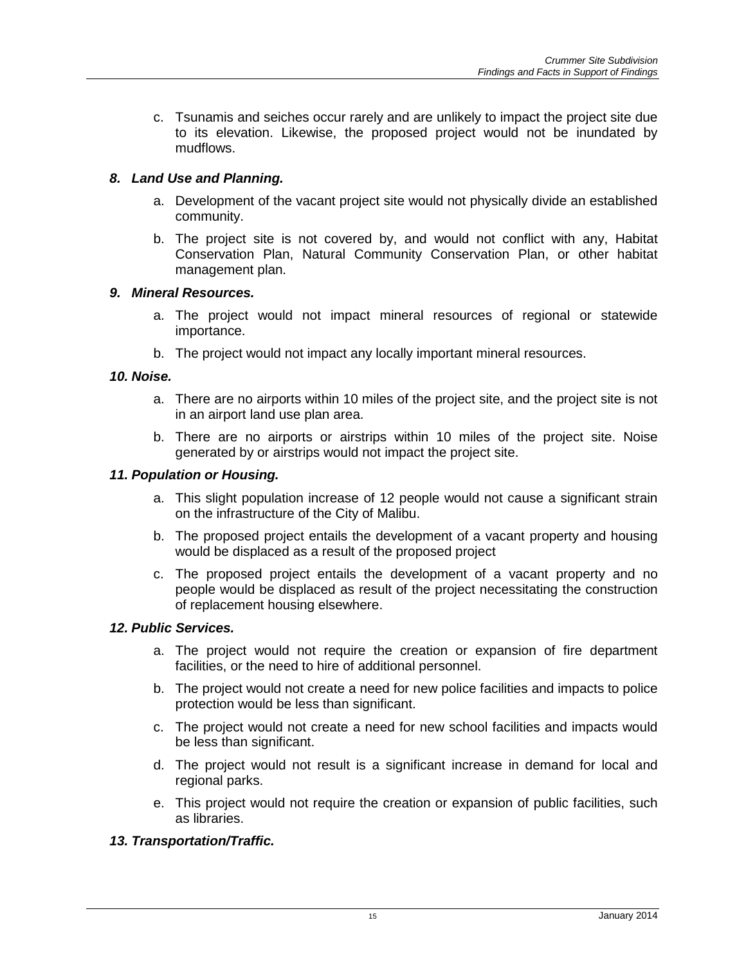c. Tsunamis and seiches occur rarely and are unlikely to impact the project site due to its elevation. Likewise, the proposed project would not be inundated by mudflows.

# *8. Land Use and Planning.*

- a. Development of the vacant project site would not physically divide an established community.
- b. The project site is not covered by, and would not conflict with any, Habitat Conservation Plan, Natural Community Conservation Plan, or other habitat management plan.

### *9. Mineral Resources.*

- a. The project would not impact mineral resources of regional or statewide importance.
- b. The project would not impact any locally important mineral resources.

### *10. Noise.*

- a. There are no airports within 10 miles of the project site, and the project site is not in an airport land use plan area.
- b. There are no airports or airstrips within 10 miles of the project site. Noise generated by or airstrips would not impact the project site.

### *11. Population or Housing.*

- a. This slight population increase of 12 people would not cause a significant strain on the infrastructure of the City of Malibu.
- b. The proposed project entails the development of a vacant property and housing would be displaced as a result of the proposed project
- c. The proposed project entails the development of a vacant property and no people would be displaced as result of the project necessitating the construction of replacement housing elsewhere.

#### *12. Public Services.*

- a. The project would not require the creation or expansion of fire department facilities, or the need to hire of additional personnel.
- b. The project would not create a need for new police facilities and impacts to police protection would be less than significant.
- c. The project would not create a need for new school facilities and impacts would be less than significant.
- d. The project would not result is a significant increase in demand for local and regional parks.
- e. This project would not require the creation or expansion of public facilities, such as libraries.

# *13. Transportation/Traffic.*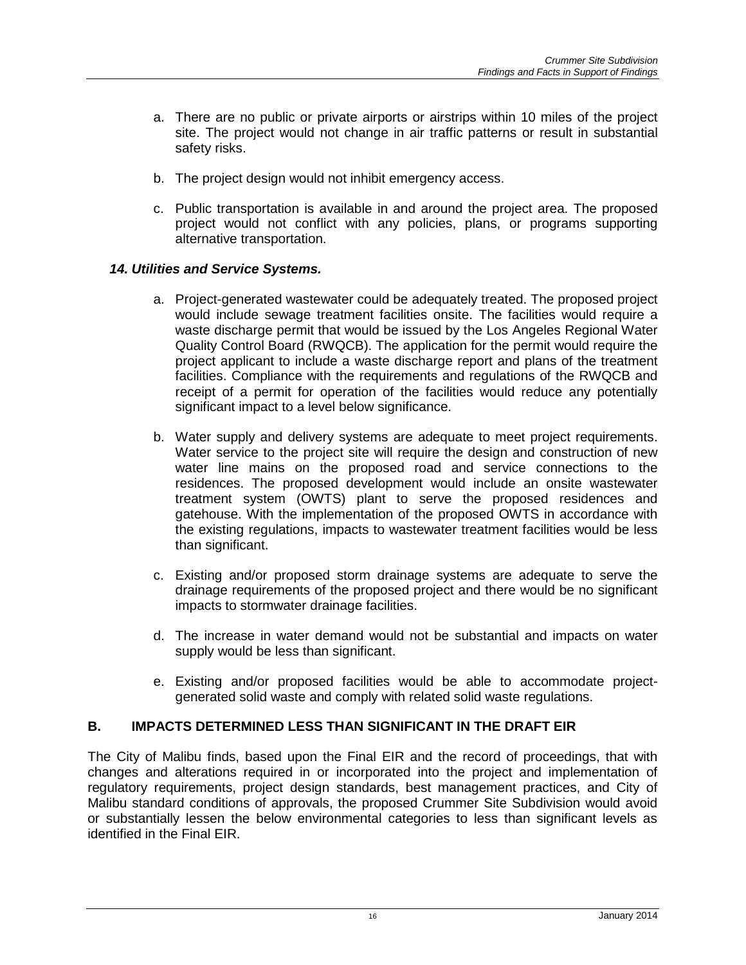- a. There are no public or private airports or airstrips within 10 miles of the project site. The project would not change in air traffic patterns or result in substantial safety risks.
- b. The project design would not inhibit emergency access.
- c. Public transportation is available in and around the project area. The proposed project would not conflict with any policies, plans, or programs supporting alternative transportation.

#### *14. Utilities and Service Systems.*

- a. Project-generated wastewater could be adequately treated. The proposed project would include sewage treatment facilities onsite. The facilities would require a waste discharge permit that would be issued by the Los Angeles Regional Water Quality Control Board (RWQCB). The application for the permit would require the project applicant to include a waste discharge report and plans of the treatment facilities. Compliance with the requirements and regulations of the RWQCB and receipt of a permit for operation of the facilities would reduce any potentially significant impact to a level below significance.
- b. Water supply and delivery systems are adequate to meet project requirements. Water service to the project site will require the design and construction of new water line mains on the proposed road and service connections to the residences. The proposed development would include an onsite wastewater treatment system (OWTS) plant to serve the proposed residences and gatehouse. With the implementation of the proposed OWTS in accordance with the existing regulations, impacts to wastewater treatment facilities would be less than significant.
- c. Existing and/or proposed storm drainage systems are adequate to serve the drainage requirements of the proposed project and there would be no significant impacts to stormwater drainage facilities.
- d. The increase in water demand would not be substantial and impacts on water supply would be less than significant.
- e. Existing and/or proposed facilities would be able to accommodate projectgenerated solid waste and comply with related solid waste regulations.

### **B. IMPACTS DETERMINED LESS THAN SIGNIFICANT IN THE DRAFT EIR**

The City of Malibu finds, based upon the Final EIR and the record of proceedings, that with changes and alterations required in or incorporated into the project and implementation of regulatory requirements, project design standards, best management practices, and City of Malibu standard conditions of approvals, the proposed Crummer Site Subdivision would avoid or substantially lessen the below environmental categories to less than significant levels as identified in the Final EIR.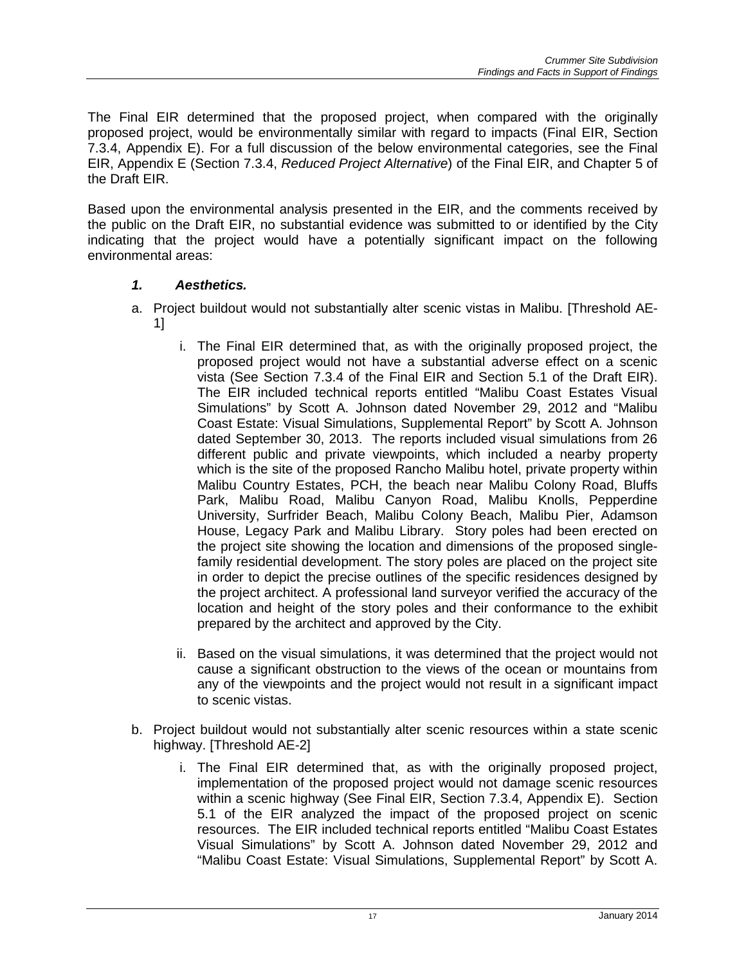The Final EIR determined that the proposed project, when compared with the originally proposed project, would be environmentally similar with regard to impacts (Final EIR, Section 7.3.4, Appendix E). For a full discussion of the below environmental categories, see the Final EIR, Appendix E (Section 7.3.4, *Reduced Project Alternative*) of the Final EIR, and Chapter 5 of the Draft EIR.

Based upon the environmental analysis presented in the EIR, and the comments received by the public on the Draft EIR, no substantial evidence was submitted to or identified by the City indicating that the project would have a potentially significant impact on the following environmental areas:

# *1. Aesthetics.*

- a. Project buildout would not substantially alter scenic vistas in Malibu. [Threshold AE-1]
	- i. The Final EIR determined that, as with the originally proposed project, the proposed project would not have a substantial adverse effect on a scenic vista (See Section 7.3.4 of the Final EIR and Section 5.1 of the Draft EIR). The EIR included technical reports entitled "Malibu Coast Estates Visual Simulations" by Scott A. Johnson dated November 29, 2012 and "Malibu Coast Estate: Visual Simulations, Supplemental Report" by Scott A. Johnson dated September 30, 2013. The reports included visual simulations from 26 different public and private viewpoints, which included a nearby property which is the site of the proposed Rancho Malibu hotel, private property within Malibu Country Estates, PCH, the beach near Malibu Colony Road, Bluffs Park, Malibu Road, Malibu Canyon Road, Malibu Knolls, Pepperdine University, Surfrider Beach, Malibu Colony Beach, Malibu Pier, Adamson House, Legacy Park and Malibu Library. Story poles had been erected on the project site showing the location and dimensions of the proposed singlefamily residential development. The story poles are placed on the project site in order to depict the precise outlines of the specific residences designed by the project architect. A professional land surveyor verified the accuracy of the location and height of the story poles and their conformance to the exhibit prepared by the architect and approved by the City.
	- ii. Based on the visual simulations, it was determined that the project would not cause a significant obstruction to the views of the ocean or mountains from any of the viewpoints and the project would not result in a significant impact to scenic vistas.
- b. Project buildout would not substantially alter scenic resources within a state scenic highway. [Threshold AE-2]
	- i. The Final EIR determined that, as with the originally proposed project, implementation of the proposed project would not damage scenic resources within a scenic highway (See Final EIR, Section 7.3.4, Appendix E). Section 5.1 of the EIR analyzed the impact of the proposed project on scenic resources. The EIR included technical reports entitled "Malibu Coast Estates Visual Simulations" by Scott A. Johnson dated November 29, 2012 and "Malibu Coast Estate: Visual Simulations, Supplemental Report" by Scott A.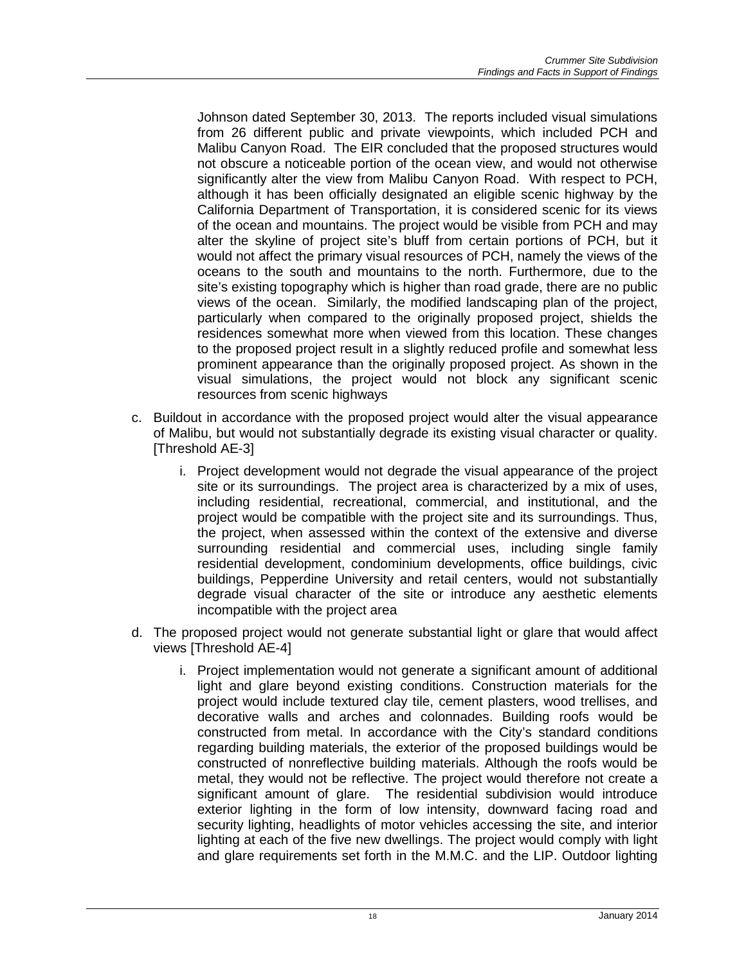Johnson dated September 30, 2013. The reports included visual simulations from 26 different public and private viewpoints, which included PCH and Malibu Canyon Road. The EIR concluded that the proposed structures would not obscure a noticeable portion of the ocean view, and would not otherwise significantly alter the view from Malibu Canyon Road. With respect to PCH, although it has been officially designated an eligible scenic highway by the California Department of Transportation, it is considered scenic for its views of the ocean and mountains. The project would be visible from PCH and may alter the skyline of project site's bluff from certain portions of PCH, but it would not affect the primary visual resources of PCH, namely the views of the oceans to the south and mountains to the north. Furthermore, due to the site's existing topography which is higher than road grade, there are no public views of the ocean. Similarly, the modified landscaping plan of the project, particularly when compared to the originally proposed project, shields the residences somewhat more when viewed from this location. These changes to the proposed project result in a slightly reduced profile and somewhat less prominent appearance than the originally proposed project. As shown in the visual simulations, the project would not block any significant scenic resources from scenic highways

- c. Buildout in accordance with the proposed project would alter the visual appearance of Malibu, but would not substantially degrade its existing visual character or quality. [Threshold AE-3]
	- i. Project development would not degrade the visual appearance of the project site or its surroundings. The project area is characterized by a mix of uses, including residential, recreational, commercial, and institutional, and the project would be compatible with the project site and its surroundings. Thus, the project, when assessed within the context of the extensive and diverse surrounding residential and commercial uses, including single family residential development, condominium developments, office buildings, civic buildings, Pepperdine University and retail centers, would not substantially degrade visual character of the site or introduce any aesthetic elements incompatible with the project area
- d. The proposed project would not generate substantial light or glare that would affect views [Threshold AE-4]
	- i. Project implementation would not generate a significant amount of additional light and glare beyond existing conditions. Construction materials for the project would include textured clay tile, cement plasters, wood trellises, and decorative walls and arches and colonnades. Building roofs would be constructed from metal. In accordance with the City's standard conditions regarding building materials, the exterior of the proposed buildings would be constructed of nonreflective building materials. Although the roofs would be metal, they would not be reflective. The project would therefore not create a significant amount of glare. The residential subdivision would introduce exterior lighting in the form of low intensity, downward facing road and security lighting, headlights of motor vehicles accessing the site, and interior lighting at each of the five new dwellings. The project would comply with light and glare requirements set forth in the M.M.C. and the LIP. Outdoor lighting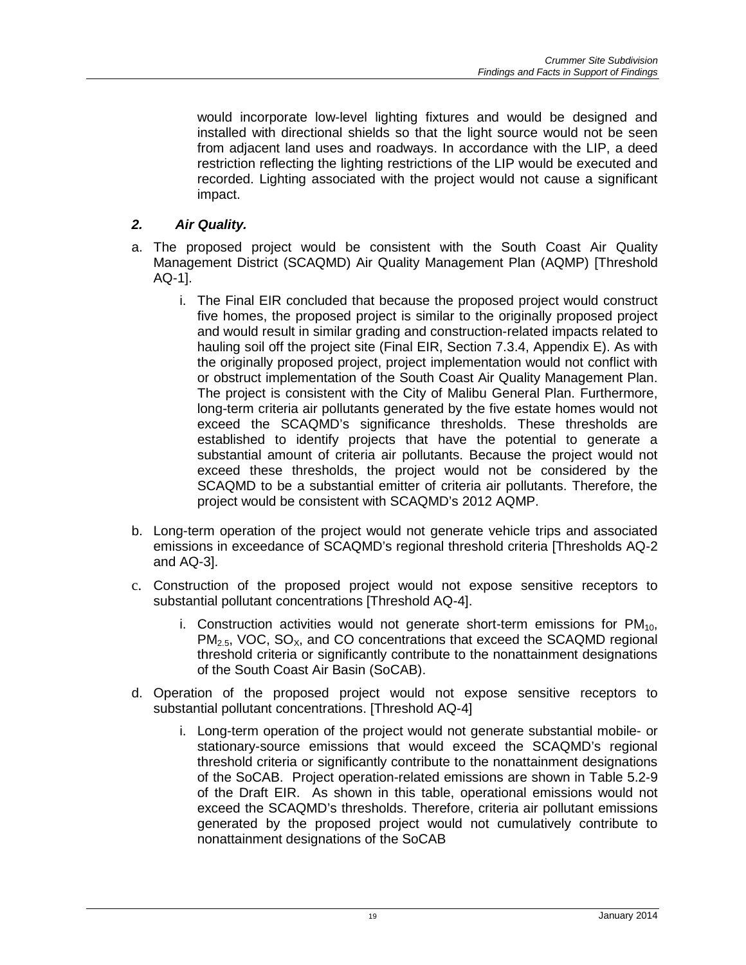would incorporate low-level lighting fixtures and would be designed and installed with directional shields so that the light source would not be seen from adjacent land uses and roadways. In accordance with the LIP, a deed restriction reflecting the lighting restrictions of the LIP would be executed and recorded. Lighting associated with the project would not cause a significant impact.

# *2. Air Quality.*

- a. The proposed project would be consistent with the South Coast Air Quality Management District (SCAQMD) Air Quality Management Plan (AQMP) [Threshold AQ-1].
	- i. The Final EIR concluded that because the proposed project would construct five homes, the proposed project is similar to the originally proposed project and would result in similar grading and construction-related impacts related to hauling soil off the project site (Final EIR, Section 7.3.4, Appendix E). As with the originally proposed project, project implementation would not conflict with or obstruct implementation of the South Coast Air Quality Management Plan. The project is consistent with the City of Malibu General Plan. Furthermore, long-term criteria air pollutants generated by the five estate homes would not exceed the SCAQMD's significance thresholds. These thresholds are established to identify projects that have the potential to generate a substantial amount of criteria air pollutants. Because the project would not exceed these thresholds, the project would not be considered by the SCAQMD to be a substantial emitter of criteria air pollutants. Therefore, the project would be consistent with SCAQMD's 2012 AQMP.
- b. Long-term operation of the project would not generate vehicle trips and associated emissions in exceedance of SCAQMD's regional threshold criteria [Thresholds AQ-2 and AQ-3].
- c. Construction of the proposed project would not expose sensitive receptors to substantial pollutant concentrations [Threshold AQ-4].
	- i. Construction activities would not generate short-term emissions for  $PM_{10}$ ,  $PM<sub>2.5</sub>$ , VOC, SO<sub>x</sub>, and CO concentrations that exceed the SCAQMD regional threshold criteria or significantly contribute to the nonattainment designations of the South Coast Air Basin (SoCAB).
- d. Operation of the proposed project would not expose sensitive receptors to substantial pollutant concentrations. [Threshold AQ-4]
	- i. Long-term operation of the project would not generate substantial mobile- or stationary-source emissions that would exceed the SCAQMD's regional threshold criteria or significantly contribute to the nonattainment designations of the SoCAB. Project operation-related emissions are shown in Table 5.2-9 of the Draft EIR. As shown in this table, operational emissions would not exceed the SCAQMD's thresholds. Therefore, criteria air pollutant emissions generated by the proposed project would not cumulatively contribute to nonattainment designations of the SoCAB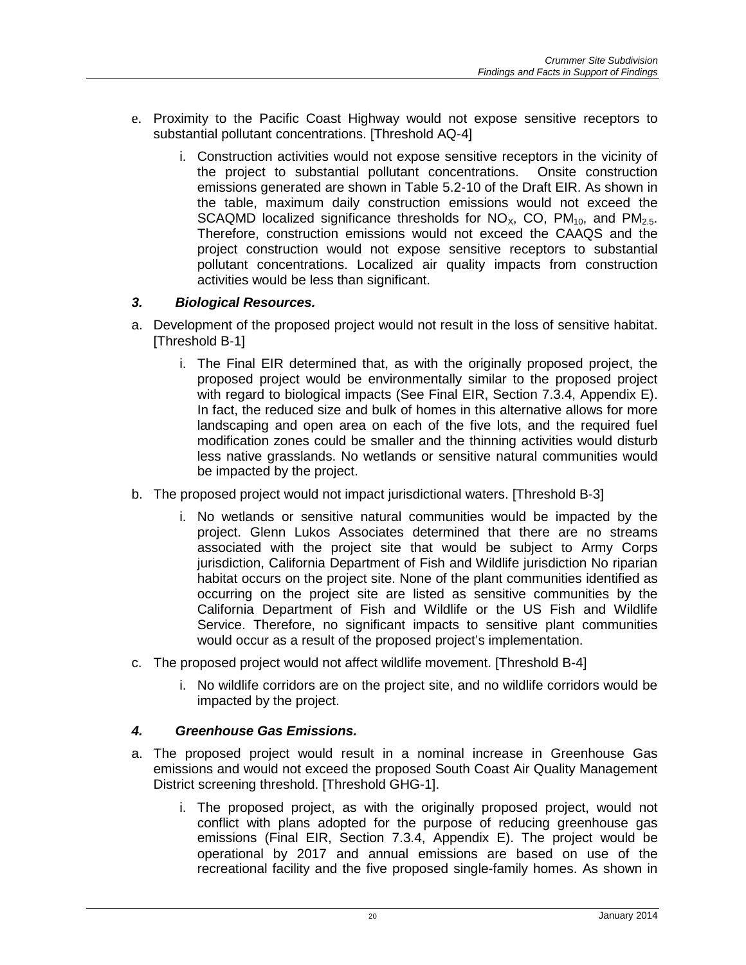- e. Proximity to the Pacific Coast Highway would not expose sensitive receptors to substantial pollutant concentrations. [Threshold AQ-4]
	- i. Construction activities would not expose sensitive receptors in the vicinity of the project to substantial pollutant concentrations. Onsite construction emissions generated are shown in Table 5.2-10 of the Draft EIR. As shown in the table, maximum daily construction emissions would not exceed the SCAQMD localized significance thresholds for  $NO_{X}$ , CO,  $PM_{10}$ , and  $PM_{2.5}$ . Therefore, construction emissions would not exceed the CAAQS and the project construction would not expose sensitive receptors to substantial pollutant concentrations. Localized air quality impacts from construction activities would be less than significant.

### *3. Biological Resources.*

- a. Development of the proposed project would not result in the loss of sensitive habitat. [Threshold B-1]
	- i. The Final EIR determined that, as with the originally proposed project, the proposed project would be environmentally similar to the proposed project with regard to biological impacts (See Final EIR, Section 7.3.4, Appendix E). In fact, the reduced size and bulk of homes in this alternative allows for more landscaping and open area on each of the five lots, and the required fuel modification zones could be smaller and the thinning activities would disturb less native grasslands. No wetlands or sensitive natural communities would be impacted by the project.
- b. The proposed project would not impact jurisdictional waters. [Threshold B-3]
	- i. No wetlands or sensitive natural communities would be impacted by the project. Glenn Lukos Associates determined that there are no streams associated with the project site that would be subject to Army Corps jurisdiction, California Department of Fish and Wildlife jurisdiction No riparian habitat occurs on the project site. None of the plant communities identified as occurring on the project site are listed as sensitive communities by the California Department of Fish and Wildlife or the US Fish and Wildlife Service. Therefore, no significant impacts to sensitive plant communities would occur as a result of the proposed project's implementation.
- c. The proposed project would not affect wildlife movement. [Threshold B-4]
	- i. No wildlife corridors are on the project site, and no wildlife corridors would be impacted by the project.

#### *4. Greenhouse Gas Emissions.*

- a. The proposed project would result in a nominal increase in Greenhouse Gas emissions and would not exceed the proposed South Coast Air Quality Management District screening threshold. [Threshold GHG-1].
	- i. The proposed project, as with the originally proposed project, would not conflict with plans adopted for the purpose of reducing greenhouse gas emissions (Final EIR, Section 7.3.4, Appendix E). The project would be operational by 2017 and annual emissions are based on use of the recreational facility and the five proposed single-family homes. As shown in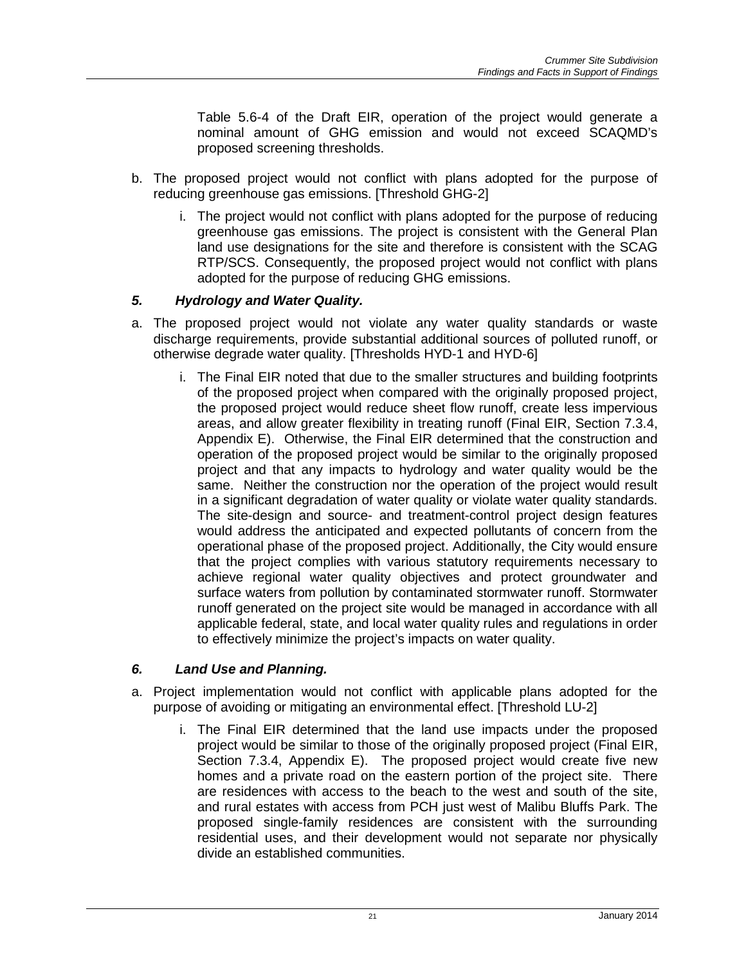Table 5.6-4 of the Draft EIR, operation of the project would generate a nominal amount of GHG emission and would not exceed SCAQMD's proposed screening thresholds.

- b. The proposed project would not conflict with plans adopted for the purpose of reducing greenhouse gas emissions. [Threshold GHG-2]
	- i. The project would not conflict with plans adopted for the purpose of reducing greenhouse gas emissions. The project is consistent with the General Plan land use designations for the site and therefore is consistent with the SCAG RTP/SCS. Consequently, the proposed project would not conflict with plans adopted for the purpose of reducing GHG emissions.

### *5. Hydrology and Water Quality.*

- a. The proposed project would not violate any water quality standards or waste discharge requirements, provide substantial additional sources of polluted runoff, or otherwise degrade water quality. [Thresholds HYD-1 and HYD-6]
	- i. The Final EIR noted that due to the smaller structures and building footprints of the proposed project when compared with the originally proposed project, the proposed project would reduce sheet flow runoff, create less impervious areas, and allow greater flexibility in treating runoff (Final EIR, Section 7.3.4, Appendix E). Otherwise, the Final EIR determined that the construction and operation of the proposed project would be similar to the originally proposed project and that any impacts to hydrology and water quality would be the same. Neither the construction nor the operation of the project would result in a significant degradation of water quality or violate water quality standards. The site-design and source- and treatment-control project design features would address the anticipated and expected pollutants of concern from the operational phase of the proposed project. Additionally, the City would ensure that the project complies with various statutory requirements necessary to achieve regional water quality objectives and protect groundwater and surface waters from pollution by contaminated stormwater runoff. Stormwater runoff generated on the project site would be managed in accordance with all applicable federal, state, and local water quality rules and regulations in order to effectively minimize the project's impacts on water quality.

#### *6. Land Use and Planning.*

- a. Project implementation would not conflict with applicable plans adopted for the purpose of avoiding or mitigating an environmental effect. [Threshold LU-2]
	- i. The Final EIR determined that the land use impacts under the proposed project would be similar to those of the originally proposed project (Final EIR, Section 7.3.4, Appendix E). The proposed project would create five new homes and a private road on the eastern portion of the project site. There are residences with access to the beach to the west and south of the site, and rural estates with access from PCH just west of Malibu Bluffs Park. The proposed single-family residences are consistent with the surrounding residential uses, and their development would not separate nor physically divide an established communities.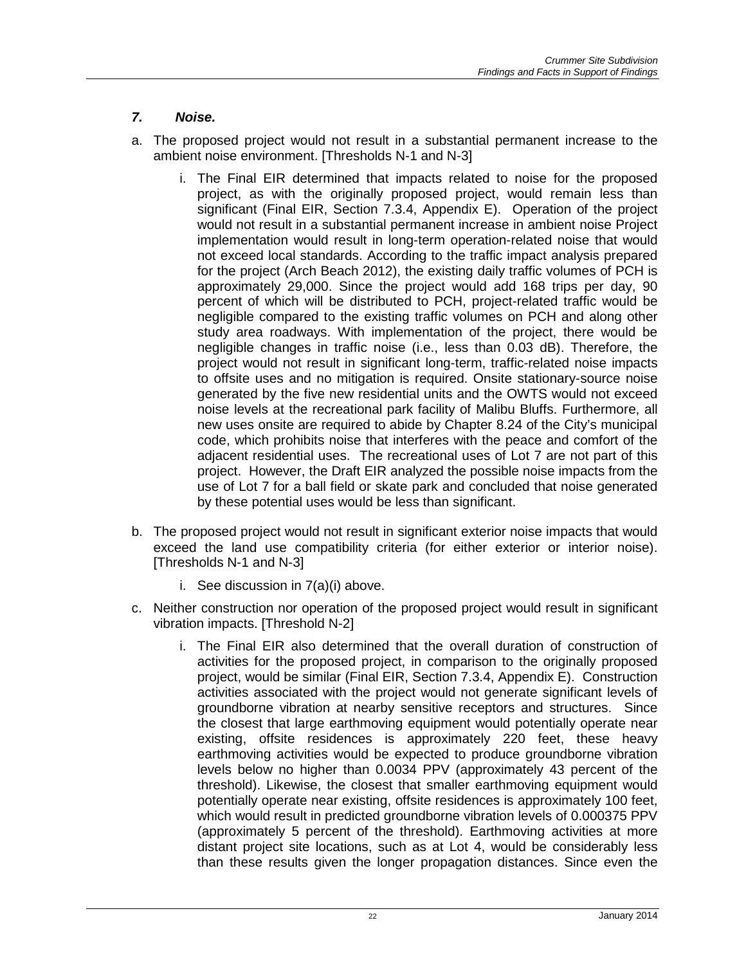# *7. Noise.*

- a. The proposed project would not result in a substantial permanent increase to the ambient noise environment. [Thresholds N-1 and N-3]
	- i. The Final EIR determined that impacts related to noise for the proposed project, as with the originally proposed project, would remain less than significant (Final EIR, Section 7.3.4, Appendix E). Operation of the project would not result in a substantial permanent increase in ambient noise Project implementation would result in long-term operation-related noise that would not exceed local standards. According to the traffic impact analysis prepared for the project (Arch Beach 2012), the existing daily traffic volumes of PCH is approximately 29,000. Since the project would add 168 trips per day, 90 percent of which will be distributed to PCH, project-related traffic would be negligible compared to the existing traffic volumes on PCH and along other study area roadways. With implementation of the project, there would be negligible changes in traffic noise (i.e., less than 0.03 dB). Therefore, the project would not result in significant long-term, traffic-related noise impacts to offsite uses and no mitigation is required. Onsite stationary-source noise generated by the five new residential units and the OWTS would not exceed noise levels at the recreational park facility of Malibu Bluffs. Furthermore, all new uses onsite are required to abide by Chapter 8.24 of the City's municipal code, which prohibits noise that interferes with the peace and comfort of the adjacent residential uses. The recreational uses of Lot 7 are not part of this project. However, the Draft EIR analyzed the possible noise impacts from the use of Lot 7 for a ball field or skate park and concluded that noise generated by these potential uses would be less than significant.
- b. The proposed project would not result in significant exterior noise impacts that would exceed the land use compatibility criteria (for either exterior or interior noise). [Thresholds N-1 and N-3]
	- i. See discussion in 7(a)(i) above.
- c. Neither construction nor operation of the proposed project would result in significant vibration impacts. [Threshold N-2]
	- i. The Final EIR also determined that the overall duration of construction of activities for the proposed project, in comparison to the originally proposed project, would be similar (Final EIR, Section 7.3.4, Appendix E). Construction activities associated with the project would not generate significant levels of groundborne vibration at nearby sensitive receptors and structures. Since the closest that large earthmoving equipment would potentially operate near existing, offsite residences is approximately 220 feet, these heavy earthmoving activities would be expected to produce groundborne vibration levels below no higher than 0.0034 PPV (approximately 43 percent of the threshold). Likewise, the closest that smaller earthmoving equipment would potentially operate near existing, offsite residences is approximately 100 feet, which would result in predicted groundborne vibration levels of 0.000375 PPV (approximately 5 percent of the threshold). Earthmoving activities at more distant project site locations, such as at Lot 4, would be considerably less than these results given the longer propagation distances. Since even the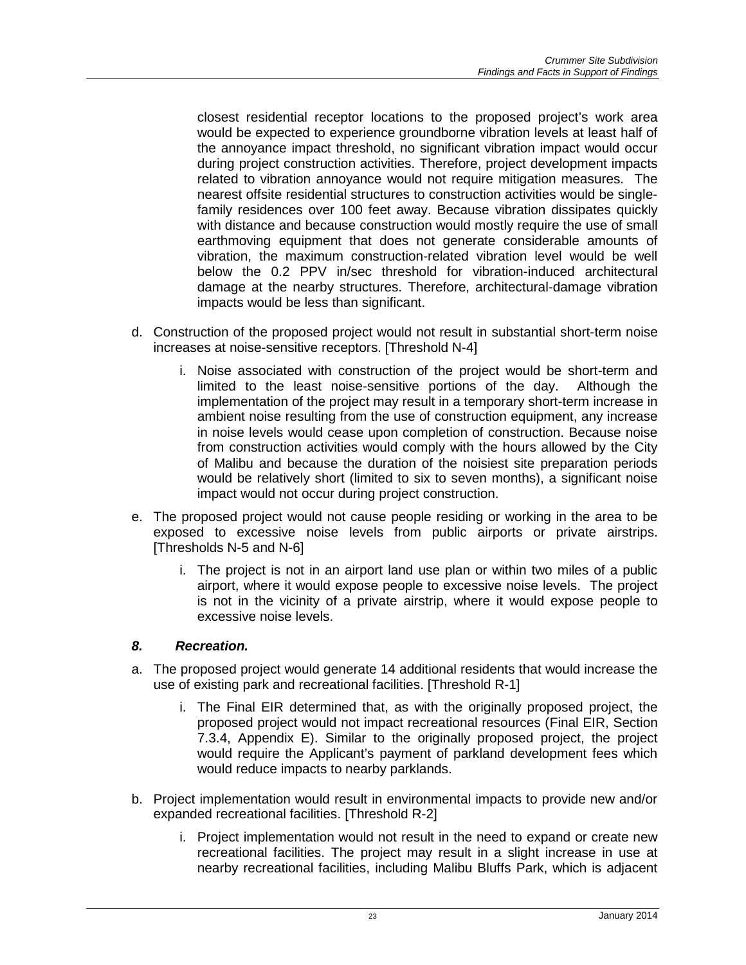closest residential receptor locations to the proposed project's work area would be expected to experience groundborne vibration levels at least half of the annoyance impact threshold, no significant vibration impact would occur during project construction activities. Therefore, project development impacts related to vibration annoyance would not require mitigation measures. The nearest offsite residential structures to construction activities would be singlefamily residences over 100 feet away. Because vibration dissipates quickly with distance and because construction would mostly require the use of small earthmoving equipment that does not generate considerable amounts of vibration, the maximum construction-related vibration level would be well below the 0.2 PPV in/sec threshold for vibration-induced architectural damage at the nearby structures. Therefore, architectural-damage vibration impacts would be less than significant.

- d. Construction of the proposed project would not result in substantial short-term noise increases at noise-sensitive receptors. [Threshold N-4]
	- i. Noise associated with construction of the project would be short-term and limited to the least noise-sensitive portions of the day. Although the implementation of the project may result in a temporary short-term increase in ambient noise resulting from the use of construction equipment, any increase in noise levels would cease upon completion of construction. Because noise from construction activities would comply with the hours allowed by the City of Malibu and because the duration of the noisiest site preparation periods would be relatively short (limited to six to seven months), a significant noise impact would not occur during project construction.
- e. The proposed project would not cause people residing or working in the area to be exposed to excessive noise levels from public airports or private airstrips. [Thresholds N-5 and N-6]
	- i. The project is not in an airport land use plan or within two miles of a public airport, where it would expose people to excessive noise levels. The project is not in the vicinity of a private airstrip, where it would expose people to excessive noise levels.

#### *8. Recreation.*

- a. The proposed project would generate 14 additional residents that would increase the use of existing park and recreational facilities. [Threshold R-1]
	- i. The Final EIR determined that, as with the originally proposed project, the proposed project would not impact recreational resources (Final EIR, Section 7.3.4, Appendix E). Similar to the originally proposed project, the project would require the Applicant's payment of parkland development fees which would reduce impacts to nearby parklands.
- b. Project implementation would result in environmental impacts to provide new and/or expanded recreational facilities. [Threshold R-2]
	- i. Project implementation would not result in the need to expand or create new recreational facilities. The project may result in a slight increase in use at nearby recreational facilities, including Malibu Bluffs Park, which is adjacent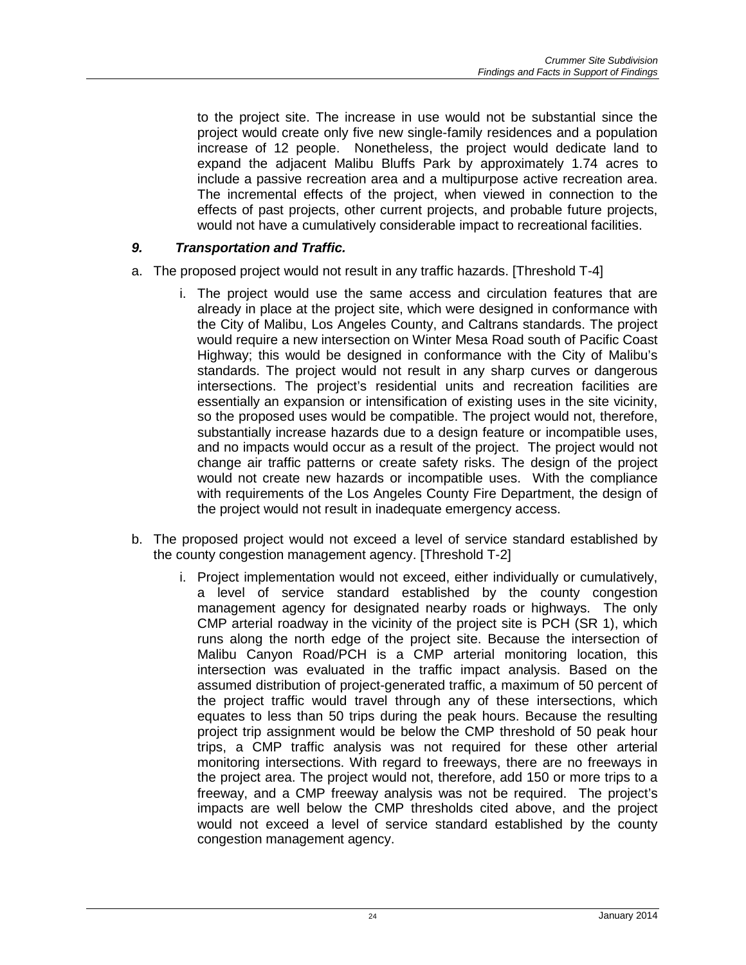to the project site. The increase in use would not be substantial since the project would create only five new single-family residences and a population increase of 12 people. Nonetheless, the project would dedicate land to expand the adjacent Malibu Bluffs Park by approximately 1.74 acres to include a passive recreation area and a multipurpose active recreation area. The incremental effects of the project, when viewed in connection to the effects of past projects, other current projects, and probable future projects, would not have a cumulatively considerable impact to recreational facilities.

# *9. Transportation and Traffic.*

- a. The proposed project would not result in any traffic hazards. [Threshold T-4]
	- i. The project would use the same access and circulation features that are already in place at the project site, which were designed in conformance with the City of Malibu, Los Angeles County, and Caltrans standards. The project would require a new intersection on Winter Mesa Road south of Pacific Coast Highway; this would be designed in conformance with the City of Malibu's standards. The project would not result in any sharp curves or dangerous intersections. The project's residential units and recreation facilities are essentially an expansion or intensification of existing uses in the site vicinity, so the proposed uses would be compatible. The project would not, therefore, substantially increase hazards due to a design feature or incompatible uses, and no impacts would occur as a result of the project. The project would not change air traffic patterns or create safety risks. The design of the project would not create new hazards or incompatible uses. With the compliance with requirements of the Los Angeles County Fire Department, the design of the project would not result in inadequate emergency access.
- b. The proposed project would not exceed a level of service standard established by the county congestion management agency. [Threshold T-2]
	- i. Project implementation would not exceed, either individually or cumulatively, a level of service standard established by the county congestion management agency for designated nearby roads or highways. The only CMP arterial roadway in the vicinity of the project site is PCH (SR 1), which runs along the north edge of the project site. Because the intersection of Malibu Canyon Road/PCH is a CMP arterial monitoring location, this intersection was evaluated in the traffic impact analysis. Based on the assumed distribution of project-generated traffic, a maximum of 50 percent of the project traffic would travel through any of these intersections, which equates to less than 50 trips during the peak hours. Because the resulting project trip assignment would be below the CMP threshold of 50 peak hour trips, a CMP traffic analysis was not required for these other arterial monitoring intersections. With regard to freeways, there are no freeways in the project area. The project would not, therefore, add 150 or more trips to a freeway, and a CMP freeway analysis was not be required. The project's impacts are well below the CMP thresholds cited above, and the project would not exceed a level of service standard established by the county congestion management agency.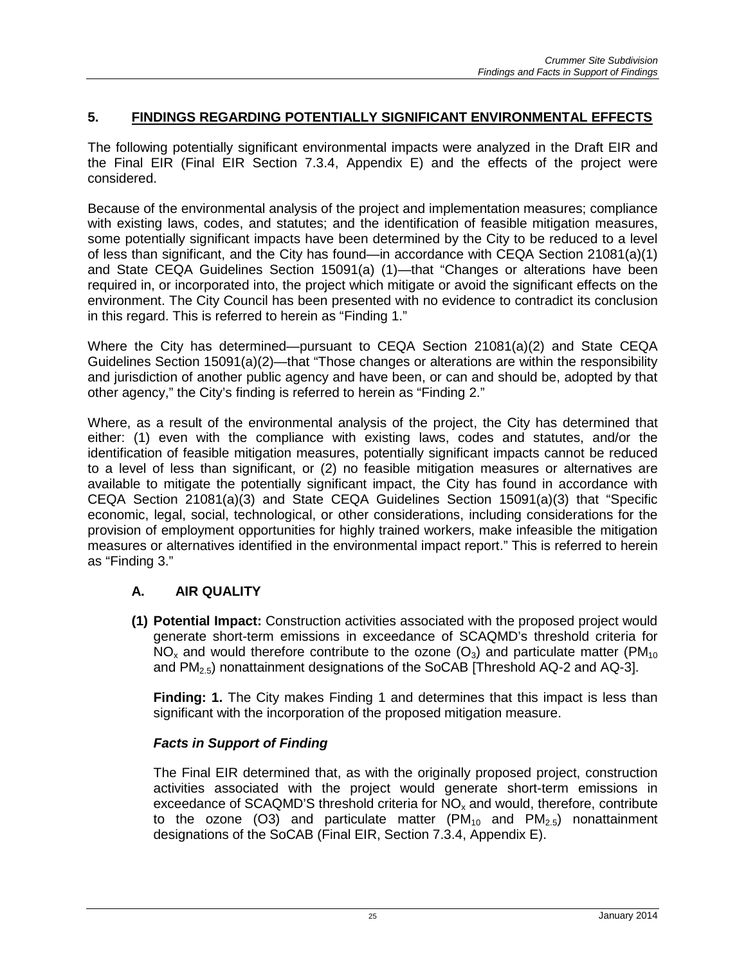# **5. FINDINGS REGARDING POTENTIALLY SIGNIFICANT ENVIRONMENTAL EFFECTS**

The following potentially significant environmental impacts were analyzed in the Draft EIR and the Final EIR (Final EIR Section 7.3.4, Appendix E) and the effects of the project were considered.

Because of the environmental analysis of the project and implementation measures; compliance with existing laws, codes, and statutes; and the identification of feasible mitigation measures, some potentially significant impacts have been determined by the City to be reduced to a level of less than significant, and the City has found—in accordance with CEQA Section 21081(a)(1) and State CEQA Guidelines Section 15091(a) (1)—that "Changes or alterations have been required in, or incorporated into, the project which mitigate or avoid the significant effects on the environment. The City Council has been presented with no evidence to contradict its conclusion in this regard. This is referred to herein as "Finding 1."

Where the City has determined—pursuant to CEQA Section 21081(a)(2) and State CEQA Guidelines Section 15091(a)(2)—that "Those changes or alterations are within the responsibility and jurisdiction of another public agency and have been, or can and should be, adopted by that other agency," the City's finding is referred to herein as "Finding 2."

Where, as a result of the environmental analysis of the project, the City has determined that either: (1) even with the compliance with existing laws, codes and statutes, and/or the identification of feasible mitigation measures, potentially significant impacts cannot be reduced to a level of less than significant, or (2) no feasible mitigation measures or alternatives are available to mitigate the potentially significant impact, the City has found in accordance with CEQA Section 21081(a)(3) and State CEQA Guidelines Section 15091(a)(3) that "Specific economic, legal, social, technological, or other considerations, including considerations for the provision of employment opportunities for highly trained workers, make infeasible the mitigation measures or alternatives identified in the environmental impact report." This is referred to herein as "Finding 3."

# **A. AIR QUALITY**

**(1) Potential Impact:** Construction activities associated with the proposed project would generate short-term emissions in exceedance of SCAQMD's threshold criteria for NO<sub>x</sub> and would therefore contribute to the ozone  $(O_3)$  and particulate matter (PM<sub>10</sub>) and  $PM<sub>2.5</sub>$ ) nonattainment designations of the SoCAB [Threshold AQ-2 and AQ-3].

**Finding: 1.** The City makes Finding 1 and determines that this impact is less than significant with the incorporation of the proposed mitigation measure.

# *Facts in Support of Finding*

The Final EIR determined that, as with the originally proposed project, construction activities associated with the project would generate short-term emissions in exceedance of SCAQMD'S threshold criteria for  $NO<sub>x</sub>$  and would, therefore, contribute to the ozone (O3) and particulate matter (PM $_{10}$  and PM $_{25}$ ) nonattainment designations of the SoCAB (Final EIR, Section 7.3.4, Appendix E).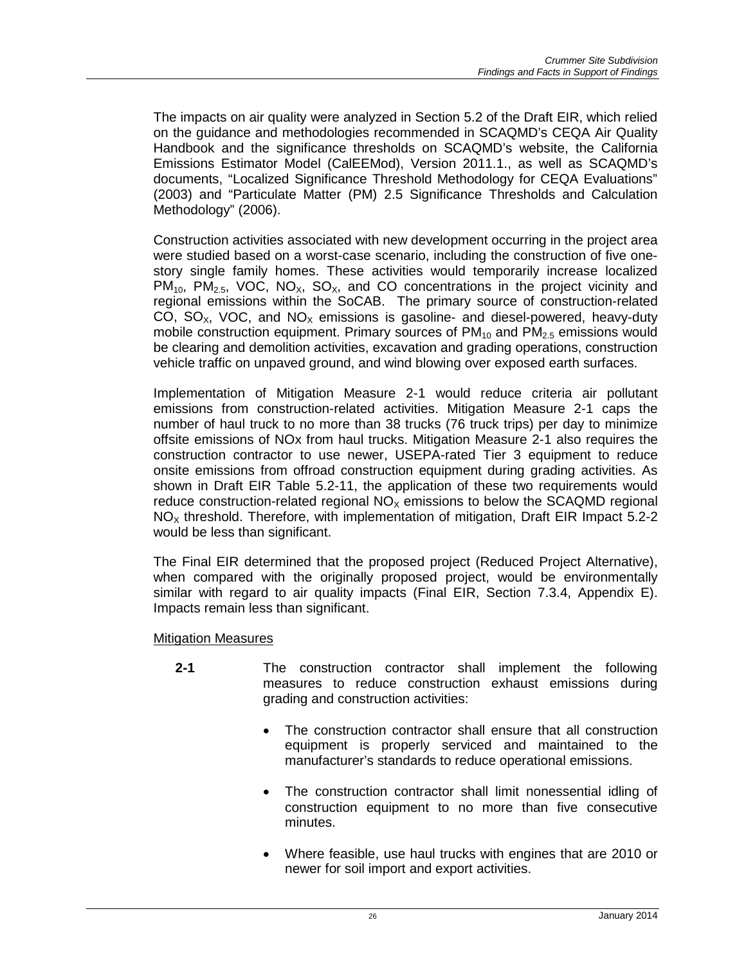The impacts on air quality were analyzed in Section 5.2 of the Draft EIR, which relied on the guidance and methodologies recommended in SCAQMD's CEQA Air Quality Handbook and the significance thresholds on SCAQMD's website, the California Emissions Estimator Model (CalEEMod), Version 2011.1., as well as SCAQMD's documents, "Localized Significance Threshold Methodology for CEQA Evaluations" (2003) and "Particulate Matter (PM) 2.5 Significance Thresholds and Calculation Methodology" (2006).

Construction activities associated with new development occurring in the project area were studied based on a worst-case scenario, including the construction of five onestory single family homes. These activities would temporarily increase localized  $PM_{10}$ ,  $PM_{2.5}$ , VOC, NO<sub>x</sub>, SO<sub>x</sub>, and CO concentrations in the project vicinity and regional emissions within the SoCAB. The primary source of construction-related CO,  $SO_{x}$ , VOC, and  $NO_{x}$  emissions is gasoline- and diesel-powered, heavy-duty mobile construction equipment. Primary sources of  $PM_{10}$  and  $PM_{2.5}$  emissions would be clearing and demolition activities, excavation and grading operations, construction vehicle traffic on unpaved ground, and wind blowing over exposed earth surfaces.

Implementation of Mitigation Measure 2-1 would reduce criteria air pollutant emissions from construction-related activities. Mitigation Measure 2-1 caps the number of haul truck to no more than 38 trucks (76 truck trips) per day to minimize offsite emissions of NOx from haul trucks. Mitigation Measure 2-1 also requires the construction contractor to use newer, USEPA-rated Tier 3 equipment to reduce onsite emissions from offroad construction equipment during grading activities. As shown in Draft EIR Table 5.2-11, the application of these two requirements would reduce construction-related regional  $NO<sub>x</sub>$  emissions to below the SCAQMD regional  $NO<sub>x</sub>$  threshold. Therefore, with implementation of mitigation, Draft EIR Impact 5.2-2 would be less than significant.

The Final EIR determined that the proposed project (Reduced Project Alternative), when compared with the originally proposed project, would be environmentally similar with regard to air quality impacts (Final EIR, Section 7.3.4, Appendix E). Impacts remain less than significant.

#### Mitigation Measures

- **2-1** The construction contractor shall implement the following measures to reduce construction exhaust emissions during grading and construction activities:
	- The construction contractor shall ensure that all construction equipment is properly serviced and maintained to the manufacturer's standards to reduce operational emissions.
	- The construction contractor shall limit nonessential idling of construction equipment to no more than five consecutive minutes.
	- Where feasible, use haul trucks with engines that are 2010 or newer for soil import and export activities.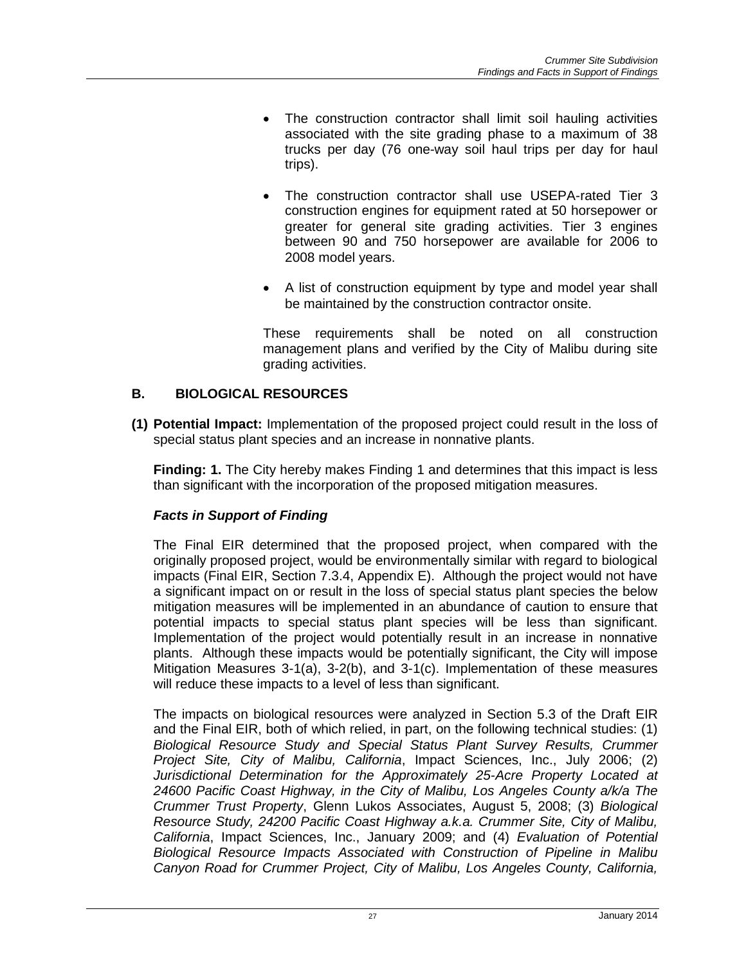- The construction contractor shall limit soil hauling activities associated with the site grading phase to a maximum of 38 trucks per day (76 one-way soil haul trips per day for haul trips).
- The construction contractor shall use USEPA-rated Tier 3 construction engines for equipment rated at 50 horsepower or greater for general site grading activities. Tier 3 engines between 90 and 750 horsepower are available for 2006 to 2008 model years.
- A list of construction equipment by type and model year shall be maintained by the construction contractor onsite.

These requirements shall be noted on all construction management plans and verified by the City of Malibu during site grading activities.

# **B. BIOLOGICAL RESOURCES**

**(1) Potential Impact:** Implementation of the proposed project could result in the loss of special status plant species and an increase in nonnative plants.

**Finding: 1.** The City hereby makes Finding 1 and determines that this impact is less than significant with the incorporation of the proposed mitigation measures.

# *Facts in Support of Finding*

The Final EIR determined that the proposed project, when compared with the originally proposed project, would be environmentally similar with regard to biological impacts (Final EIR, Section 7.3.4, Appendix E). Although the project would not have a significant impact on or result in the loss of special status plant species the below mitigation measures will be implemented in an abundance of caution to ensure that potential impacts to special status plant species will be less than significant. Implementation of the project would potentially result in an increase in nonnative plants. Although these impacts would be potentially significant, the City will impose Mitigation Measures 3-1(a), 3-2(b), and 3-1(c). Implementation of these measures will reduce these impacts to a level of less than significant.

The impacts on biological resources were analyzed in Section 5.3 of the Draft EIR and the Final EIR, both of which relied, in part, on the following technical studies: (1) *Biological Resource Study and Special Status Plant Survey Results, Crummer Project Site, City of Malibu, California*, Impact Sciences, Inc., July 2006; (2) *Jurisdictional Determination for the Approximately 25-Acre Property Located at 24600 Pacific Coast Highway, in the City of Malibu, Los Angeles County a/k/a The Crummer Trust Property*, Glenn Lukos Associates, August 5, 2008; (3) *Biological Resource Study, 24200 Pacific Coast Highway a.k.a. Crummer Site, City of Malibu, California*, Impact Sciences, Inc., January 2009; and (4) *Evaluation of Potential Biological Resource Impacts Associated with Construction of Pipeline in Malibu Canyon Road for Crummer Project, City of Malibu, Los Angeles County, California,*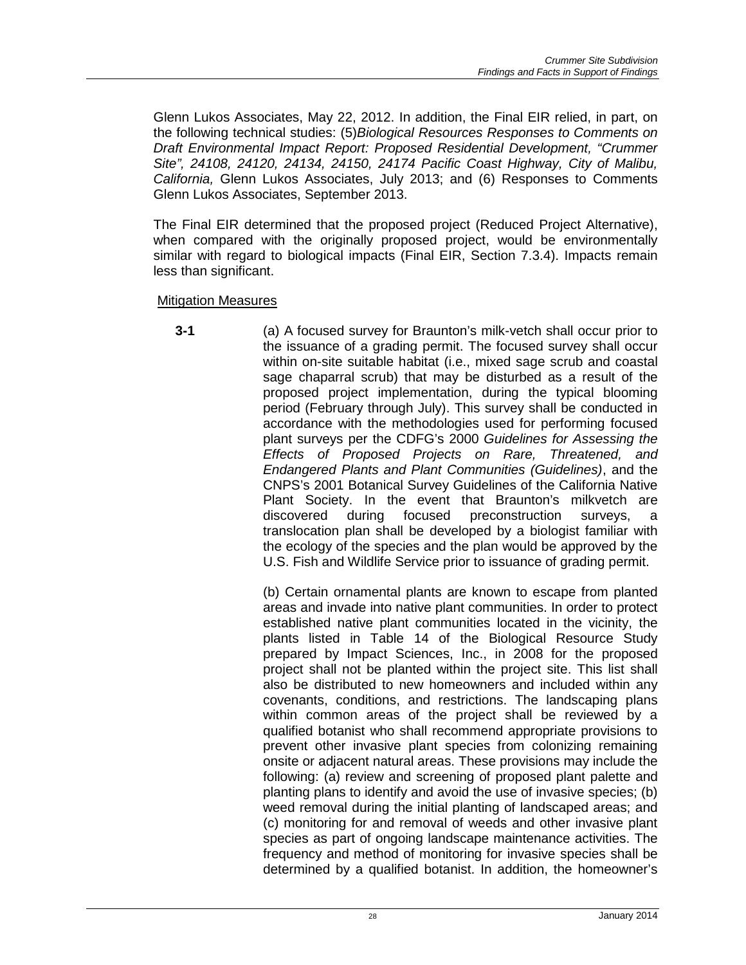Glenn Lukos Associates, May 22, 2012. In addition, the Final EIR relied, in part, on the following technical studies: (5)*Biological Resources Responses to Comments on Draft Environmental Impact Report: Proposed Residential Development, "Crummer Site", 24108, 24120, 24134, 24150, 24174 Pacific Coast Highway, City of Malibu, California,* Glenn Lukos Associates, July 2013; and (6) Responses to Comments Glenn Lukos Associates, September 2013.

The Final EIR determined that the proposed project (Reduced Project Alternative), when compared with the originally proposed project, would be environmentally similar with regard to biological impacts (Final EIR, Section 7.3.4). Impacts remain less than significant.

Mitigation Measures

**3-1** (a) A focused survey for Braunton's milk-vetch shall occur prior to the issuance of a grading permit. The focused survey shall occur within on-site suitable habitat (i.e., mixed sage scrub and coastal sage chaparral scrub) that may be disturbed as a result of the proposed project implementation, during the typical blooming period (February through July). This survey shall be conducted in accordance with the methodologies used for performing focused plant surveys per the CDFG's 2000 *Guidelines for Assessing the Effects of Proposed Projects on Rare, Threatened, and Endangered Plants and Plant Communities (Guidelines)*, and the CNPS's 2001 Botanical Survey Guidelines of the California Native Plant Society. In the event that Braunton's milkvetch are discovered during focused preconstruction surveys, a preconstruction surveys, a translocation plan shall be developed by a biologist familiar with the ecology of the species and the plan would be approved by the U.S. Fish and Wildlife Service prior to issuance of grading permit.

> (b) Certain ornamental plants are known to escape from planted areas and invade into native plant communities. In order to protect established native plant communities located in the vicinity, the plants listed in Table 14 of the Biological Resource Study prepared by Impact Sciences, Inc., in 2008 for the proposed project shall not be planted within the project site. This list shall also be distributed to new homeowners and included within any covenants, conditions, and restrictions. The landscaping plans within common areas of the project shall be reviewed by a qualified botanist who shall recommend appropriate provisions to prevent other invasive plant species from colonizing remaining onsite or adjacent natural areas. These provisions may include the following: (a) review and screening of proposed plant palette and planting plans to identify and avoid the use of invasive species; (b) weed removal during the initial planting of landscaped areas; and (c) monitoring for and removal of weeds and other invasive plant species as part of ongoing landscape maintenance activities. The frequency and method of monitoring for invasive species shall be determined by a qualified botanist. In addition, the homeowner's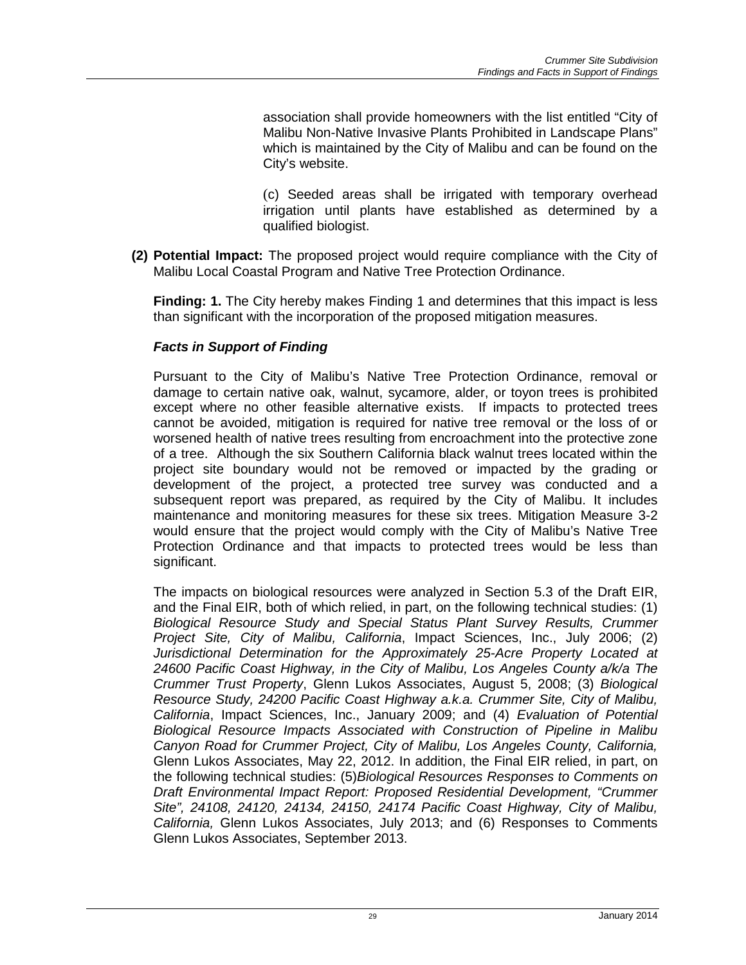association shall provide homeowners with the list entitled "City of Malibu Non-Native Invasive Plants Prohibited in Landscape Plans" which is maintained by the City of Malibu and can be found on the City's website.

(c) Seeded areas shall be irrigated with temporary overhead irrigation until plants have established as determined by a qualified biologist.

**(2) Potential Impact:** The proposed project would require compliance with the City of Malibu Local Coastal Program and Native Tree Protection Ordinance.

**Finding: 1.** The City hereby makes Finding 1 and determines that this impact is less than significant with the incorporation of the proposed mitigation measures.

### *Facts in Support of Finding*

Pursuant to the City of Malibu's Native Tree Protection Ordinance, removal or damage to certain native oak, walnut, sycamore, alder, or toyon trees is prohibited except where no other feasible alternative exists. If impacts to protected trees cannot be avoided, mitigation is required for native tree removal or the loss of or worsened health of native trees resulting from encroachment into the protective zone of a tree. Although the six Southern California black walnut trees located within the project site boundary would not be removed or impacted by the grading or development of the project, a protected tree survey was conducted and a subsequent report was prepared, as required by the City of Malibu. It includes maintenance and monitoring measures for these six trees. Mitigation Measure 3-2 would ensure that the project would comply with the City of Malibu's Native Tree Protection Ordinance and that impacts to protected trees would be less than significant.

The impacts on biological resources were analyzed in Section 5.3 of the Draft EIR, and the Final EIR, both of which relied, in part, on the following technical studies: (1) *Biological Resource Study and Special Status Plant Survey Results, Crummer Project Site, City of Malibu, California*, Impact Sciences, Inc., July 2006; (2) *Jurisdictional Determination for the Approximately 25-Acre Property Located at 24600 Pacific Coast Highway, in the City of Malibu, Los Angeles County a/k/a The Crummer Trust Property*, Glenn Lukos Associates, August 5, 2008; (3) *Biological Resource Study, 24200 Pacific Coast Highway a.k.a. Crummer Site, City of Malibu, California*, Impact Sciences, Inc., January 2009; and (4) *Evaluation of Potential Biological Resource Impacts Associated with Construction of Pipeline in Malibu Canyon Road for Crummer Project, City of Malibu, Los Angeles County, California,* Glenn Lukos Associates, May 22, 2012. In addition, the Final EIR relied, in part, on the following technical studies: (5)*Biological Resources Responses to Comments on Draft Environmental Impact Report: Proposed Residential Development, "Crummer Site", 24108, 24120, 24134, 24150, 24174 Pacific Coast Highway, City of Malibu, California,* Glenn Lukos Associates, July 2013; and (6) Responses to Comments Glenn Lukos Associates, September 2013.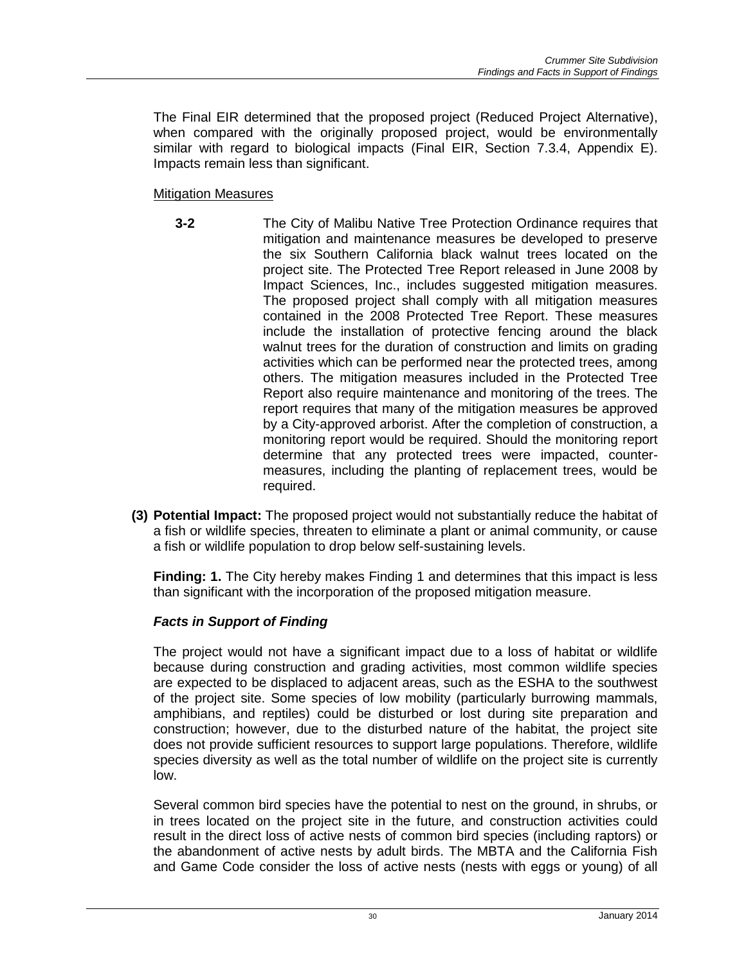The Final EIR determined that the proposed project (Reduced Project Alternative), when compared with the originally proposed project, would be environmentally similar with regard to biological impacts (Final EIR, Section 7.3.4, Appendix E). Impacts remain less than significant.

### Mitigation Measures

- **3-2** The City of Malibu Native Tree Protection Ordinance requires that mitigation and maintenance measures be developed to preserve the six Southern California black walnut trees located on the project site. The Protected Tree Report released in June 2008 by Impact Sciences, Inc., includes suggested mitigation measures. The proposed project shall comply with all mitigation measures contained in the 2008 Protected Tree Report. These measures include the installation of protective fencing around the black walnut trees for the duration of construction and limits on grading activities which can be performed near the protected trees, among others. The mitigation measures included in the Protected Tree Report also require maintenance and monitoring of the trees. The report requires that many of the mitigation measures be approved by a City-approved arborist. After the completion of construction, a monitoring report would be required. Should the monitoring report determine that any protected trees were impacted, countermeasures, including the planting of replacement trees, would be required.
- **(3) Potential Impact:** The proposed project would not substantially reduce the habitat of a fish or wildlife species, threaten to eliminate a plant or animal community, or cause a fish or wildlife population to drop below self-sustaining levels.

**Finding: 1.** The City hereby makes Finding 1 and determines that this impact is less than significant with the incorporation of the proposed mitigation measure.

# *Facts in Support of Finding*

The project would not have a significant impact due to a loss of habitat or wildlife because during construction and grading activities, most common wildlife species are expected to be displaced to adjacent areas, such as the ESHA to the southwest of the project site. Some species of low mobility (particularly burrowing mammals, amphibians, and reptiles) could be disturbed or lost during site preparation and construction; however, due to the disturbed nature of the habitat, the project site does not provide sufficient resources to support large populations. Therefore, wildlife species diversity as well as the total number of wildlife on the project site is currently low.

Several common bird species have the potential to nest on the ground, in shrubs, or in trees located on the project site in the future, and construction activities could result in the direct loss of active nests of common bird species (including raptors) or the abandonment of active nests by adult birds. The MBTA and the California Fish and Game Code consider the loss of active nests (nests with eggs or young) of all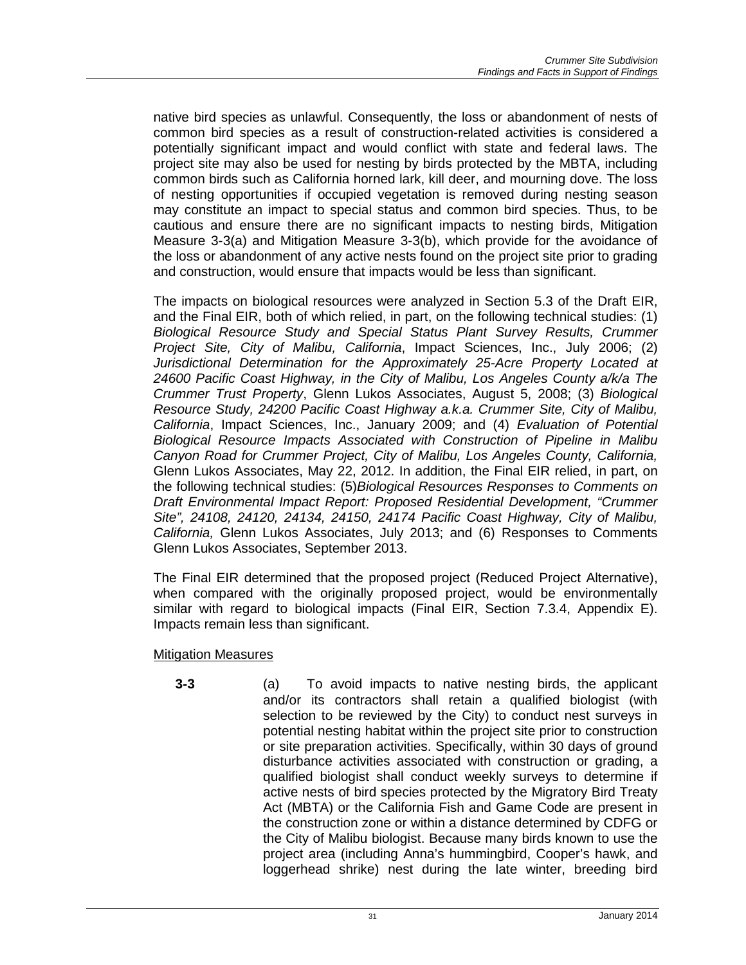native bird species as unlawful. Consequently, the loss or abandonment of nests of common bird species as a result of construction-related activities is considered a potentially significant impact and would conflict with state and federal laws. The project site may also be used for nesting by birds protected by the MBTA, including common birds such as California horned lark, kill deer, and mourning dove. The loss of nesting opportunities if occupied vegetation is removed during nesting season may constitute an impact to special status and common bird species. Thus, to be cautious and ensure there are no significant impacts to nesting birds, Mitigation Measure 3-3(a) and Mitigation Measure 3-3(b), which provide for the avoidance of the loss or abandonment of any active nests found on the project site prior to grading and construction, would ensure that impacts would be less than significant.

The impacts on biological resources were analyzed in Section 5.3 of the Draft EIR, and the Final EIR, both of which relied, in part, on the following technical studies: (1) *Biological Resource Study and Special Status Plant Survey Results, Crummer Project Site, City of Malibu, California*, Impact Sciences, Inc., July 2006; (2) *Jurisdictional Determination for the Approximately 25-Acre Property Located at 24600 Pacific Coast Highway, in the City of Malibu, Los Angeles County a/k/a The Crummer Trust Property*, Glenn Lukos Associates, August 5, 2008; (3) *Biological Resource Study, 24200 Pacific Coast Highway a.k.a. Crummer Site, City of Malibu, California*, Impact Sciences, Inc., January 2009; and (4) *Evaluation of Potential Biological Resource Impacts Associated with Construction of Pipeline in Malibu Canyon Road for Crummer Project, City of Malibu, Los Angeles County, California,* Glenn Lukos Associates, May 22, 2012. In addition, the Final EIR relied, in part, on the following technical studies: (5)*Biological Resources Responses to Comments on Draft Environmental Impact Report: Proposed Residential Development, "Crummer Site", 24108, 24120, 24134, 24150, 24174 Pacific Coast Highway, City of Malibu, California,* Glenn Lukos Associates, July 2013; and (6) Responses to Comments Glenn Lukos Associates, September 2013.

The Final EIR determined that the proposed project (Reduced Project Alternative), when compared with the originally proposed project, would be environmentally similar with regard to biological impacts (Final EIR, Section 7.3.4, Appendix E). Impacts remain less than significant.

#### Mitigation Measures

**3-3** (a) To avoid impacts to native nesting birds, the applicant and/or its contractors shall retain a qualified biologist (with selection to be reviewed by the City) to conduct nest surveys in potential nesting habitat within the project site prior to construction or site preparation activities. Specifically, within 30 days of ground disturbance activities associated with construction or grading, a qualified biologist shall conduct weekly surveys to determine if active nests of bird species protected by the Migratory Bird Treaty Act (MBTA) or the California Fish and Game Code are present in the construction zone or within a distance determined by CDFG or the City of Malibu biologist. Because many birds known to use the project area (including Anna's hummingbird, Cooper's hawk, and loggerhead shrike) nest during the late winter, breeding bird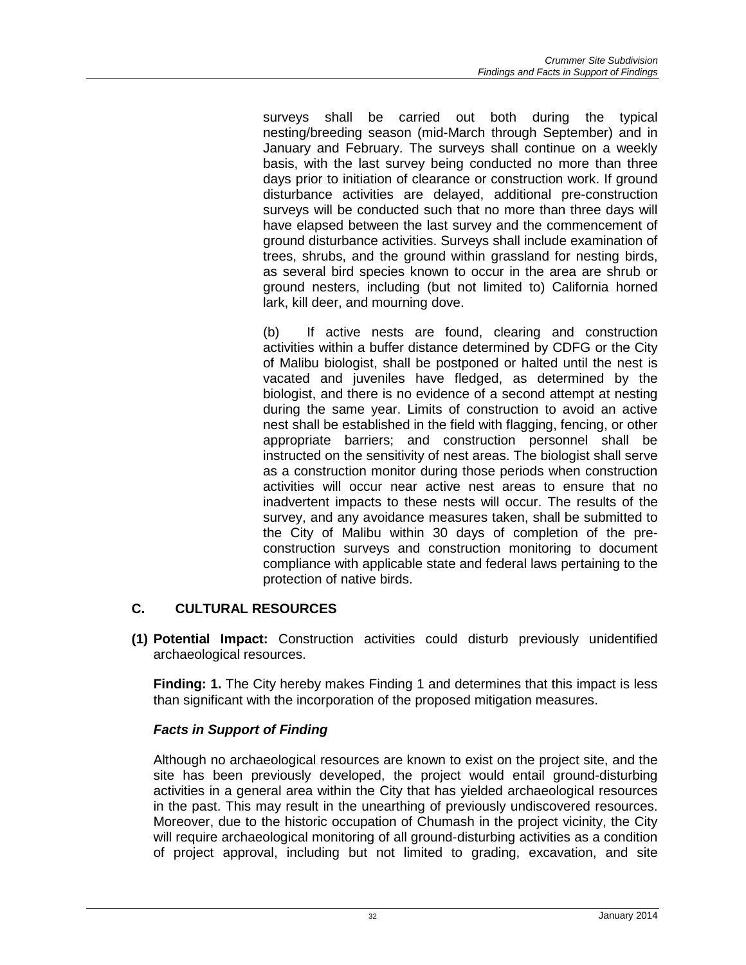surveys shall be carried out both during the typical nesting/breeding season (mid-March through September) and in January and February. The surveys shall continue on a weekly basis, with the last survey being conducted no more than three days prior to initiation of clearance or construction work. If ground disturbance activities are delayed, additional pre-construction surveys will be conducted such that no more than three days will have elapsed between the last survey and the commencement of ground disturbance activities. Surveys shall include examination of trees, shrubs, and the ground within grassland for nesting birds, as several bird species known to occur in the area are shrub or ground nesters, including (but not limited to) California horned lark, kill deer, and mourning dove.

(b) If active nests are found, clearing and construction activities within a buffer distance determined by CDFG or the City of Malibu biologist, shall be postponed or halted until the nest is vacated and juveniles have fledged, as determined by the biologist, and there is no evidence of a second attempt at nesting during the same year. Limits of construction to avoid an active nest shall be established in the field with flagging, fencing, or other appropriate barriers; and construction personnel shall be instructed on the sensitivity of nest areas. The biologist shall serve as a construction monitor during those periods when construction activities will occur near active nest areas to ensure that no inadvertent impacts to these nests will occur. The results of the survey, and any avoidance measures taken, shall be submitted to the City of Malibu within 30 days of completion of the preconstruction surveys and construction monitoring to document compliance with applicable state and federal laws pertaining to the protection of native birds.

# **C. CULTURAL RESOURCES**

**(1) Potential Impact:** Construction activities could disturb previously unidentified archaeological resources.

**Finding: 1.** The City hereby makes Finding 1 and determines that this impact is less than significant with the incorporation of the proposed mitigation measures.

# *Facts in Support of Finding*

Although no archaeological resources are known to exist on the project site, and the site has been previously developed, the project would entail ground-disturbing activities in a general area within the City that has yielded archaeological resources in the past. This may result in the unearthing of previously undiscovered resources. Moreover, due to the historic occupation of Chumash in the project vicinity, the City will require archaeological monitoring of all ground-disturbing activities as a condition of project approval, including but not limited to grading, excavation, and site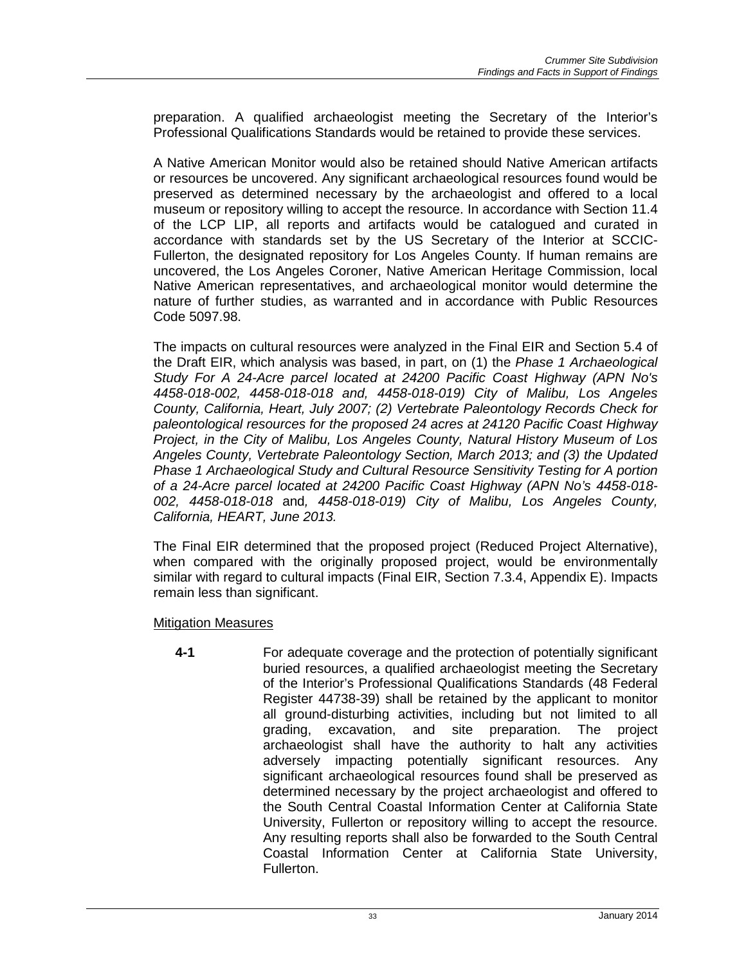preparation. A qualified archaeologist meeting the Secretary of the Interior's Professional Qualifications Standards would be retained to provide these services.

A Native American Monitor would also be retained should Native American artifacts or resources be uncovered. Any significant archaeological resources found would be preserved as determined necessary by the archaeologist and offered to a local museum or repository willing to accept the resource. In accordance with Section 11.4 of the LCP LIP, all reports and artifacts would be catalogued and curated in accordance with standards set by the US Secretary of the Interior at SCCIC-Fullerton, the designated repository for Los Angeles County. If human remains are uncovered, the Los Angeles Coroner, Native American Heritage Commission, local Native American representatives, and archaeological monitor would determine the nature of further studies, as warranted and in accordance with Public Resources Code 5097.98.

The impacts on cultural resources were analyzed in the Final EIR and Section 5.4 of the Draft EIR, which analysis was based, in part, on (1) the *Phase 1 Archaeological Study For A 24-Acre parcel located at 24200 Pacific Coast Highway (APN No's 4458-018-002, 4458-018-018 and, 4458-018-019) City of Malibu, Los Angeles County, California, Heart, July 2007; (2) Vertebrate Paleontology Records Check for paleontological resources for the proposed 24 acres at 24120 Pacific Coast Highway Project, in the City of Malibu, Los Angeles County, Natural History Museum of Los Angeles County, Vertebrate Paleontology Section, March 2013; and (3) the Updated Phase 1 Archaeological Study and Cultural Resource Sensitivity Testing for A portion of a 24-Acre parcel located at 24200 Pacific Coast Highway (APN No's 4458-018- 002, 4458-018-018* and*, 4458-018-019) City of Malibu, Los Angeles County, California, HEART, June 2013.*

The Final EIR determined that the proposed project (Reduced Project Alternative), when compared with the originally proposed project, would be environmentally similar with regard to cultural impacts (Final EIR, Section 7.3.4, Appendix E). Impacts remain less than significant.

Mitigation Measures

**4-1** For adequate coverage and the protection of potentially significant buried resources, a qualified archaeologist meeting the Secretary of the Interior's Professional Qualifications Standards (48 Federal Register 44738-39) shall be retained by the applicant to monitor all ground-disturbing activities, including but not limited to all grading, excavation, and site preparation. The project archaeologist shall have the authority to halt any activities adversely impacting potentially significant resources. Any significant archaeological resources found shall be preserved as determined necessary by the project archaeologist and offered to the South Central Coastal Information Center at California State University, Fullerton or repository willing to accept the resource. Any resulting reports shall also be forwarded to the South Central Coastal Information Center at California State University, Fullerton.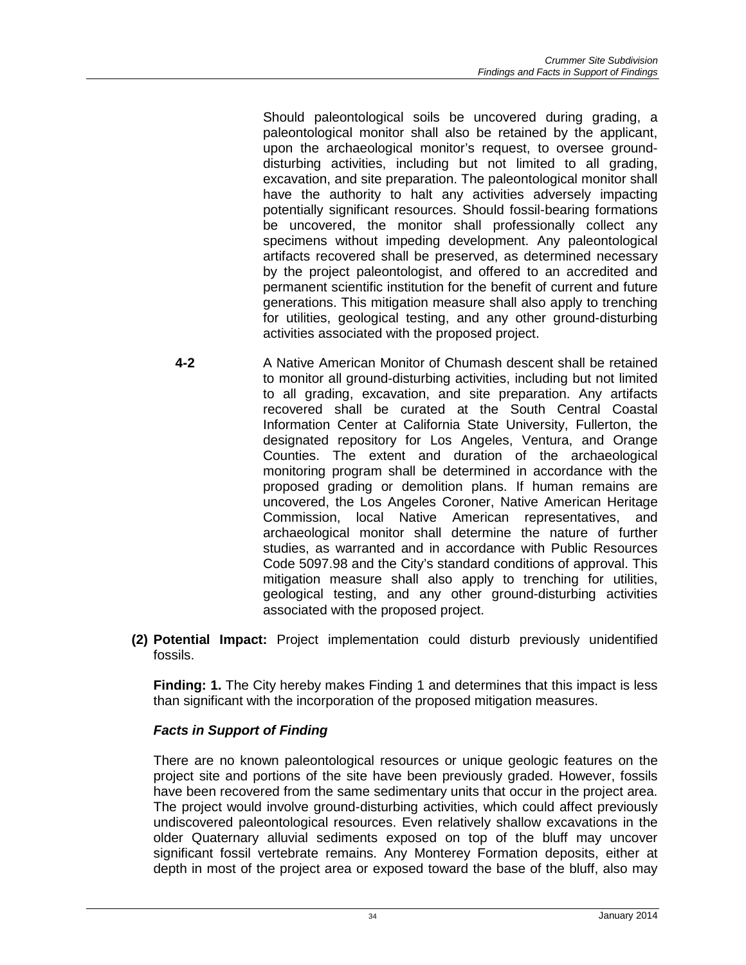Should paleontological soils be uncovered during grading, a paleontological monitor shall also be retained by the applicant, upon the archaeological monitor's request, to oversee grounddisturbing activities, including but not limited to all grading, excavation, and site preparation. The paleontological monitor shall have the authority to halt any activities adversely impacting potentially significant resources. Should fossil-bearing formations be uncovered, the monitor shall professionally collect any specimens without impeding development. Any paleontological artifacts recovered shall be preserved, as determined necessary by the project paleontologist, and offered to an accredited and permanent scientific institution for the benefit of current and future generations. This mitigation measure shall also apply to trenching for utilities, geological testing, and any other ground-disturbing activities associated with the proposed project.

- **4-2** A Native American Monitor of Chumash descent shall be retained to monitor all ground-disturbing activities, including but not limited to all grading, excavation, and site preparation. Any artifacts recovered shall be curated at the South Central Coastal Information Center at California State University, Fullerton, the designated repository for Los Angeles, Ventura, and Orange Counties. The extent and duration of the archaeological monitoring program shall be determined in accordance with the proposed grading or demolition plans. If human remains are uncovered, the Los Angeles Coroner, Native American Heritage Commission, local Native American representatives, and archaeological monitor shall determine the nature of further studies, as warranted and in accordance with Public Resources Code 5097.98 and the City's standard conditions of approval. This mitigation measure shall also apply to trenching for utilities, geological testing, and any other ground-disturbing activities associated with the proposed project.
- **(2) Potential Impact:** Project implementation could disturb previously unidentified fossils.

**Finding: 1.** The City hereby makes Finding 1 and determines that this impact is less than significant with the incorporation of the proposed mitigation measures.

# *Facts in Support of Finding*

There are no known paleontological resources or unique geologic features on the project site and portions of the site have been previously graded. However, fossils have been recovered from the same sedimentary units that occur in the project area. The project would involve ground-disturbing activities, which could affect previously undiscovered paleontological resources. Even relatively shallow excavations in the older Quaternary alluvial sediments exposed on top of the bluff may uncover significant fossil vertebrate remains. Any Monterey Formation deposits, either at depth in most of the project area or exposed toward the base of the bluff, also may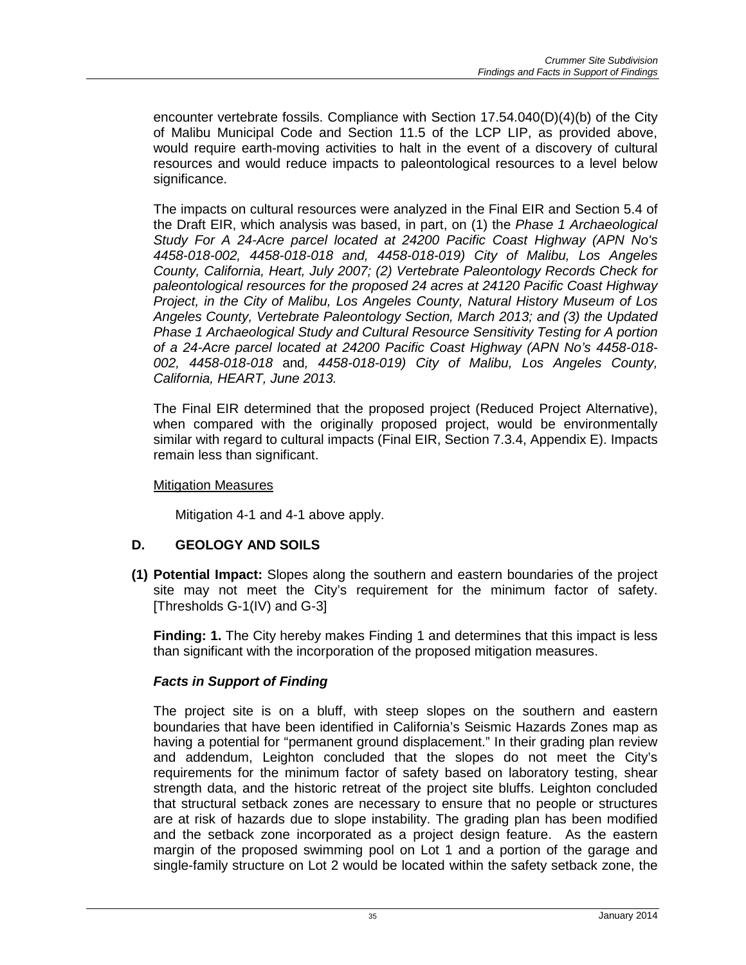encounter vertebrate fossils. Compliance with Section 17.54.040(D)(4)(b) of the City of Malibu Municipal Code and Section 11.5 of the LCP LIP, as provided above, would require earth-moving activities to halt in the event of a discovery of cultural resources and would reduce impacts to paleontological resources to a level below significance.

The impacts on cultural resources were analyzed in the Final EIR and Section 5.4 of the Draft EIR, which analysis was based, in part, on (1) the *Phase 1 Archaeological Study For A 24-Acre parcel located at 24200 Pacific Coast Highway (APN No's 4458-018-002, 4458-018-018 and, 4458-018-019) City of Malibu, Los Angeles County, California, Heart, July 2007; (2) Vertebrate Paleontology Records Check for paleontological resources for the proposed 24 acres at 24120 Pacific Coast Highway Project, in the City of Malibu, Los Angeles County, Natural History Museum of Los Angeles County, Vertebrate Paleontology Section, March 2013; and (3) the Updated Phase 1 Archaeological Study and Cultural Resource Sensitivity Testing for A portion of a 24-Acre parcel located at 24200 Pacific Coast Highway (APN No's 4458-018- 002, 4458-018-018* and*, 4458-018-019) City of Malibu, Los Angeles County, California, HEART, June 2013.*

The Final EIR determined that the proposed project (Reduced Project Alternative), when compared with the originally proposed project, would be environmentally similar with regard to cultural impacts (Final EIR, Section 7.3.4, Appendix E). Impacts remain less than significant.

#### Mitigation Measures

Mitigation 4-1 and 4-1 above apply.

# **D. GEOLOGY AND SOILS**

**(1) Potential Impact:** Slopes along the southern and eastern boundaries of the project site may not meet the City's requirement for the minimum factor of safety. [Thresholds G-1(IV) and G-3]

**Finding: 1.** The City hereby makes Finding 1 and determines that this impact is less than significant with the incorporation of the proposed mitigation measures.

# *Facts in Support of Finding*

The project site is on a bluff, with steep slopes on the southern and eastern boundaries that have been identified in California's Seismic Hazards Zones map as having a potential for "permanent ground displacement." In their grading plan review and addendum, Leighton concluded that the slopes do not meet the City's requirements for the minimum factor of safety based on laboratory testing, shear strength data, and the historic retreat of the project site bluffs. Leighton concluded that structural setback zones are necessary to ensure that no people or structures are at risk of hazards due to slope instability. The grading plan has been modified and the setback zone incorporated as a project design feature. As the eastern margin of the proposed swimming pool on Lot 1 and a portion of the garage and single-family structure on Lot 2 would be located within the safety setback zone, the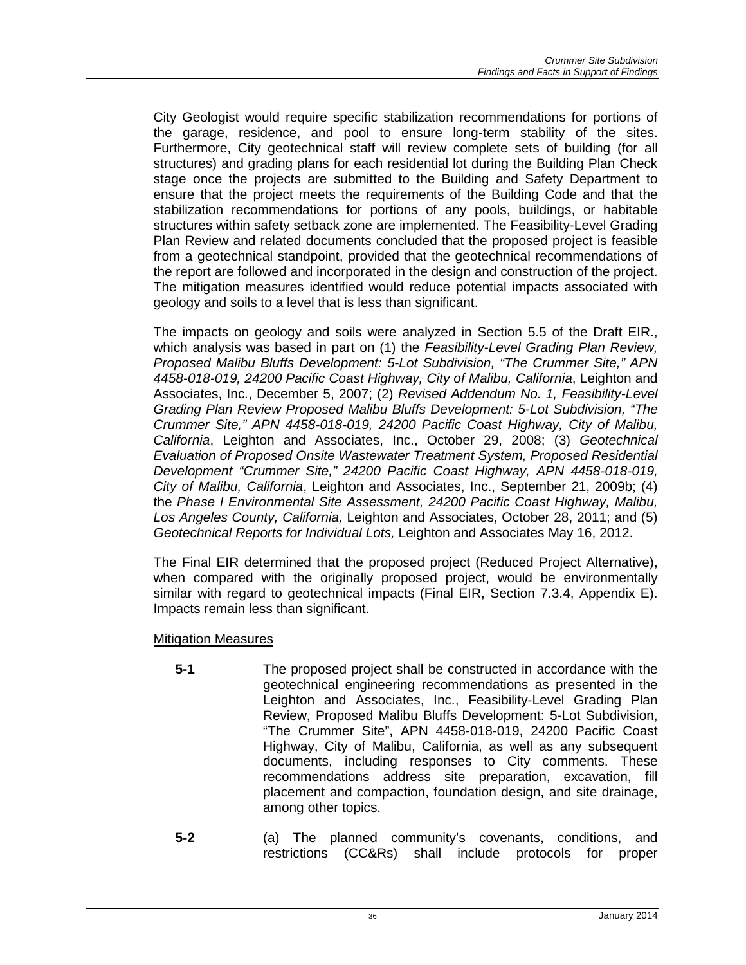City Geologist would require specific stabilization recommendations for portions of the garage, residence, and pool to ensure long-term stability of the sites. Furthermore, City geotechnical staff will review complete sets of building (for all structures) and grading plans for each residential lot during the Building Plan Check stage once the projects are submitted to the Building and Safety Department to ensure that the project meets the requirements of the Building Code and that the stabilization recommendations for portions of any pools, buildings, or habitable structures within safety setback zone are implemented. The Feasibility-Level Grading Plan Review and related documents concluded that the proposed project is feasible from a geotechnical standpoint, provided that the geotechnical recommendations of the report are followed and incorporated in the design and construction of the project. The mitigation measures identified would reduce potential impacts associated with geology and soils to a level that is less than significant.

The impacts on geology and soils were analyzed in Section 5.5 of the Draft EIR., which analysis was based in part on (1) the *Feasibility-Level Grading Plan Review, Proposed Malibu Bluffs Development: 5-Lot Subdivision, "The Crummer Site," APN 4458-018-019, 24200 Pacific Coast Highway, City of Malibu, California*, Leighton and Associates, Inc., December 5, 2007; (2) *Revised Addendum No. 1, Feasibility-Level Grading Plan Review Proposed Malibu Bluffs Development: 5-Lot Subdivision, "The Crummer Site," APN 4458-018-019, 24200 Pacific Coast Highway, City of Malibu, California*, Leighton and Associates, Inc., October 29, 2008; (3) *Geotechnical Evaluation of Proposed Onsite Wastewater Treatment System, Proposed Residential Development "Crummer Site," 24200 Pacific Coast Highway, APN 4458-018-019, City of Malibu, California*, Leighton and Associates, Inc., September 21, 2009b; (4) the *Phase I Environmental Site Assessment, 24200 Pacific Coast Highway, Malibu, Los Angeles County, California,* Leighton and Associates, October 28, 2011; and (5) *Geotechnical Reports for Individual Lots,* Leighton and Associates May 16, 2012.

The Final EIR determined that the proposed project (Reduced Project Alternative), when compared with the originally proposed project, would be environmentally similar with regard to geotechnical impacts (Final EIR, Section 7.3.4, Appendix E). Impacts remain less than significant.

#### Mitigation Measures

- **5-1** The proposed project shall be constructed in accordance with the geotechnical engineering recommendations as presented in the Leighton and Associates, Inc., Feasibility-Level Grading Plan Review, Proposed Malibu Bluffs Development: 5-Lot Subdivision, "The Crummer Site", APN 4458-018-019, 24200 Pacific Coast Highway, City of Malibu, California, as well as any subsequent documents, including responses to City comments. These recommendations address site preparation, excavation, fill placement and compaction, foundation design, and site drainage, among other topics.
- **5-2** (a) The planned community's covenants, conditions, and restrictions (CC&Rs) shall include protocols for proper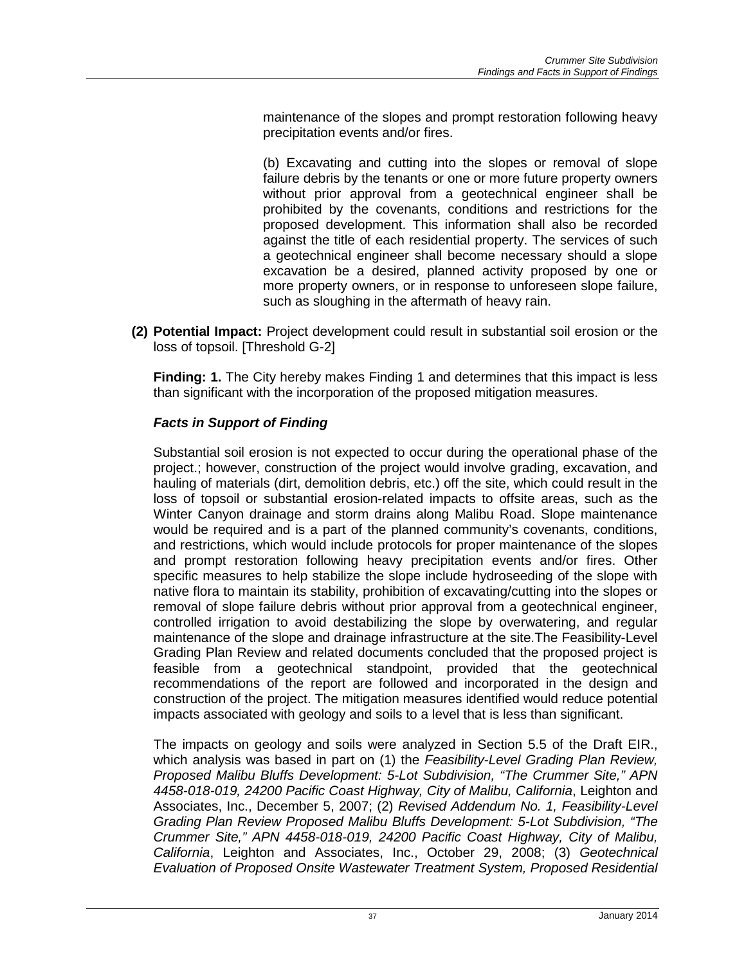maintenance of the slopes and prompt restoration following heavy precipitation events and/or fires.

(b) Excavating and cutting into the slopes or removal of slope failure debris by the tenants or one or more future property owners without prior approval from a geotechnical engineer shall be prohibited by the covenants, conditions and restrictions for the proposed development. This information shall also be recorded against the title of each residential property. The services of such a geotechnical engineer shall become necessary should a slope excavation be a desired, planned activity proposed by one or more property owners, or in response to unforeseen slope failure, such as sloughing in the aftermath of heavy rain.

**(2) Potential Impact:** Project development could result in substantial soil erosion or the loss of topsoil. [Threshold G-2]

**Finding: 1.** The City hereby makes Finding 1 and determines that this impact is less than significant with the incorporation of the proposed mitigation measures.

# *Facts in Support of Finding*

Substantial soil erosion is not expected to occur during the operational phase of the project.; however, construction of the project would involve grading, excavation, and hauling of materials (dirt, demolition debris, etc.) off the site, which could result in the loss of topsoil or substantial erosion-related impacts to offsite areas, such as the Winter Canyon drainage and storm drains along Malibu Road. Slope maintenance would be required and is a part of the planned community's covenants, conditions, and restrictions, which would include protocols for proper maintenance of the slopes and prompt restoration following heavy precipitation events and/or fires. Other specific measures to help stabilize the slope include hydroseeding of the slope with native flora to maintain its stability, prohibition of excavating/cutting into the slopes or removal of slope failure debris without prior approval from a geotechnical engineer, controlled irrigation to avoid destabilizing the slope by overwatering, and regular maintenance of the slope and drainage infrastructure at the site.The Feasibility-Level Grading Plan Review and related documents concluded that the proposed project is feasible from a geotechnical standpoint, provided that the geotechnical recommendations of the report are followed and incorporated in the design and construction of the project. The mitigation measures identified would reduce potential impacts associated with geology and soils to a level that is less than significant.

The impacts on geology and soils were analyzed in Section 5.5 of the Draft EIR., which analysis was based in part on (1) the *Feasibility-Level Grading Plan Review, Proposed Malibu Bluffs Development: 5-Lot Subdivision, "The Crummer Site," APN 4458-018-019, 24200 Pacific Coast Highway, City of Malibu, California*, Leighton and Associates, Inc., December 5, 2007; (2) *Revised Addendum No. 1, Feasibility-Level Grading Plan Review Proposed Malibu Bluffs Development: 5-Lot Subdivision, "The Crummer Site," APN 4458-018-019, 24200 Pacific Coast Highway, City of Malibu, California*, Leighton and Associates, Inc., October 29, 2008; (3) *Geotechnical Evaluation of Proposed Onsite Wastewater Treatment System, Proposed Residential*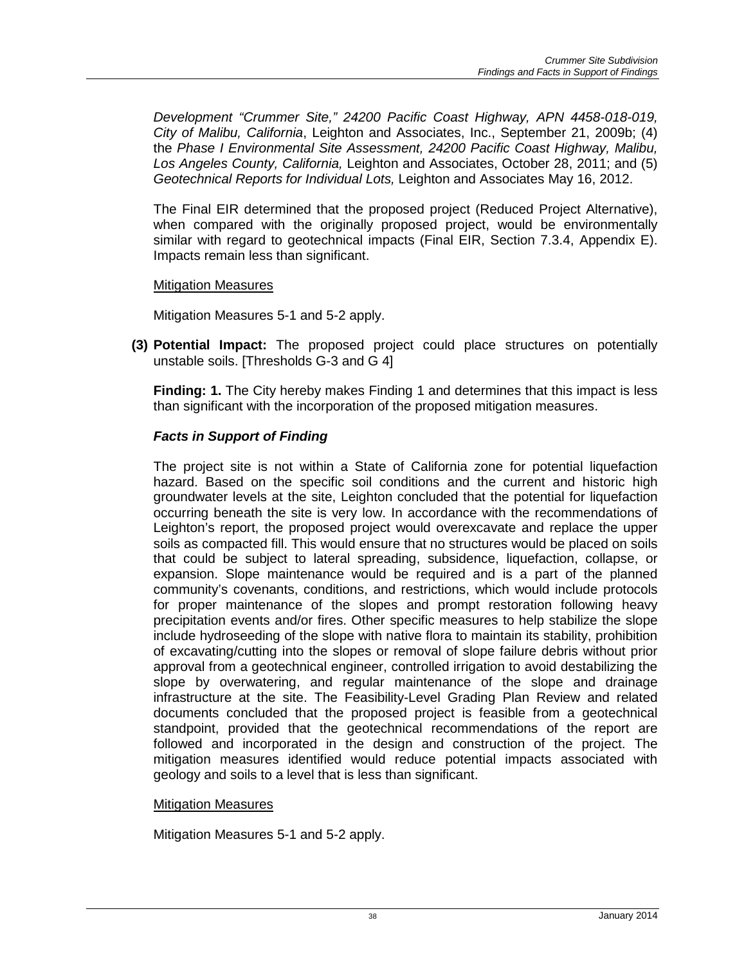*Development "Crummer Site," 24200 Pacific Coast Highway, APN 4458-018-019, City of Malibu, California*, Leighton and Associates, Inc., September 21, 2009b; (4) the *Phase I Environmental Site Assessment, 24200 Pacific Coast Highway, Malibu, Los Angeles County, California,* Leighton and Associates, October 28, 2011; and (5) *Geotechnical Reports for Individual Lots,* Leighton and Associates May 16, 2012.

The Final EIR determined that the proposed project (Reduced Project Alternative), when compared with the originally proposed project, would be environmentally similar with regard to geotechnical impacts (Final EIR, Section 7.3.4, Appendix E). Impacts remain less than significant.

Mitigation Measures

Mitigation Measures 5-1 and 5-2 apply.

**(3) Potential Impact:** The proposed project could place structures on potentially unstable soils. [Thresholds G-3 and G 4]

**Finding: 1.** The City hereby makes Finding 1 and determines that this impact is less than significant with the incorporation of the proposed mitigation measures.

# *Facts in Support of Finding*

The project site is not within a State of California zone for potential liquefaction hazard. Based on the specific soil conditions and the current and historic high groundwater levels at the site, Leighton concluded that the potential for liquefaction occurring beneath the site is very low. In accordance with the recommendations of Leighton's report, the proposed project would overexcavate and replace the upper soils as compacted fill. This would ensure that no structures would be placed on soils that could be subject to lateral spreading, subsidence, liquefaction, collapse, or expansion. Slope maintenance would be required and is a part of the planned community's covenants, conditions, and restrictions, which would include protocols for proper maintenance of the slopes and prompt restoration following heavy precipitation events and/or fires. Other specific measures to help stabilize the slope include hydroseeding of the slope with native flora to maintain its stability, prohibition of excavating/cutting into the slopes or removal of slope failure debris without prior approval from a geotechnical engineer, controlled irrigation to avoid destabilizing the slope by overwatering, and regular maintenance of the slope and drainage infrastructure at the site. The Feasibility-Level Grading Plan Review and related documents concluded that the proposed project is feasible from a geotechnical standpoint, provided that the geotechnical recommendations of the report are followed and incorporated in the design and construction of the project. The mitigation measures identified would reduce potential impacts associated with geology and soils to a level that is less than significant.

#### Mitigation Measures

Mitigation Measures 5-1 and 5-2 apply.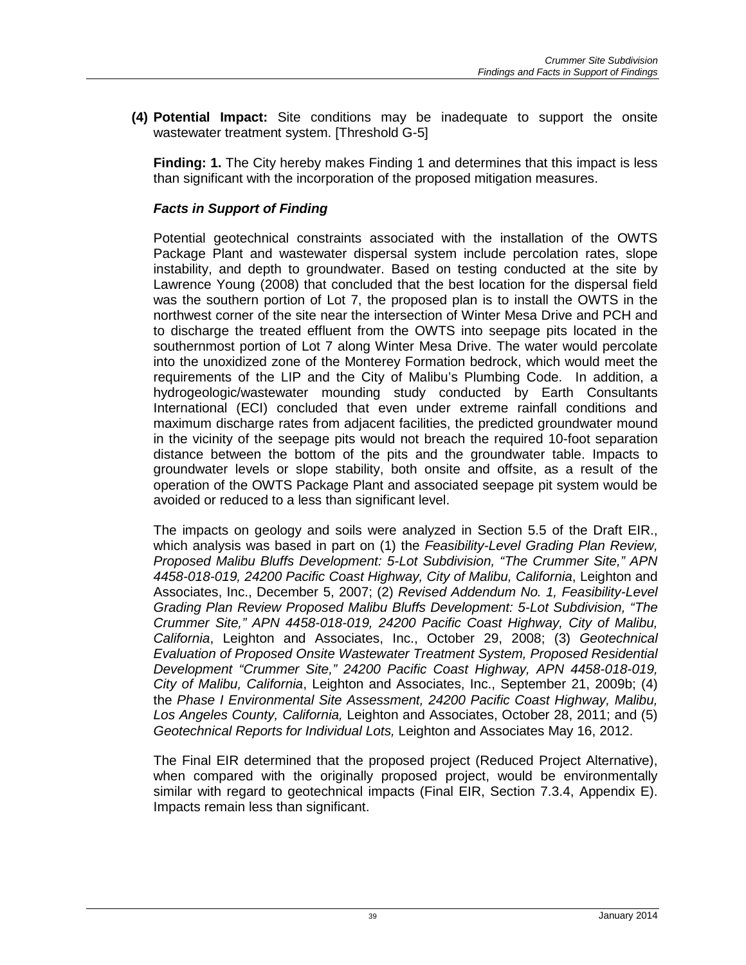**(4) Potential Impact:** Site conditions may be inadequate to support the onsite wastewater treatment system. [Threshold G-5]

**Finding: 1.** The City hereby makes Finding 1 and determines that this impact is less than significant with the incorporation of the proposed mitigation measures.

# *Facts in Support of Finding*

Potential geotechnical constraints associated with the installation of the OWTS Package Plant and wastewater dispersal system include percolation rates, slope instability, and depth to groundwater. Based on testing conducted at the site by Lawrence Young (2008) that concluded that the best location for the dispersal field was the southern portion of Lot 7, the proposed plan is to install the OWTS in the northwest corner of the site near the intersection of Winter Mesa Drive and PCH and to discharge the treated effluent from the OWTS into seepage pits located in the southernmost portion of Lot 7 along Winter Mesa Drive. The water would percolate into the unoxidized zone of the Monterey Formation bedrock, which would meet the requirements of the LIP and the City of Malibu's Plumbing Code. In addition, a hydrogeologic/wastewater mounding study conducted by Earth Consultants International (ECI) concluded that even under extreme rainfall conditions and maximum discharge rates from adjacent facilities, the predicted groundwater mound in the vicinity of the seepage pits would not breach the required 10-foot separation distance between the bottom of the pits and the groundwater table. Impacts to groundwater levels or slope stability, both onsite and offsite, as a result of the operation of the OWTS Package Plant and associated seepage pit system would be avoided or reduced to a less than significant level.

The impacts on geology and soils were analyzed in Section 5.5 of the Draft EIR., which analysis was based in part on (1) the *Feasibility-Level Grading Plan Review, Proposed Malibu Bluffs Development: 5-Lot Subdivision, "The Crummer Site," APN 4458-018-019, 24200 Pacific Coast Highway, City of Malibu, California*, Leighton and Associates, Inc., December 5, 2007; (2) *Revised Addendum No. 1, Feasibility-Level Grading Plan Review Proposed Malibu Bluffs Development: 5-Lot Subdivision, "The Crummer Site," APN 4458-018-019, 24200 Pacific Coast Highway, City of Malibu, California*, Leighton and Associates, Inc., October 29, 2008; (3) *Geotechnical Evaluation of Proposed Onsite Wastewater Treatment System, Proposed Residential Development "Crummer Site," 24200 Pacific Coast Highway, APN 4458-018-019, City of Malibu, California*, Leighton and Associates, Inc., September 21, 2009b; (4) the *Phase I Environmental Site Assessment, 24200 Pacific Coast Highway, Malibu, Los Angeles County, California,* Leighton and Associates, October 28, 2011; and (5) *Geotechnical Reports for Individual Lots,* Leighton and Associates May 16, 2012.

The Final EIR determined that the proposed project (Reduced Project Alternative), when compared with the originally proposed project, would be environmentally similar with regard to geotechnical impacts (Final EIR, Section 7.3.4, Appendix E). Impacts remain less than significant.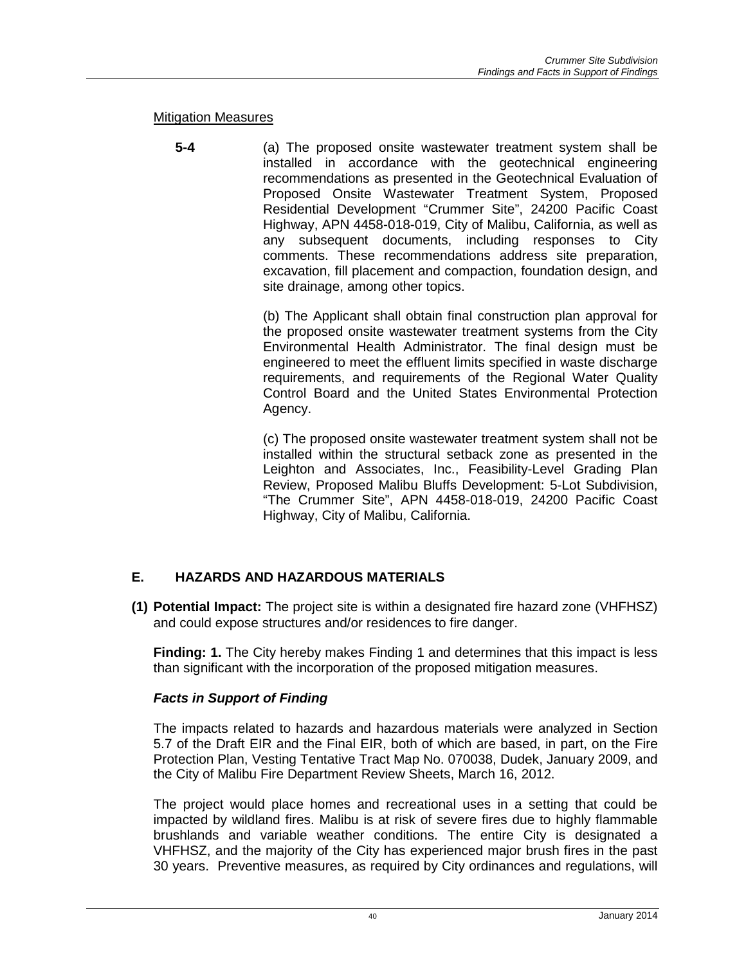#### Mitigation Measures

**5-4** (a) The proposed onsite wastewater treatment system shall be installed in accordance with the geotechnical engineering recommendations as presented in the Geotechnical Evaluation of Proposed Onsite Wastewater Treatment System, Proposed Residential Development "Crummer Site", 24200 Pacific Coast Highway, APN 4458-018-019, City of Malibu, California, as well as any subsequent documents, including responses to City comments. These recommendations address site preparation, excavation, fill placement and compaction, foundation design, and site drainage, among other topics.

> (b) The Applicant shall obtain final construction plan approval for the proposed onsite wastewater treatment systems from the City Environmental Health Administrator. The final design must be engineered to meet the effluent limits specified in waste discharge requirements, and requirements of the Regional Water Quality Control Board and the United States Environmental Protection Agency.

> (c) The proposed onsite wastewater treatment system shall not be installed within the structural setback zone as presented in the Leighton and Associates, Inc., Feasibility-Level Grading Plan Review, Proposed Malibu Bluffs Development: 5-Lot Subdivision, "The Crummer Site", APN 4458-018-019, 24200 Pacific Coast Highway, City of Malibu, California.

# **E. HAZARDS AND HAZARDOUS MATERIALS**

**(1) Potential Impact:** The project site is within a designated fire hazard zone (VHFHSZ) and could expose structures and/or residences to fire danger.

**Finding: 1.** The City hereby makes Finding 1 and determines that this impact is less than significant with the incorporation of the proposed mitigation measures.

# *Facts in Support of Finding*

The impacts related to hazards and hazardous materials were analyzed in Section 5.7 of the Draft EIR and the Final EIR, both of which are based, in part, on the Fire Protection Plan, Vesting Tentative Tract Map No. 070038, Dudek, January 2009, and the City of Malibu Fire Department Review Sheets, March 16, 2012.

The project would place homes and recreational uses in a setting that could be impacted by wildland fires. Malibu is at risk of severe fires due to highly flammable brushlands and variable weather conditions. The entire City is designated a VHFHSZ, and the majority of the City has experienced major brush fires in the past 30 years. Preventive measures, as required by City ordinances and regulations, will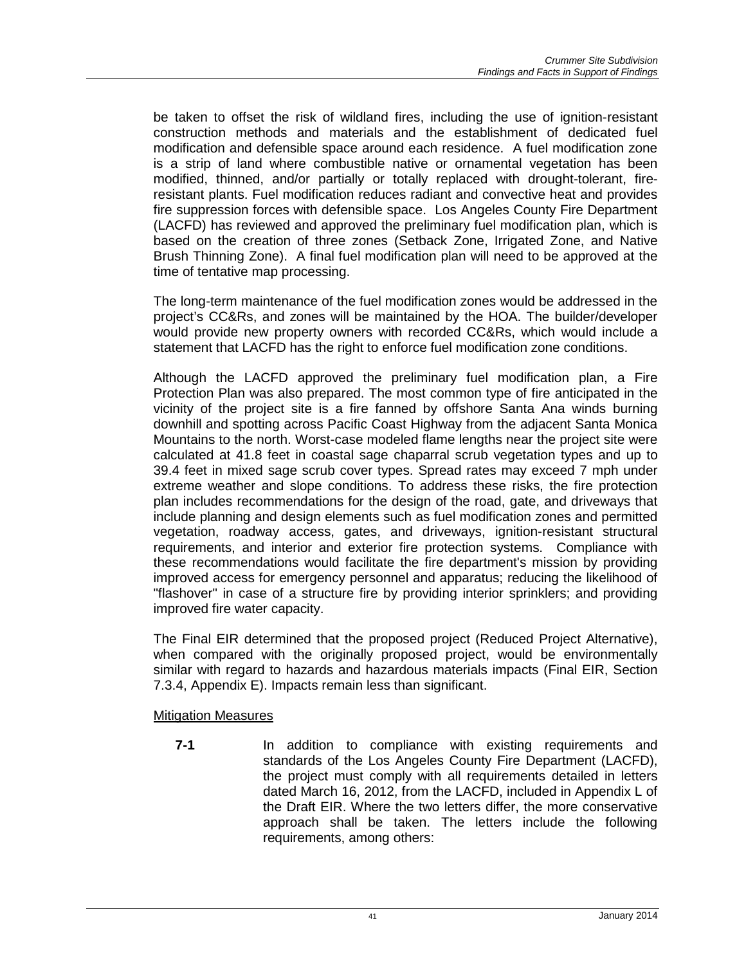be taken to offset the risk of wildland fires, including the use of ignition-resistant construction methods and materials and the establishment of dedicated fuel modification and defensible space around each residence. A fuel modification zone is a strip of land where combustible native or ornamental vegetation has been modified, thinned, and/or partially or totally replaced with drought-tolerant, fireresistant plants. Fuel modification reduces radiant and convective heat and provides fire suppression forces with defensible space. Los Angeles County Fire Department (LACFD) has reviewed and approved the preliminary fuel modification plan, which is based on the creation of three zones (Setback Zone, Irrigated Zone, and Native Brush Thinning Zone). A final fuel modification plan will need to be approved at the time of tentative map processing.

The long-term maintenance of the fuel modification zones would be addressed in the project's CC&Rs, and zones will be maintained by the HOA. The builder/developer would provide new property owners with recorded CC&Rs, which would include a statement that LACFD has the right to enforce fuel modification zone conditions.

Although the LACFD approved the preliminary fuel modification plan, a Fire Protection Plan was also prepared. The most common type of fire anticipated in the vicinity of the project site is a fire fanned by offshore Santa Ana winds burning downhill and spotting across Pacific Coast Highway from the adjacent Santa Monica Mountains to the north. Worst-case modeled flame lengths near the project site were calculated at 41.8 feet in coastal sage chaparral scrub vegetation types and up to 39.4 feet in mixed sage scrub cover types. Spread rates may exceed 7 mph under extreme weather and slope conditions. To address these risks, the fire protection plan includes recommendations for the design of the road, gate, and driveways that include planning and design elements such as fuel modification zones and permitted vegetation, roadway access, gates, and driveways, ignition-resistant structural requirements, and interior and exterior fire protection systems. Compliance with these recommendations would facilitate the fire department's mission by providing improved access for emergency personnel and apparatus; reducing the likelihood of "flashover" in case of a structure fire by providing interior sprinklers; and providing improved fire water capacity.

The Final EIR determined that the proposed project (Reduced Project Alternative), when compared with the originally proposed project, would be environmentally similar with regard to hazards and hazardous materials impacts (Final EIR, Section 7.3.4, Appendix E). Impacts remain less than significant.

#### Mitigation Measures

**7-1** In addition to compliance with existing requirements and standards of the Los Angeles County Fire Department (LACFD), the project must comply with all requirements detailed in letters dated March 16, 2012, from the LACFD, included in Appendix L of the Draft EIR. Where the two letters differ, the more conservative approach shall be taken. The letters include the following requirements, among others: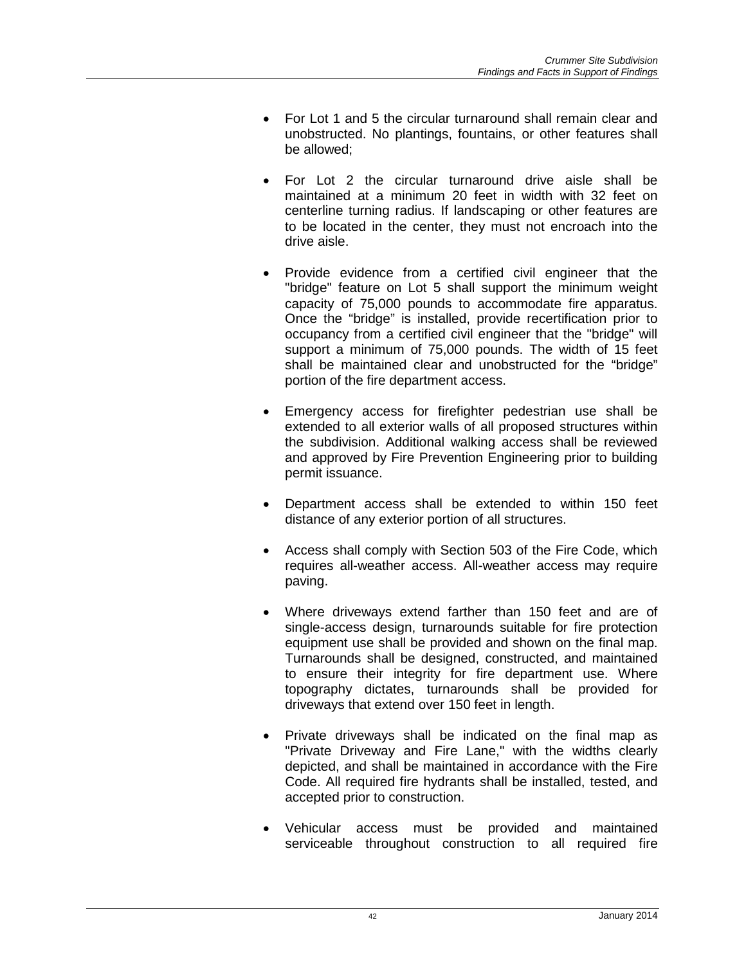- For Lot 1 and 5 the circular turnaround shall remain clear and unobstructed. No plantings, fountains, or other features shall be allowed;
- For Lot 2 the circular turnaround drive aisle shall be maintained at a minimum 20 feet in width with 32 feet on centerline turning radius. If landscaping or other features are to be located in the center, they must not encroach into the drive aisle.
- Provide evidence from a certified civil engineer that the "bridge" feature on Lot 5 shall support the minimum weight capacity of 75,000 pounds to accommodate fire apparatus. Once the "bridge" is installed, provide recertification prior to occupancy from a certified civil engineer that the "bridge" will support a minimum of 75,000 pounds. The width of 15 feet shall be maintained clear and unobstructed for the "bridge" portion of the fire department access.
- Emergency access for firefighter pedestrian use shall be extended to all exterior walls of all proposed structures within the subdivision. Additional walking access shall be reviewed and approved by Fire Prevention Engineering prior to building permit issuance.
- Department access shall be extended to within 150 feet distance of any exterior portion of all structures.
- Access shall comply with Section 503 of the Fire Code, which requires all-weather access. All-weather access may require paving.
- Where driveways extend farther than 150 feet and are of single-access design, turnarounds suitable for fire protection equipment use shall be provided and shown on the final map. Turnarounds shall be designed, constructed, and maintained to ensure their integrity for fire department use. Where topography dictates, turnarounds shall be provided for driveways that extend over 150 feet in length.
- Private driveways shall be indicated on the final map as "Private Driveway and Fire Lane," with the widths clearly depicted, and shall be maintained in accordance with the Fire Code. All required fire hydrants shall be installed, tested, and accepted prior to construction.
- Vehicular access must be provided and maintained serviceable throughout construction to all required fire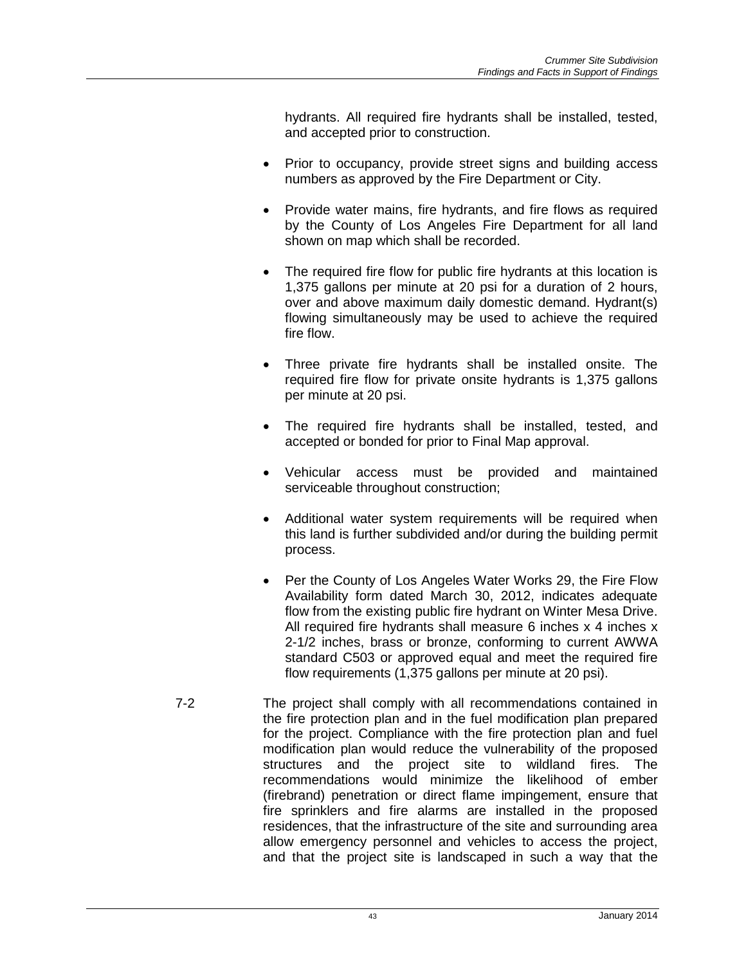hydrants. All required fire hydrants shall be installed, tested, and accepted prior to construction.

- Prior to occupancy, provide street signs and building access numbers as approved by the Fire Department or City.
- Provide water mains, fire hydrants, and fire flows as required by the County of Los Angeles Fire Department for all land shown on map which shall be recorded.
- The required fire flow for public fire hydrants at this location is 1,375 gallons per minute at 20 psi for a duration of 2 hours, over and above maximum daily domestic demand. Hydrant(s) flowing simultaneously may be used to achieve the required fire flow.
- Three private fire hydrants shall be installed onsite. The required fire flow for private onsite hydrants is 1,375 gallons per minute at 20 psi.
- The required fire hydrants shall be installed, tested, and accepted or bonded for prior to Final Map approval.
- Vehicular access must be provided and maintained serviceable throughout construction;
- Additional water system requirements will be required when this land is further subdivided and/or during the building permit process.
- Per the County of Los Angeles Water Works 29, the Fire Flow Availability form dated March 30, 2012, indicates adequate flow from the existing public fire hydrant on Winter Mesa Drive. All required fire hydrants shall measure 6 inches x 4 inches x 2-1/2 inches, brass or bronze, conforming to current AWWA standard C503 or approved equal and meet the required fire flow requirements (1,375 gallons per minute at 20 psi).
- 7-2 The project shall comply with all recommendations contained in the fire protection plan and in the fuel modification plan prepared for the project. Compliance with the fire protection plan and fuel modification plan would reduce the vulnerability of the proposed structures and the project site to wildland fires. The recommendations would minimize the likelihood of ember (firebrand) penetration or direct flame impingement, ensure that fire sprinklers and fire alarms are installed in the proposed residences, that the infrastructure of the site and surrounding area allow emergency personnel and vehicles to access the project, and that the project site is landscaped in such a way that the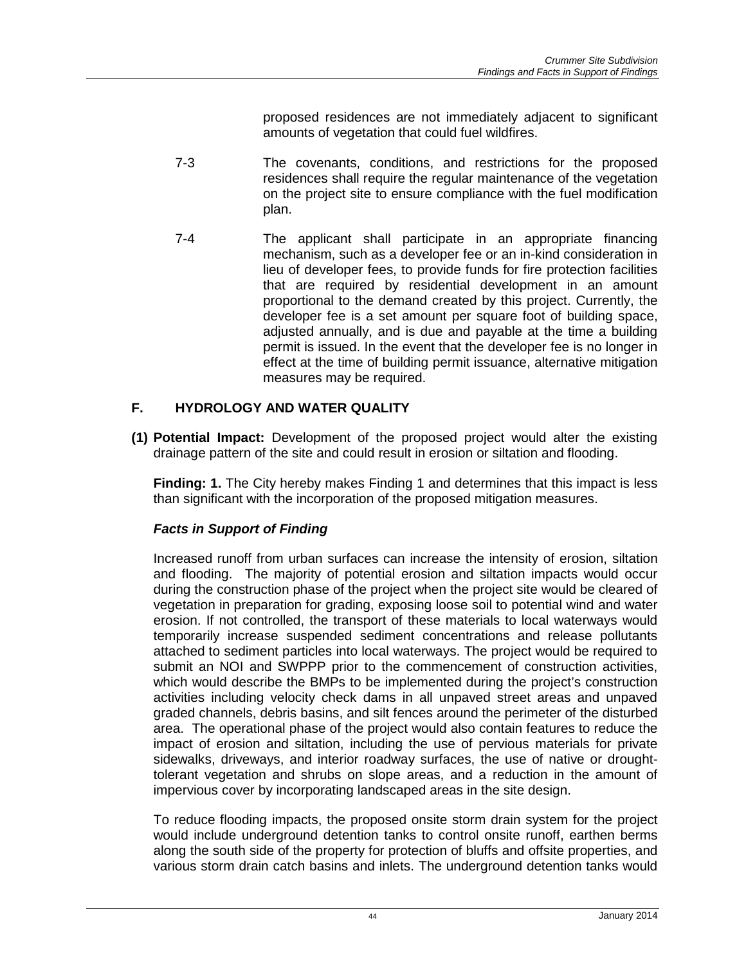proposed residences are not immediately adjacent to significant amounts of vegetation that could fuel wildfires.

- 7-3 The covenants, conditions, and restrictions for the proposed residences shall require the regular maintenance of the vegetation on the project site to ensure compliance with the fuel modification plan.
- 7-4 The applicant shall participate in an appropriate financing mechanism, such as a developer fee or an in-kind consideration in lieu of developer fees, to provide funds for fire protection facilities that are required by residential development in an amount proportional to the demand created by this project. Currently, the developer fee is a set amount per square foot of building space, adjusted annually, and is due and payable at the time a building permit is issued. In the event that the developer fee is no longer in effect at the time of building permit issuance, alternative mitigation measures may be required.

# **F. HYDROLOGY AND WATER QUALITY**

**(1) Potential Impact:** Development of the proposed project would alter the existing drainage pattern of the site and could result in erosion or siltation and flooding.

**Finding: 1.** The City hereby makes Finding 1 and determines that this impact is less than significant with the incorporation of the proposed mitigation measures.

# *Facts in Support of Finding*

Increased runoff from urban surfaces can increase the intensity of erosion, siltation and flooding. The majority of potential erosion and siltation impacts would occur during the construction phase of the project when the project site would be cleared of vegetation in preparation for grading, exposing loose soil to potential wind and water erosion. If not controlled, the transport of these materials to local waterways would temporarily increase suspended sediment concentrations and release pollutants attached to sediment particles into local waterways. The project would be required to submit an NOI and SWPPP prior to the commencement of construction activities, which would describe the BMPs to be implemented during the project's construction activities including velocity check dams in all unpaved street areas and unpaved graded channels, debris basins, and silt fences around the perimeter of the disturbed area. The operational phase of the project would also contain features to reduce the impact of erosion and siltation, including the use of pervious materials for private sidewalks, driveways, and interior roadway surfaces, the use of native or droughttolerant vegetation and shrubs on slope areas, and a reduction in the amount of impervious cover by incorporating landscaped areas in the site design.

To reduce flooding impacts, the proposed onsite storm drain system for the project would include underground detention tanks to control onsite runoff, earthen berms along the south side of the property for protection of bluffs and offsite properties, and various storm drain catch basins and inlets. The underground detention tanks would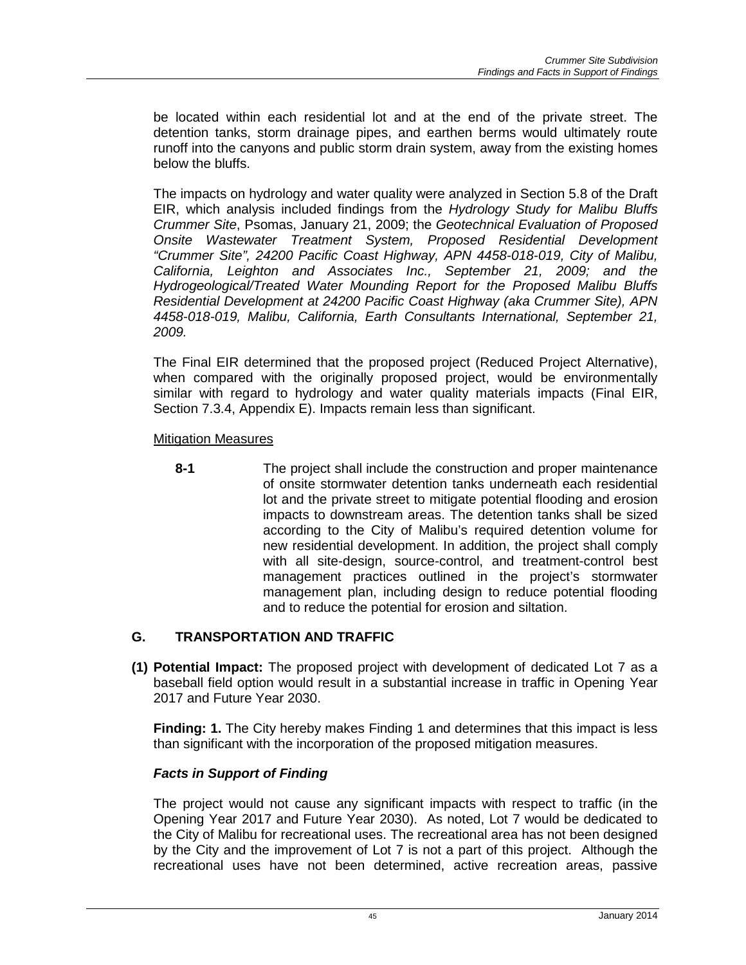be located within each residential lot and at the end of the private street. The detention tanks, storm drainage pipes, and earthen berms would ultimately route runoff into the canyons and public storm drain system, away from the existing homes below the bluffs.

The impacts on hydrology and water quality were analyzed in Section 5.8 of the Draft EIR, which analysis included findings from the *Hydrology Study for Malibu Bluffs Crummer Site*, Psomas, January 21, 2009; the *Geotechnical Evaluation of Proposed Onsite Wastewater Treatment System, Proposed Residential Development "Crummer Site", 24200 Pacific Coast Highway, APN 4458-018-019, City of Malibu, California, Leighton and Associates Inc., September 21, 2009; and the Hydrogeological/Treated Water Mounding Report for the Proposed Malibu Bluffs Residential Development at 24200 Pacific Coast Highway (aka Crummer Site), APN 4458-018-019, Malibu, California, Earth Consultants International, September 21, 2009.*

The Final EIR determined that the proposed project (Reduced Project Alternative), when compared with the originally proposed project, would be environmentally similar with regard to hydrology and water quality materials impacts (Final EIR, Section 7.3.4, Appendix E). Impacts remain less than significant.

### Mitigation Measures

**8-1** The project shall include the construction and proper maintenance of onsite stormwater detention tanks underneath each residential lot and the private street to mitigate potential flooding and erosion impacts to downstream areas. The detention tanks shall be sized according to the City of Malibu's required detention volume for new residential development. In addition, the project shall comply with all site-design, source-control, and treatment-control best management practices outlined in the project's stormwater management plan, including design to reduce potential flooding and to reduce the potential for erosion and siltation.

# **G. TRANSPORTATION AND TRAFFIC**

**(1) Potential Impact:** The proposed project with development of dedicated Lot 7 as a baseball field option would result in a substantial increase in traffic in Opening Year 2017 and Future Year 2030.

**Finding: 1.** The City hereby makes Finding 1 and determines that this impact is less than significant with the incorporation of the proposed mitigation measures.

#### *Facts in Support of Finding*

The project would not cause any significant impacts with respect to traffic (in the Opening Year 2017 and Future Year 2030). As noted, Lot 7 would be dedicated to the City of Malibu for recreational uses. The recreational area has not been designed by the City and the improvement of Lot 7 is not a part of this project. Although the recreational uses have not been determined, active recreation areas, passive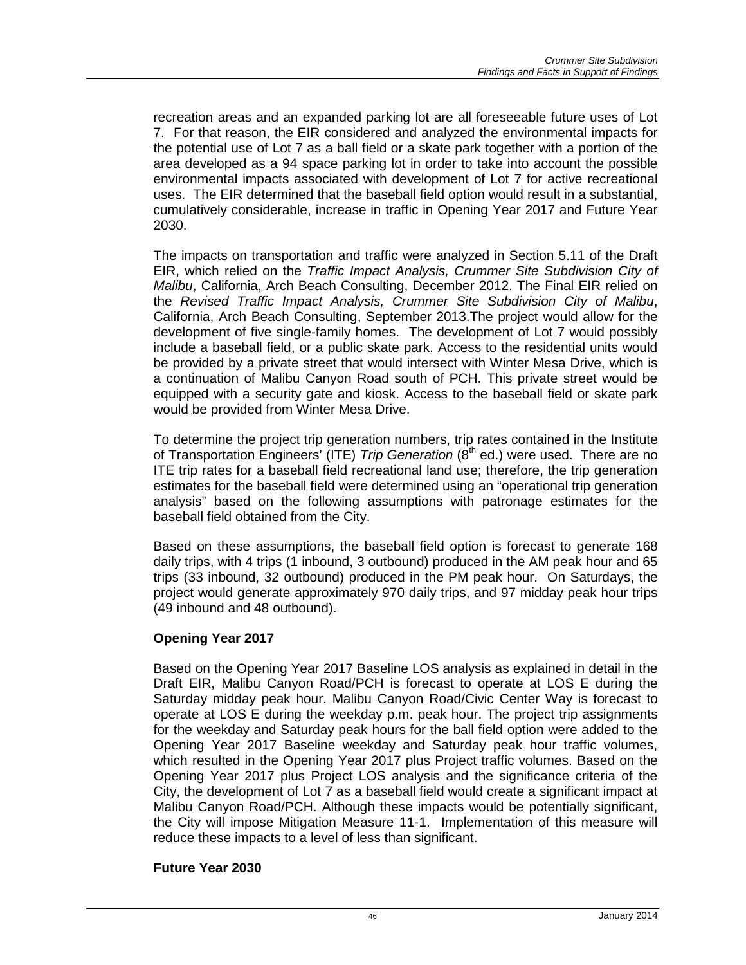recreation areas and an expanded parking lot are all foreseeable future uses of Lot 7. For that reason, the EIR considered and analyzed the environmental impacts for the potential use of Lot 7 as a ball field or a skate park together with a portion of the area developed as a 94 space parking lot in order to take into account the possible environmental impacts associated with development of Lot 7 for active recreational uses. The EIR determined that the baseball field option would result in a substantial, cumulatively considerable, increase in traffic in Opening Year 2017 and Future Year 2030.

The impacts on transportation and traffic were analyzed in Section 5.11 of the Draft EIR, which relied on the *Traffic Impact Analysis, Crummer Site Subdivision City of Malibu*, California, Arch Beach Consulting, December 2012. The Final EIR relied on the *Revised Traffic Impact Analysis, Crummer Site Subdivision City of Malibu*, California, Arch Beach Consulting, September 2013.The project would allow for the development of five single-family homes. The development of Lot 7 would possibly include a baseball field, or a public skate park. Access to the residential units would be provided by a private street that would intersect with Winter Mesa Drive, which is a continuation of Malibu Canyon Road south of PCH. This private street would be equipped with a security gate and kiosk. Access to the baseball field or skate park would be provided from Winter Mesa Drive.

To determine the project trip generation numbers, trip rates contained in the Institute of Transportation Engineers' (ITE) *Trip Generation* (8<sup>th</sup> ed.) were used. There are no ITE trip rates for a baseball field recreational land use; therefore, the trip generation estimates for the baseball field were determined using an "operational trip generation analysis" based on the following assumptions with patronage estimates for the baseball field obtained from the City.

Based on these assumptions, the baseball field option is forecast to generate 168 daily trips, with 4 trips (1 inbound, 3 outbound) produced in the AM peak hour and 65 trips (33 inbound, 32 outbound) produced in the PM peak hour. On Saturdays, the project would generate approximately 970 daily trips, and 97 midday peak hour trips (49 inbound and 48 outbound).

# **Opening Year 2017**

Based on the Opening Year 2017 Baseline LOS analysis as explained in detail in the Draft EIR, Malibu Canyon Road/PCH is forecast to operate at LOS E during the Saturday midday peak hour. Malibu Canyon Road/Civic Center Way is forecast to operate at LOS E during the weekday p.m. peak hour. The project trip assignments for the weekday and Saturday peak hours for the ball field option were added to the Opening Year 2017 Baseline weekday and Saturday peak hour traffic volumes, which resulted in the Opening Year 2017 plus Project traffic volumes. Based on the Opening Year 2017 plus Project LOS analysis and the significance criteria of the City, the development of Lot 7 as a baseball field would create a significant impact at Malibu Canyon Road/PCH. Although these impacts would be potentially significant, the City will impose Mitigation Measure 11-1. Implementation of this measure will reduce these impacts to a level of less than significant.

#### **Future Year 2030**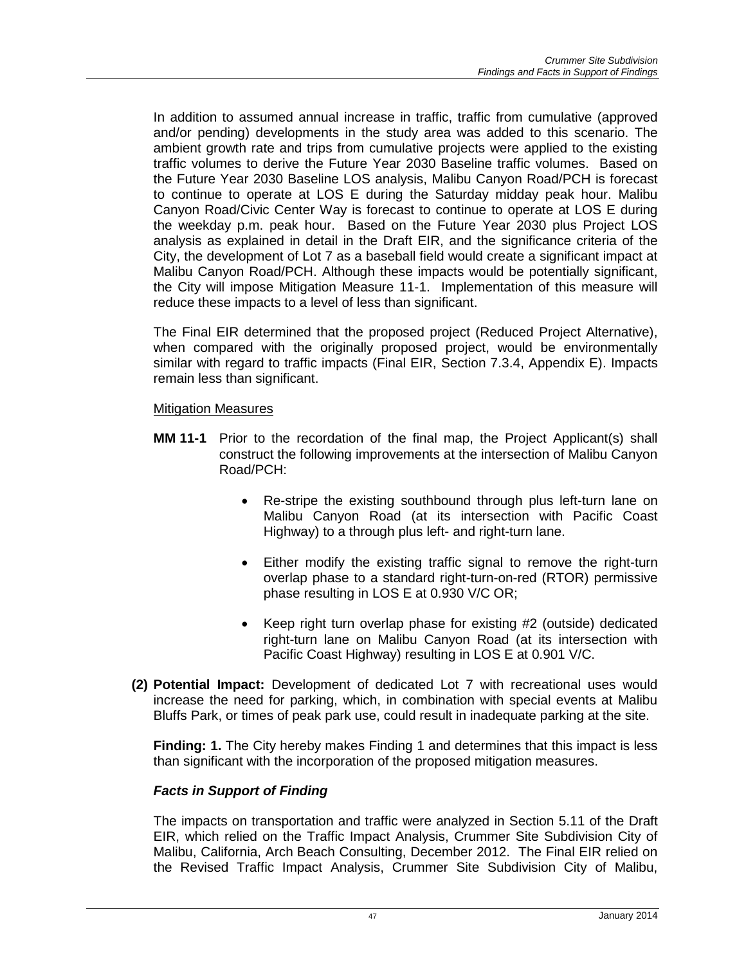In addition to assumed annual increase in traffic, traffic from cumulative (approved and/or pending) developments in the study area was added to this scenario. The ambient growth rate and trips from cumulative projects were applied to the existing traffic volumes to derive the Future Year 2030 Baseline traffic volumes. Based on the Future Year 2030 Baseline LOS analysis, Malibu Canyon Road/PCH is forecast to continue to operate at LOS E during the Saturday midday peak hour. Malibu Canyon Road/Civic Center Way is forecast to continue to operate at LOS E during the weekday p.m. peak hour. Based on the Future Year 2030 plus Project LOS analysis as explained in detail in the Draft EIR, and the significance criteria of the City, the development of Lot 7 as a baseball field would create a significant impact at Malibu Canyon Road/PCH. Although these impacts would be potentially significant, the City will impose Mitigation Measure 11-1. Implementation of this measure will reduce these impacts to a level of less than significant.

The Final EIR determined that the proposed project (Reduced Project Alternative), when compared with the originally proposed project, would be environmentally similar with regard to traffic impacts (Final EIR, Section 7.3.4, Appendix E). Impacts remain less than significant.

#### Mitigation Measures

- **MM 11-1** Prior to the recordation of the final map, the Project Applicant(s) shall construct the following improvements at the intersection of Malibu Canyon Road/PCH:
	- Re-stripe the existing southbound through plus left-turn lane on Malibu Canyon Road (at its intersection with Pacific Coast Highway) to a through plus left- and right-turn lane.
	- Either modify the existing traffic signal to remove the right-turn overlap phase to a standard right-turn-on-red (RTOR) permissive phase resulting in LOS E at 0.930 V/C OR;
	- Keep right turn overlap phase for existing #2 (outside) dedicated right-turn lane on Malibu Canyon Road (at its intersection with Pacific Coast Highway) resulting in LOS E at 0.901 V/C.
- **(2) Potential Impact:** Development of dedicated Lot 7 with recreational uses would increase the need for parking, which, in combination with special events at Malibu Bluffs Park, or times of peak park use, could result in inadequate parking at the site.

**Finding: 1.** The City hereby makes Finding 1 and determines that this impact is less than significant with the incorporation of the proposed mitigation measures.

# *Facts in Support of Finding*

The impacts on transportation and traffic were analyzed in Section 5.11 of the Draft EIR, which relied on the Traffic Impact Analysis, Crummer Site Subdivision City of Malibu, California, Arch Beach Consulting, December 2012. The Final EIR relied on the Revised Traffic Impact Analysis, Crummer Site Subdivision City of Malibu,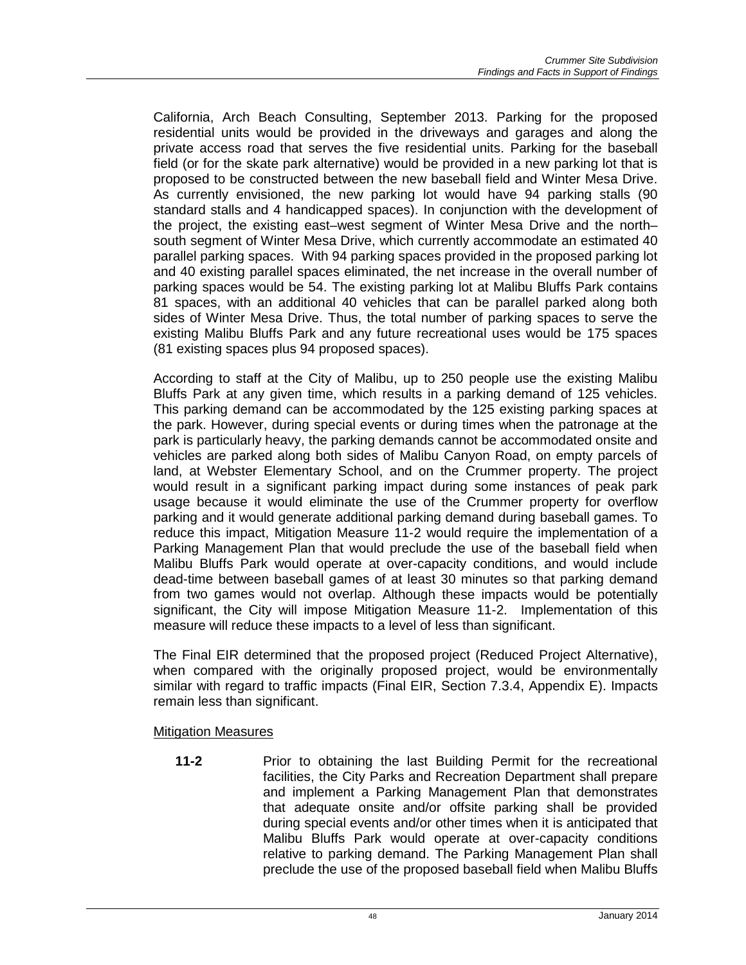California, Arch Beach Consulting, September 2013. Parking for the proposed residential units would be provided in the driveways and garages and along the private access road that serves the five residential units. Parking for the baseball field (or for the skate park alternative) would be provided in a new parking lot that is proposed to be constructed between the new baseball field and Winter Mesa Drive. As currently envisioned, the new parking lot would have 94 parking stalls (90 standard stalls and 4 handicapped spaces). In conjunction with the development of the project, the existing east–west segment of Winter Mesa Drive and the north– south segment of Winter Mesa Drive, which currently accommodate an estimated 40 parallel parking spaces. With 94 parking spaces provided in the proposed parking lot and 40 existing parallel spaces eliminated, the net increase in the overall number of parking spaces would be 54. The existing parking lot at Malibu Bluffs Park contains 81 spaces, with an additional 40 vehicles that can be parallel parked along both sides of Winter Mesa Drive. Thus, the total number of parking spaces to serve the existing Malibu Bluffs Park and any future recreational uses would be 175 spaces (81 existing spaces plus 94 proposed spaces).

According to staff at the City of Malibu, up to 250 people use the existing Malibu Bluffs Park at any given time, which results in a parking demand of 125 vehicles. This parking demand can be accommodated by the 125 existing parking spaces at the park. However, during special events or during times when the patronage at the park is particularly heavy, the parking demands cannot be accommodated onsite and vehicles are parked along both sides of Malibu Canyon Road, on empty parcels of land, at Webster Elementary School, and on the Crummer property. The project would result in a significant parking impact during some instances of peak park usage because it would eliminate the use of the Crummer property for overflow parking and it would generate additional parking demand during baseball games. To reduce this impact, Mitigation Measure 11-2 would require the implementation of a Parking Management Plan that would preclude the use of the baseball field when Malibu Bluffs Park would operate at over-capacity conditions, and would include dead-time between baseball games of at least 30 minutes so that parking demand from two games would not overlap. Although these impacts would be potentially significant, the City will impose Mitigation Measure 11-2. Implementation of this measure will reduce these impacts to a level of less than significant.

The Final EIR determined that the proposed project (Reduced Project Alternative), when compared with the originally proposed project, would be environmentally similar with regard to traffic impacts (Final EIR, Section 7.3.4, Appendix E). Impacts remain less than significant.

Mitigation Measures

**11-2** Prior to obtaining the last Building Permit for the recreational facilities, the City Parks and Recreation Department shall prepare and implement a Parking Management Plan that demonstrates that adequate onsite and/or offsite parking shall be provided during special events and/or other times when it is anticipated that Malibu Bluffs Park would operate at over-capacity conditions relative to parking demand. The Parking Management Plan shall preclude the use of the proposed baseball field when Malibu Bluffs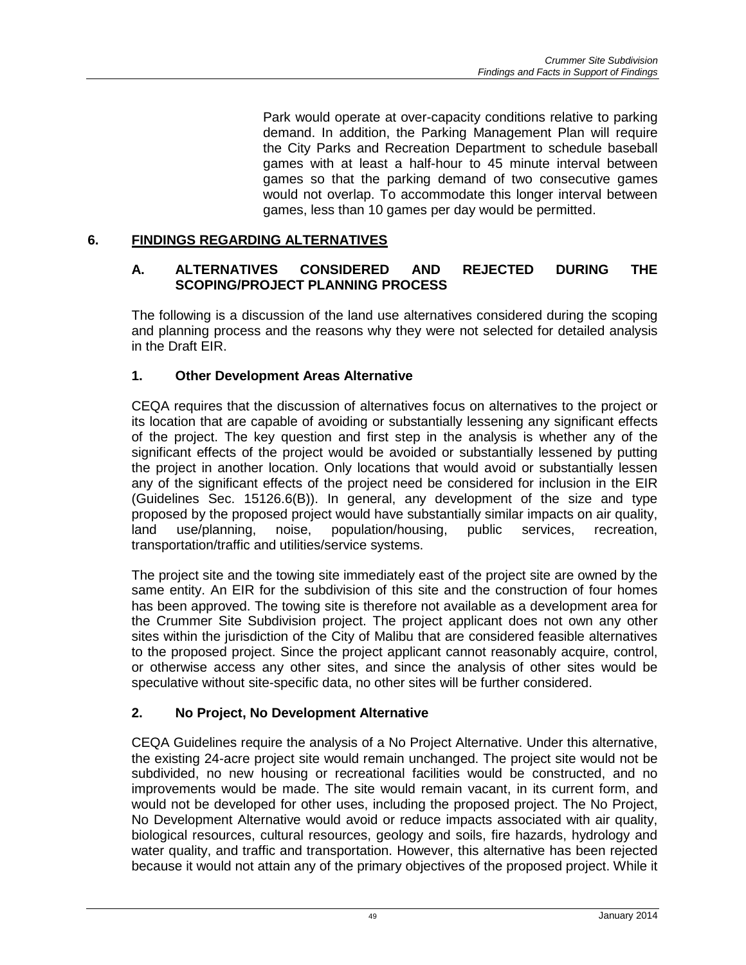Park would operate at over-capacity conditions relative to parking demand. In addition, the Parking Management Plan will require the City Parks and Recreation Department to schedule baseball games with at least a half-hour to 45 minute interval between games so that the parking demand of two consecutive games would not overlap. To accommodate this longer interval between games, less than 10 games per day would be permitted.

### **6. FINDINGS REGARDING ALTERNATIVES**

#### **A. ALTERNATIVES CONSIDERED AND REJECTED DURING THE SCOPING/PROJECT PLANNING PROCESS**

The following is a discussion of the land use alternatives considered during the scoping and planning process and the reasons why they were not selected for detailed analysis in the Draft EIR.

### **1. Other Development Areas Alternative**

CEQA requires that the discussion of alternatives focus on alternatives to the project or its location that are capable of avoiding or substantially lessening any significant effects of the project. The key question and first step in the analysis is whether any of the significant effects of the project would be avoided or substantially lessened by putting the project in another location. Only locations that would avoid or substantially lessen any of the significant effects of the project need be considered for inclusion in the EIR (Guidelines Sec. 15126.6(B)). In general, any development of the size and type proposed by the proposed project would have substantially similar impacts on air quality,<br>land use/planning, noise, population/housing, public services, recreation, land use/planning, noise, population/housing, public services, recreation, transportation/traffic and utilities/service systems.

The project site and the towing site immediately east of the project site are owned by the same entity. An EIR for the subdivision of this site and the construction of four homes has been approved. The towing site is therefore not available as a development area for the Crummer Site Subdivision project. The project applicant does not own any other sites within the jurisdiction of the City of Malibu that are considered feasible alternatives to the proposed project. Since the project applicant cannot reasonably acquire, control, or otherwise access any other sites, and since the analysis of other sites would be speculative without site-specific data, no other sites will be further considered.

# **2. No Project, No Development Alternative**

CEQA Guidelines require the analysis of a No Project Alternative. Under this alternative, the existing 24-acre project site would remain unchanged. The project site would not be subdivided, no new housing or recreational facilities would be constructed, and no improvements would be made. The site would remain vacant, in its current form, and would not be developed for other uses, including the proposed project. The No Project, No Development Alternative would avoid or reduce impacts associated with air quality, biological resources, cultural resources, geology and soils, fire hazards, hydrology and water quality, and traffic and transportation. However, this alternative has been rejected because it would not attain any of the primary objectives of the proposed project. While it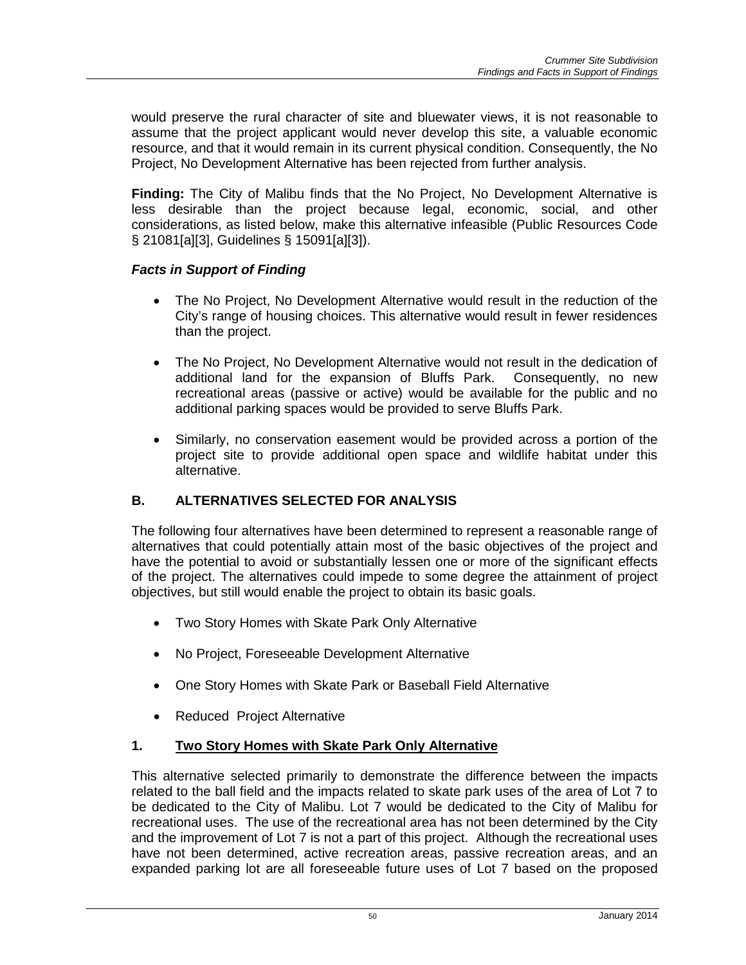would preserve the rural character of site and bluewater views, it is not reasonable to assume that the project applicant would never develop this site, a valuable economic resource, and that it would remain in its current physical condition. Consequently, the No Project, No Development Alternative has been rejected from further analysis.

**Finding:** The City of Malibu finds that the No Project, No Development Alternative is less desirable than the project because legal, economic, social, and other considerations, as listed below, make this alternative infeasible (Public Resources Code § 21081[a][3], Guidelines § 15091[a][3]).

### *Facts in Support of Finding*

- The No Project, No Development Alternative would result in the reduction of the City's range of housing choices. This alternative would result in fewer residences than the project.
- The No Project, No Development Alternative would not result in the dedication of additional land for the expansion of Bluffs Park. Consequently, no new recreational areas (passive or active) would be available for the public and no additional parking spaces would be provided to serve Bluffs Park.
- Similarly, no conservation easement would be provided across a portion of the project site to provide additional open space and wildlife habitat under this alternative.

# **B. ALTERNATIVES SELECTED FOR ANALYSIS**

The following four alternatives have been determined to represent a reasonable range of alternatives that could potentially attain most of the basic objectives of the project and have the potential to avoid or substantially lessen one or more of the significant effects of the project. The alternatives could impede to some degree the attainment of project objectives, but still would enable the project to obtain its basic goals.

- Two Story Homes with Skate Park Only Alternative
- No Project, Foreseeable Development Alternative
- One Story Homes with Skate Park or Baseball Field Alternative
- Reduced Project Alternative

#### **1. Two Story Homes with Skate Park Only Alternative**

This alternative selected primarily to demonstrate the difference between the impacts related to the ball field and the impacts related to skate park uses of the area of Lot 7 to be dedicated to the City of Malibu. Lot 7 would be dedicated to the City of Malibu for recreational uses. The use of the recreational area has not been determined by the City and the improvement of Lot 7 is not a part of this project. Although the recreational uses have not been determined, active recreation areas, passive recreation areas, and an expanded parking lot are all foreseeable future uses of Lot 7 based on the proposed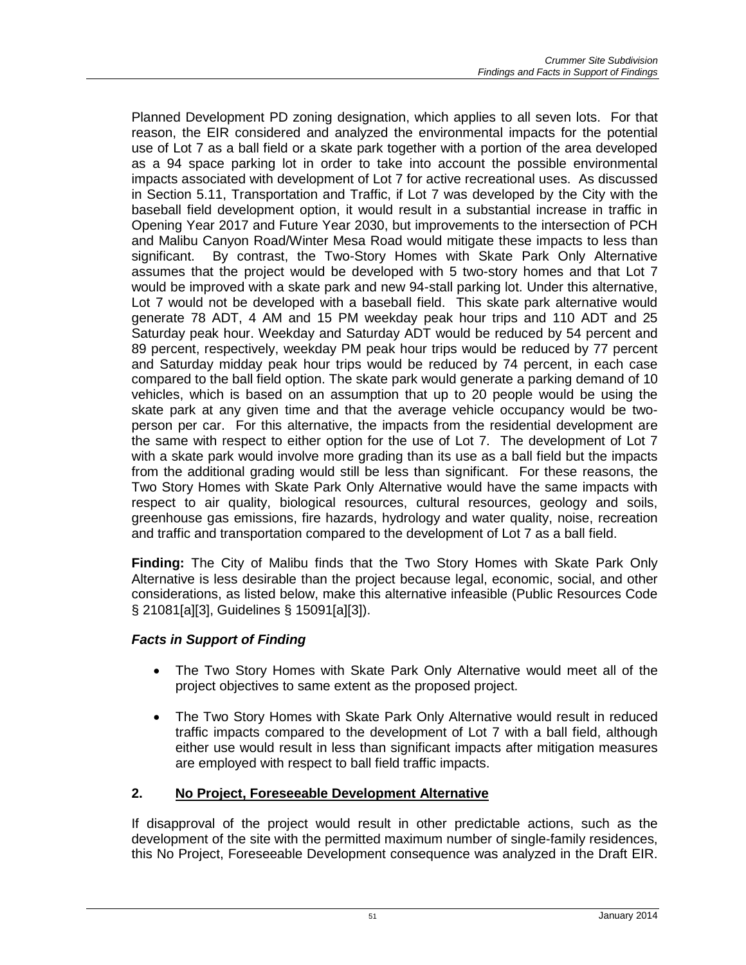Planned Development PD zoning designation, which applies to all seven lots. For that reason, the EIR considered and analyzed the environmental impacts for the potential use of Lot 7 as a ball field or a skate park together with a portion of the area developed as a 94 space parking lot in order to take into account the possible environmental impacts associated with development of Lot 7 for active recreational uses. As discussed in Section 5.11, Transportation and Traffic, if Lot 7 was developed by the City with the baseball field development option, it would result in a substantial increase in traffic in Opening Year 2017 and Future Year 2030, but improvements to the intersection of PCH and Malibu Canyon Road/Winter Mesa Road would mitigate these impacts to less than significant. By contrast, the Two-Story Homes with Skate Park Only Alternative assumes that the project would be developed with 5 two-story homes and that Lot 7 would be improved with a skate park and new 94-stall parking lot. Under this alternative, Lot 7 would not be developed with a baseball field. This skate park alternative would generate 78 ADT, 4 AM and 15 PM weekday peak hour trips and 110 ADT and 25 Saturday peak hour. Weekday and Saturday ADT would be reduced by 54 percent and 89 percent, respectively, weekday PM peak hour trips would be reduced by 77 percent and Saturday midday peak hour trips would be reduced by 74 percent, in each case compared to the ball field option. The skate park would generate a parking demand of 10 vehicles, which is based on an assumption that up to 20 people would be using the skate park at any given time and that the average vehicle occupancy would be twoperson per car. For this alternative, the impacts from the residential development are the same with respect to either option for the use of Lot 7. The development of Lot 7 with a skate park would involve more grading than its use as a ball field but the impacts from the additional grading would still be less than significant. For these reasons, the Two Story Homes with Skate Park Only Alternative would have the same impacts with respect to air quality, biological resources, cultural resources, geology and soils, greenhouse gas emissions, fire hazards, hydrology and water quality, noise, recreation and traffic and transportation compared to the development of Lot 7 as a ball field.

**Finding:** The City of Malibu finds that the Two Story Homes with Skate Park Only Alternative is less desirable than the project because legal, economic, social, and other considerations, as listed below, make this alternative infeasible (Public Resources Code § 21081[a][3], Guidelines § 15091[a][3]).

# *Facts in Support of Finding*

- The Two Story Homes with Skate Park Only Alternative would meet all of the project objectives to same extent as the proposed project.
- The Two Story Homes with Skate Park Only Alternative would result in reduced traffic impacts compared to the development of Lot 7 with a ball field, although either use would result in less than significant impacts after mitigation measures are employed with respect to ball field traffic impacts.

# **2. No Project, Foreseeable Development Alternative**

If disapproval of the project would result in other predictable actions, such as the development of the site with the permitted maximum number of single-family residences, this No Project, Foreseeable Development consequence was analyzed in the Draft EIR.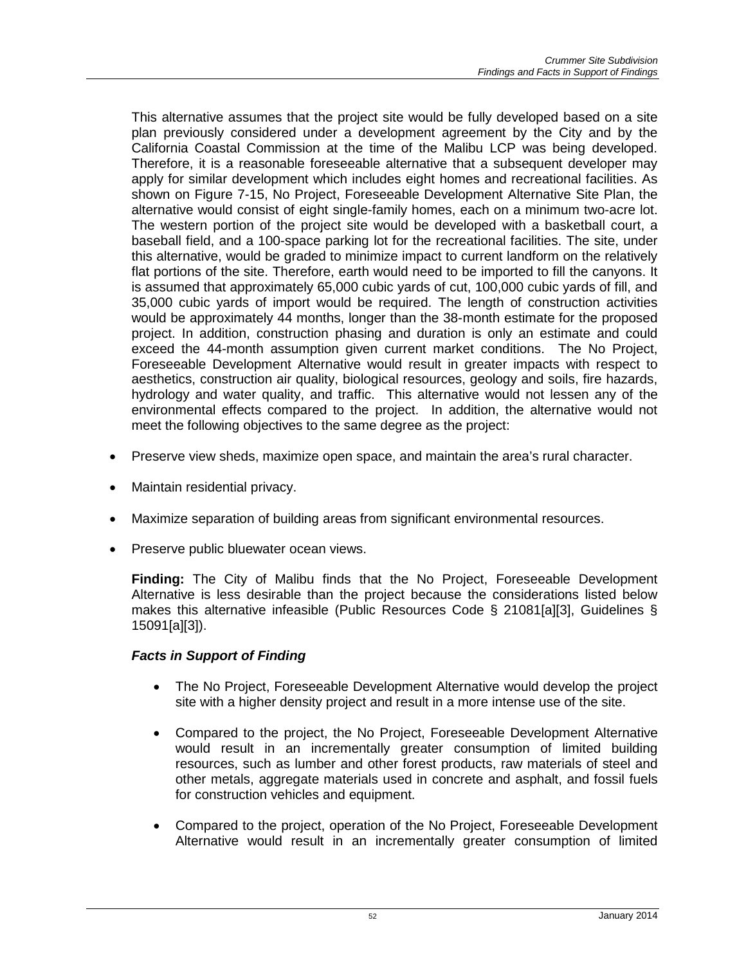This alternative assumes that the project site would be fully developed based on a site plan previously considered under a development agreement by the City and by the California Coastal Commission at the time of the Malibu LCP was being developed. Therefore, it is a reasonable foreseeable alternative that a subsequent developer may apply for similar development which includes eight homes and recreational facilities. As shown on Figure 7-15, No Project, Foreseeable Development Alternative Site Plan, the alternative would consist of eight single-family homes, each on a minimum two-acre lot. The western portion of the project site would be developed with a basketball court, a baseball field, and a 100-space parking lot for the recreational facilities. The site, under this alternative, would be graded to minimize impact to current landform on the relatively flat portions of the site. Therefore, earth would need to be imported to fill the canyons. It is assumed that approximately 65,000 cubic yards of cut, 100,000 cubic yards of fill, and 35,000 cubic yards of import would be required. The length of construction activities would be approximately 44 months, longer than the 38-month estimate for the proposed project. In addition, construction phasing and duration is only an estimate and could exceed the 44-month assumption given current market conditions. The No Project, Foreseeable Development Alternative would result in greater impacts with respect to aesthetics, construction air quality, biological resources, geology and soils, fire hazards, hydrology and water quality, and traffic. This alternative would not lessen any of the environmental effects compared to the project. In addition, the alternative would not meet the following objectives to the same degree as the project:

- Preserve view sheds, maximize open space, and maintain the area's rural character.
- Maintain residential privacy.
- Maximize separation of building areas from significant environmental resources.
- Preserve public bluewater ocean views.

**Finding:** The City of Malibu finds that the No Project, Foreseeable Development Alternative is less desirable than the project because the considerations listed below makes this alternative infeasible (Public Resources Code § 21081[a][3], Guidelines § 15091[a][3]).

# *Facts in Support of Finding*

- The No Project, Foreseeable Development Alternative would develop the project site with a higher density project and result in a more intense use of the site.
- Compared to the project, the No Project, Foreseeable Development Alternative would result in an incrementally greater consumption of limited building resources, such as lumber and other forest products, raw materials of steel and other metals, aggregate materials used in concrete and asphalt, and fossil fuels for construction vehicles and equipment.
- Compared to the project, operation of the No Project, Foreseeable Development Alternative would result in an incrementally greater consumption of limited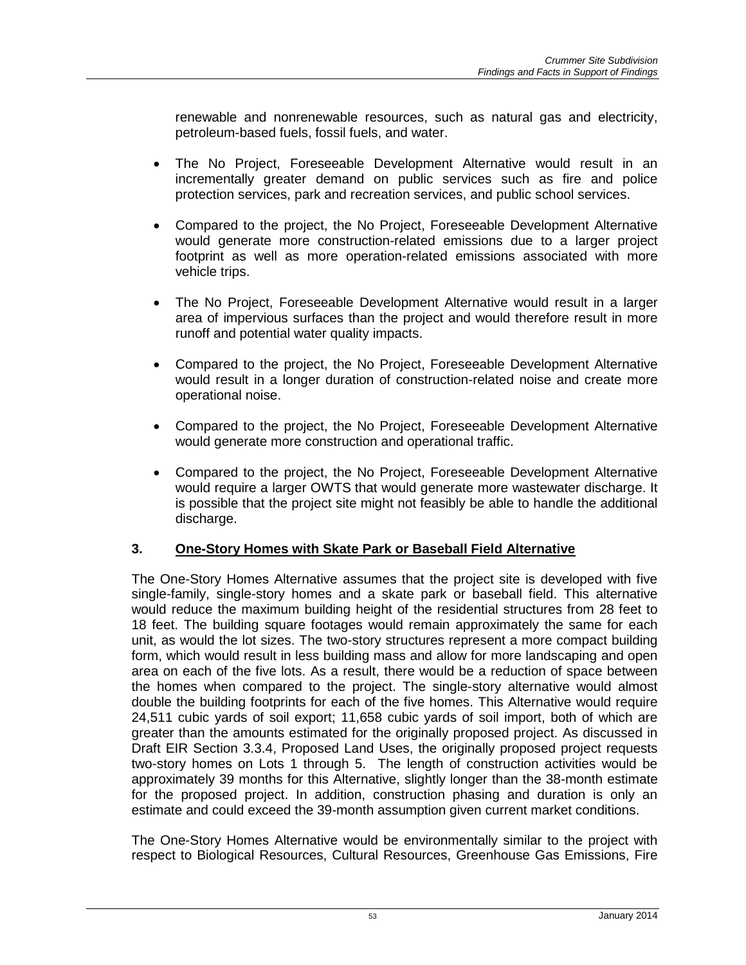renewable and nonrenewable resources, such as natural gas and electricity, petroleum-based fuels, fossil fuels, and water.

- The No Project, Foreseeable Development Alternative would result in an incrementally greater demand on public services such as fire and police protection services, park and recreation services, and public school services.
- Compared to the project, the No Project, Foreseeable Development Alternative would generate more construction-related emissions due to a larger project footprint as well as more operation-related emissions associated with more vehicle trips.
- The No Project, Foreseeable Development Alternative would result in a larger area of impervious surfaces than the project and would therefore result in more runoff and potential water quality impacts.
- Compared to the project, the No Project, Foreseeable Development Alternative would result in a longer duration of construction-related noise and create more operational noise.
- Compared to the project, the No Project, Foreseeable Development Alternative would generate more construction and operational traffic.
- Compared to the project, the No Project, Foreseeable Development Alternative would require a larger OWTS that would generate more wastewater discharge. It is possible that the project site might not feasibly be able to handle the additional discharge.

# **3. One-Story Homes with Skate Park or Baseball Field Alternative**

The One-Story Homes Alternative assumes that the project site is developed with five single-family, single-story homes and a skate park or baseball field. This alternative would reduce the maximum building height of the residential structures from 28 feet to 18 feet. The building square footages would remain approximately the same for each unit, as would the lot sizes. The two-story structures represent a more compact building form, which would result in less building mass and allow for more landscaping and open area on each of the five lots. As a result, there would be a reduction of space between the homes when compared to the project. The single-story alternative would almost double the building footprints for each of the five homes. This Alternative would require 24,511 cubic yards of soil export; 11,658 cubic yards of soil import, both of which are greater than the amounts estimated for the originally proposed project. As discussed in Draft EIR Section 3.3.4, Proposed Land Uses, the originally proposed project requests two-story homes on Lots 1 through 5. The length of construction activities would be approximately 39 months for this Alternative, slightly longer than the 38-month estimate for the proposed project. In addition, construction phasing and duration is only an estimate and could exceed the 39-month assumption given current market conditions.

The One-Story Homes Alternative would be environmentally similar to the project with respect to Biological Resources, Cultural Resources, Greenhouse Gas Emissions, Fire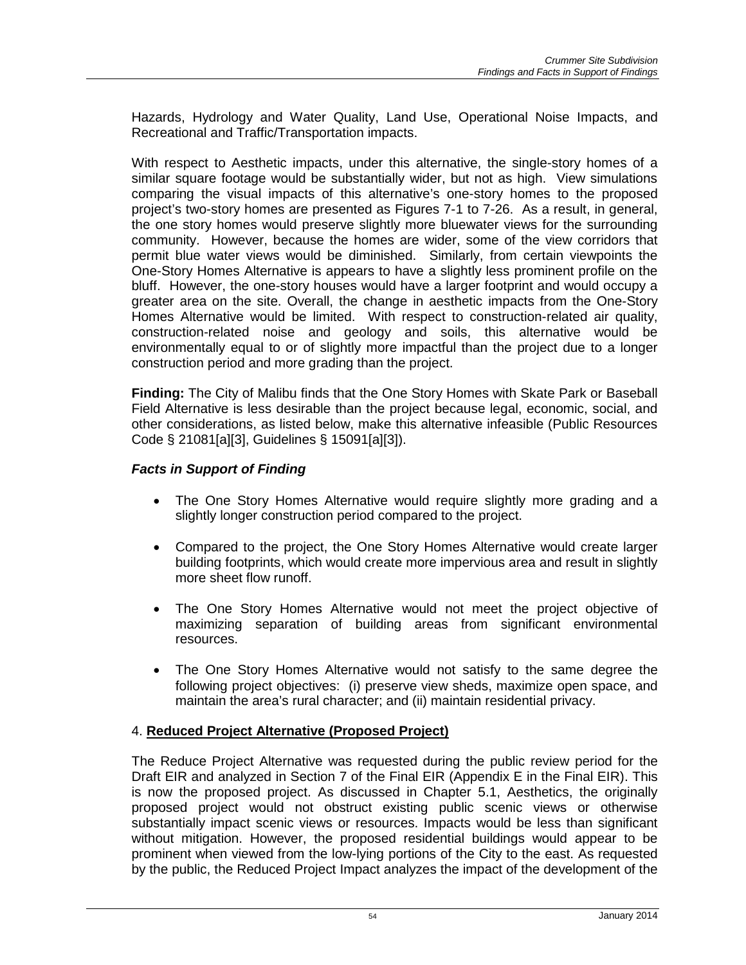Hazards, Hydrology and Water Quality, Land Use, Operational Noise Impacts, and Recreational and Traffic/Transportation impacts.

With respect to Aesthetic impacts, under this alternative, the single-story homes of a similar square footage would be substantially wider, but not as high. View simulations comparing the visual impacts of this alternative's one-story homes to the proposed project's two-story homes are presented as Figures 7-1 to 7-26. As a result, in general, the one story homes would preserve slightly more bluewater views for the surrounding community. However, because the homes are wider, some of the view corridors that permit blue water views would be diminished. Similarly, from certain viewpoints the One-Story Homes Alternative is appears to have a slightly less prominent profile on the bluff. However, the one-story houses would have a larger footprint and would occupy a greater area on the site. Overall, the change in aesthetic impacts from the One-Story Homes Alternative would be limited. With respect to construction-related air quality, construction-related noise and geology and soils, this alternative would be environmentally equal to or of slightly more impactful than the project due to a longer construction period and more grading than the project.

**Finding:** The City of Malibu finds that the One Story Homes with Skate Park or Baseball Field Alternative is less desirable than the project because legal, economic, social, and other considerations, as listed below, make this alternative infeasible (Public Resources Code § 21081[a][3], Guidelines § 15091[a][3]).

# *Facts in Support of Finding*

- The One Story Homes Alternative would require slightly more grading and a slightly longer construction period compared to the project.
- Compared to the project, the One Story Homes Alternative would create larger building footprints, which would create more impervious area and result in slightly more sheet flow runoff.
- The One Story Homes Alternative would not meet the project objective of maximizing separation of building areas from significant environmental resources.
- The One Story Homes Alternative would not satisfy to the same degree the following project objectives: (i) preserve view sheds, maximize open space, and maintain the area's rural character; and (ii) maintain residential privacy.

# 4. **Reduced Project Alternative (Proposed Project)**

The Reduce Project Alternative was requested during the public review period for the Draft EIR and analyzed in Section 7 of the Final EIR (Appendix E in the Final EIR). This is now the proposed project. As discussed in Chapter 5.1, Aesthetics, the originally proposed project would not obstruct existing public scenic views or otherwise substantially impact scenic views or resources. Impacts would be less than significant without mitigation. However, the proposed residential buildings would appear to be prominent when viewed from the low-lying portions of the City to the east. As requested by the public, the Reduced Project Impact analyzes the impact of the development of the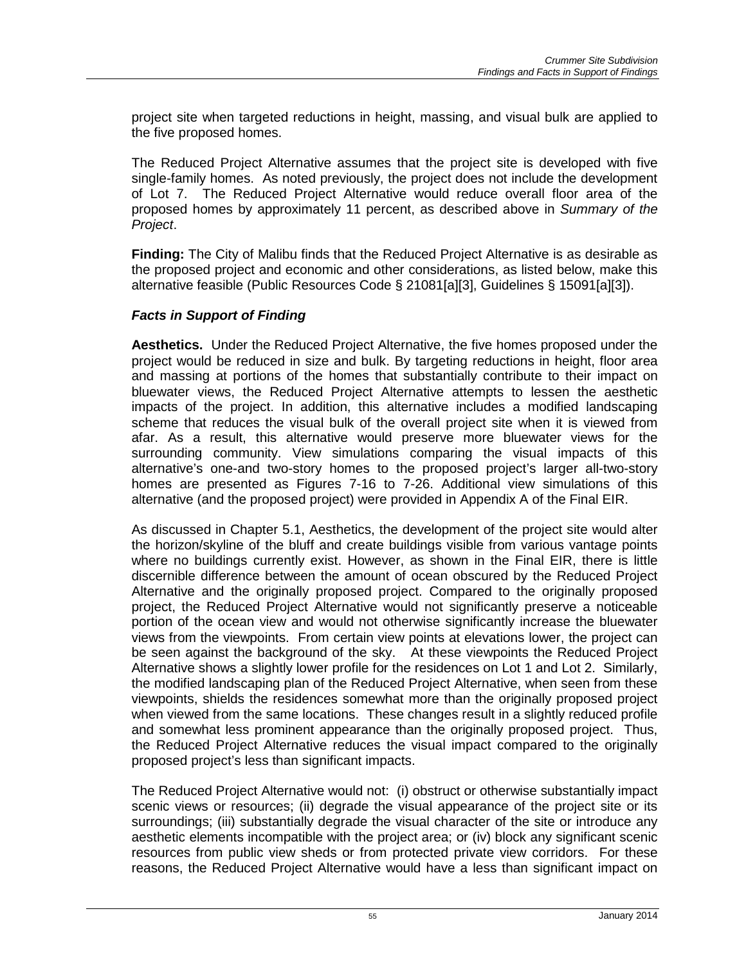project site when targeted reductions in height, massing, and visual bulk are applied to the five proposed homes.

The Reduced Project Alternative assumes that the project site is developed with five single-family homes. As noted previously, the project does not include the development of Lot 7. The Reduced Project Alternative would reduce overall floor area of the proposed homes by approximately 11 percent, as described above in *Summary of the Project*.

**Finding:** The City of Malibu finds that the Reduced Project Alternative is as desirable as the proposed project and economic and other considerations, as listed below, make this alternative feasible (Public Resources Code § 21081[a][3], Guidelines § 15091[a][3]).

### *Facts in Support of Finding*

**Aesthetics.** Under the Reduced Project Alternative, the five homes proposed under the project would be reduced in size and bulk. By targeting reductions in height, floor area and massing at portions of the homes that substantially contribute to their impact on bluewater views, the Reduced Project Alternative attempts to lessen the aesthetic impacts of the project. In addition, this alternative includes a modified landscaping scheme that reduces the visual bulk of the overall project site when it is viewed from afar. As a result, this alternative would preserve more bluewater views for the surrounding community. View simulations comparing the visual impacts of this alternative's one-and two-story homes to the proposed project's larger all-two-story homes are presented as Figures 7-16 to 7-26. Additional view simulations of this alternative (and the proposed project) were provided in Appendix A of the Final EIR.

As discussed in Chapter 5.1, Aesthetics, the development of the project site would alter the horizon/skyline of the bluff and create buildings visible from various vantage points where no buildings currently exist. However, as shown in the Final EIR, there is little discernible difference between the amount of ocean obscured by the Reduced Project Alternative and the originally proposed project. Compared to the originally proposed project, the Reduced Project Alternative would not significantly preserve a noticeable portion of the ocean view and would not otherwise significantly increase the bluewater views from the viewpoints. From certain view points at elevations lower, the project can be seen against the background of the sky. At these viewpoints the Reduced Project Alternative shows a slightly lower profile for the residences on Lot 1 and Lot 2. Similarly, the modified landscaping plan of the Reduced Project Alternative, when seen from these viewpoints, shields the residences somewhat more than the originally proposed project when viewed from the same locations. These changes result in a slightly reduced profile and somewhat less prominent appearance than the originally proposed project. Thus, the Reduced Project Alternative reduces the visual impact compared to the originally proposed project's less than significant impacts.

The Reduced Project Alternative would not: (i) obstruct or otherwise substantially impact scenic views or resources; (ii) degrade the visual appearance of the project site or its surroundings; (iii) substantially degrade the visual character of the site or introduce any aesthetic elements incompatible with the project area; or (iv) block any significant scenic resources from public view sheds or from protected private view corridors. For these reasons, the Reduced Project Alternative would have a less than significant impact on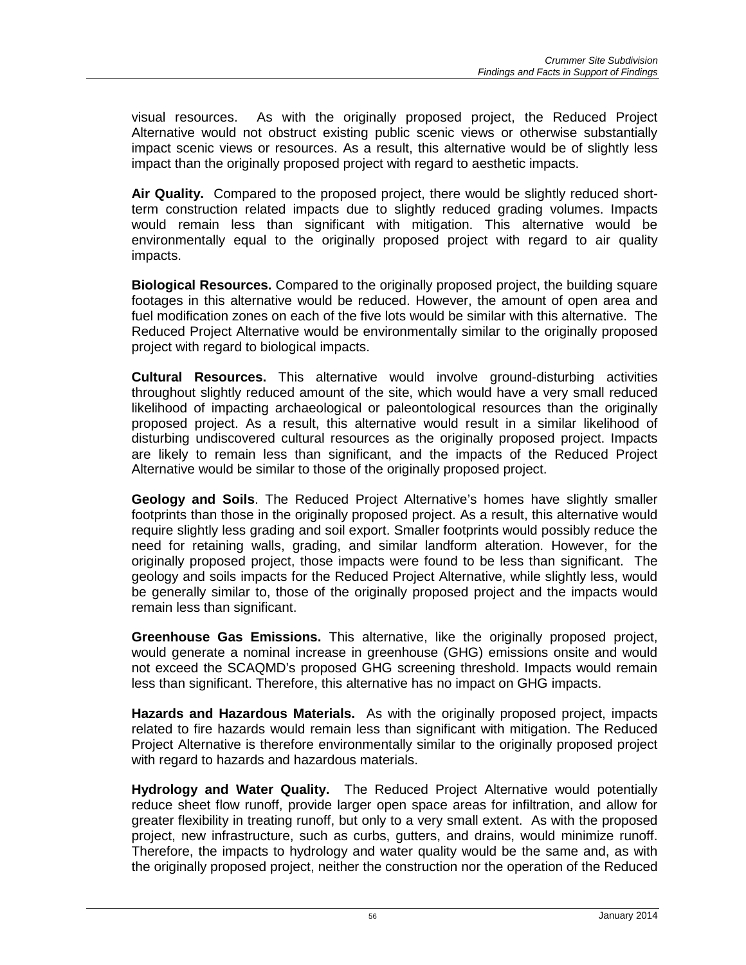visual resources. As with the originally proposed project, the Reduced Project Alternative would not obstruct existing public scenic views or otherwise substantially impact scenic views or resources. As a result, this alternative would be of slightly less impact than the originally proposed project with regard to aesthetic impacts.

**Air Quality.** Compared to the proposed project, there would be slightly reduced shortterm construction related impacts due to slightly reduced grading volumes. Impacts would remain less than significant with mitigation. This alternative would be environmentally equal to the originally proposed project with regard to air quality impacts.

**Biological Resources.** Compared to the originally proposed project, the building square footages in this alternative would be reduced. However, the amount of open area and fuel modification zones on each of the five lots would be similar with this alternative. The Reduced Project Alternative would be environmentally similar to the originally proposed project with regard to biological impacts.

**Cultural Resources.** This alternative would involve ground-disturbing activities throughout slightly reduced amount of the site, which would have a very small reduced likelihood of impacting archaeological or paleontological resources than the originally proposed project. As a result, this alternative would result in a similar likelihood of disturbing undiscovered cultural resources as the originally proposed project. Impacts are likely to remain less than significant, and the impacts of the Reduced Project Alternative would be similar to those of the originally proposed project.

**Geology and Soils**. The Reduced Project Alternative's homes have slightly smaller footprints than those in the originally proposed project. As a result, this alternative would require slightly less grading and soil export. Smaller footprints would possibly reduce the need for retaining walls, grading, and similar landform alteration. However, for the originally proposed project, those impacts were found to be less than significant. The geology and soils impacts for the Reduced Project Alternative, while slightly less, would be generally similar to, those of the originally proposed project and the impacts would remain less than significant.

**Greenhouse Gas Emissions.** This alternative, like the originally proposed project, would generate a nominal increase in greenhouse (GHG) emissions onsite and would not exceed the SCAQMD's proposed GHG screening threshold. Impacts would remain less than significant. Therefore, this alternative has no impact on GHG impacts.

**Hazards and Hazardous Materials.** As with the originally proposed project, impacts related to fire hazards would remain less than significant with mitigation. The Reduced Project Alternative is therefore environmentally similar to the originally proposed project with regard to hazards and hazardous materials.

**Hydrology and Water Quality.** The Reduced Project Alternative would potentially reduce sheet flow runoff, provide larger open space areas for infiltration, and allow for greater flexibility in treating runoff, but only to a very small extent. As with the proposed project, new infrastructure, such as curbs, gutters, and drains, would minimize runoff. Therefore, the impacts to hydrology and water quality would be the same and, as with the originally proposed project, neither the construction nor the operation of the Reduced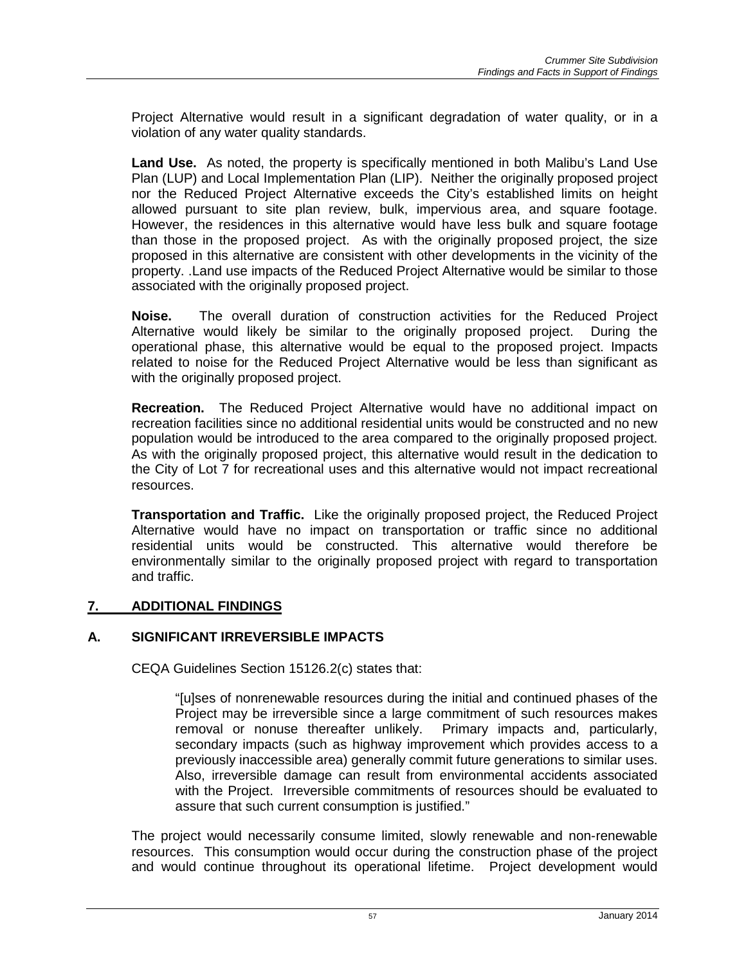Project Alternative would result in a significant degradation of water quality, or in a violation of any water quality standards.

**Land Use.** As noted, the property is specifically mentioned in both Malibu's Land Use Plan (LUP) and Local Implementation Plan (LIP). Neither the originally proposed project nor the Reduced Project Alternative exceeds the City's established limits on height allowed pursuant to site plan review, bulk, impervious area, and square footage. However, the residences in this alternative would have less bulk and square footage than those in the proposed project. As with the originally proposed project, the size proposed in this alternative are consistent with other developments in the vicinity of the property. .Land use impacts of the Reduced Project Alternative would be similar to those associated with the originally proposed project.

**Noise.** The overall duration of construction activities for the Reduced Project Alternative would likely be similar to the originally proposed project. During the operational phase, this alternative would be equal to the proposed project. Impacts related to noise for the Reduced Project Alternative would be less than significant as with the originally proposed project.

**Recreation.** The Reduced Project Alternative would have no additional impact on recreation facilities since no additional residential units would be constructed and no new population would be introduced to the area compared to the originally proposed project. As with the originally proposed project, this alternative would result in the dedication to the City of Lot 7 for recreational uses and this alternative would not impact recreational resources.

**Transportation and Traffic.** Like the originally proposed project, the Reduced Project Alternative would have no impact on transportation or traffic since no additional residential units would be constructed. This alternative would therefore be environmentally similar to the originally proposed project with regard to transportation and traffic.

# **7. ADDITIONAL FINDINGS**

# **A. SIGNIFICANT IRREVERSIBLE IMPACTS**

CEQA Guidelines Section 15126.2(c) states that:

"[u]ses of nonrenewable resources during the initial and continued phases of the Project may be irreversible since a large commitment of such resources makes removal or nonuse thereafter unlikely. Primary impacts and, particularly, secondary impacts (such as highway improvement which provides access to a previously inaccessible area) generally commit future generations to similar uses. Also, irreversible damage can result from environmental accidents associated with the Project. Irreversible commitments of resources should be evaluated to assure that such current consumption is justified."

The project would necessarily consume limited, slowly renewable and non-renewable resources. This consumption would occur during the construction phase of the project and would continue throughout its operational lifetime. Project development would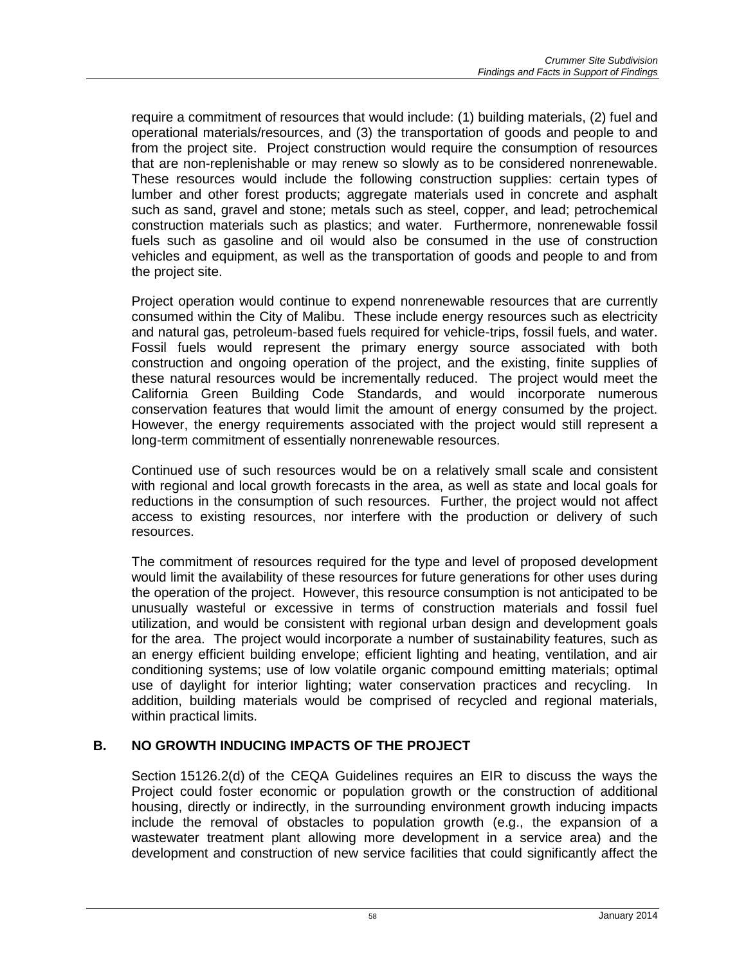require a commitment of resources that would include: (1) building materials, (2) fuel and operational materials/resources, and (3) the transportation of goods and people to and from the project site. Project construction would require the consumption of resources that are non-replenishable or may renew so slowly as to be considered nonrenewable. These resources would include the following construction supplies: certain types of lumber and other forest products; aggregate materials used in concrete and asphalt such as sand, gravel and stone; metals such as steel, copper, and lead; petrochemical construction materials such as plastics; and water. Furthermore, nonrenewable fossil fuels such as gasoline and oil would also be consumed in the use of construction vehicles and equipment, as well as the transportation of goods and people to and from the project site.

Project operation would continue to expend nonrenewable resources that are currently consumed within the City of Malibu. These include energy resources such as electricity and natural gas, petroleum-based fuels required for vehicle-trips, fossil fuels, and water. Fossil fuels would represent the primary energy source associated with both construction and ongoing operation of the project, and the existing, finite supplies of these natural resources would be incrementally reduced. The project would meet the California Green Building Code Standards, and would incorporate numerous conservation features that would limit the amount of energy consumed by the project. However, the energy requirements associated with the project would still represent a long-term commitment of essentially nonrenewable resources.

Continued use of such resources would be on a relatively small scale and consistent with regional and local growth forecasts in the area, as well as state and local goals for reductions in the consumption of such resources. Further, the project would not affect access to existing resources, nor interfere with the production or delivery of such resources.

The commitment of resources required for the type and level of proposed development would limit the availability of these resources for future generations for other uses during the operation of the project. However, this resource consumption is not anticipated to be unusually wasteful or excessive in terms of construction materials and fossil fuel utilization, and would be consistent with regional urban design and development goals for the area. The project would incorporate a number of sustainability features, such as an energy efficient building envelope; efficient lighting and heating, ventilation, and air conditioning systems; use of low volatile organic compound emitting materials; optimal use of daylight for interior lighting; water conservation practices and recycling. In addition, building materials would be comprised of recycled and regional materials, within practical limits.

# **B. NO GROWTH INDUCING IMPACTS OF THE PROJECT**

Section 15126.2(d) of the CEQA Guidelines requires an EIR to discuss the ways the Project could foster economic or population growth or the construction of additional housing, directly or indirectly, in the surrounding environment growth inducing impacts include the removal of obstacles to population growth (e.g., the expansion of a wastewater treatment plant allowing more development in a service area) and the development and construction of new service facilities that could significantly affect the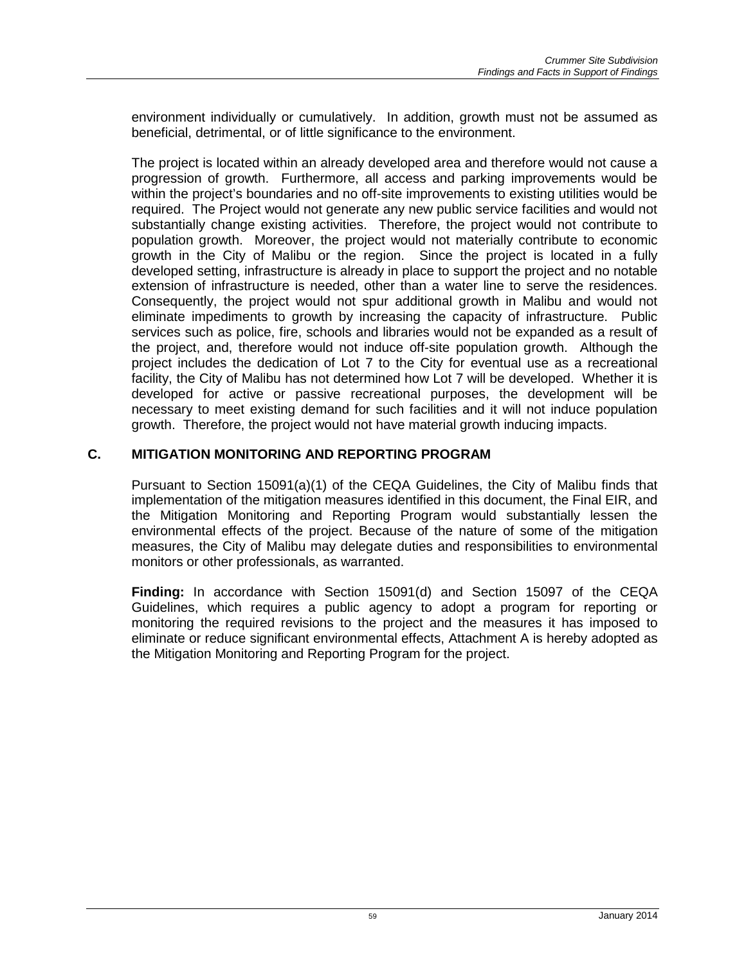environment individually or cumulatively. In addition, growth must not be assumed as beneficial, detrimental, or of little significance to the environment.

The project is located within an already developed area and therefore would not cause a progression of growth. Furthermore, all access and parking improvements would be within the project's boundaries and no off-site improvements to existing utilities would be required. The Project would not generate any new public service facilities and would not substantially change existing activities. Therefore, the project would not contribute to population growth. Moreover, the project would not materially contribute to economic growth in the City of Malibu or the region. Since the project is located in a fully developed setting, infrastructure is already in place to support the project and no notable extension of infrastructure is needed, other than a water line to serve the residences. Consequently, the project would not spur additional growth in Malibu and would not eliminate impediments to growth by increasing the capacity of infrastructure. Public services such as police, fire, schools and libraries would not be expanded as a result of the project, and, therefore would not induce off-site population growth. Although the project includes the dedication of Lot 7 to the City for eventual use as a recreational facility, the City of Malibu has not determined how Lot 7 will be developed. Whether it is developed for active or passive recreational purposes, the development will be necessary to meet existing demand for such facilities and it will not induce population growth. Therefore, the project would not have material growth inducing impacts.

### **C. MITIGATION MONITORING AND REPORTING PROGRAM**

Pursuant to Section 15091(a)(1) of the CEQA Guidelines, the City of Malibu finds that implementation of the mitigation measures identified in this document, the Final EIR, and the Mitigation Monitoring and Reporting Program would substantially lessen the environmental effects of the project. Because of the nature of some of the mitigation measures, the City of Malibu may delegate duties and responsibilities to environmental monitors or other professionals, as warranted.

**Finding:** In accordance with Section 15091(d) and Section 15097 of the CEQA Guidelines, which requires a public agency to adopt a program for reporting or monitoring the required revisions to the project and the measures it has imposed to eliminate or reduce significant environmental effects, Attachment A is hereby adopted as the Mitigation Monitoring and Reporting Program for the project.